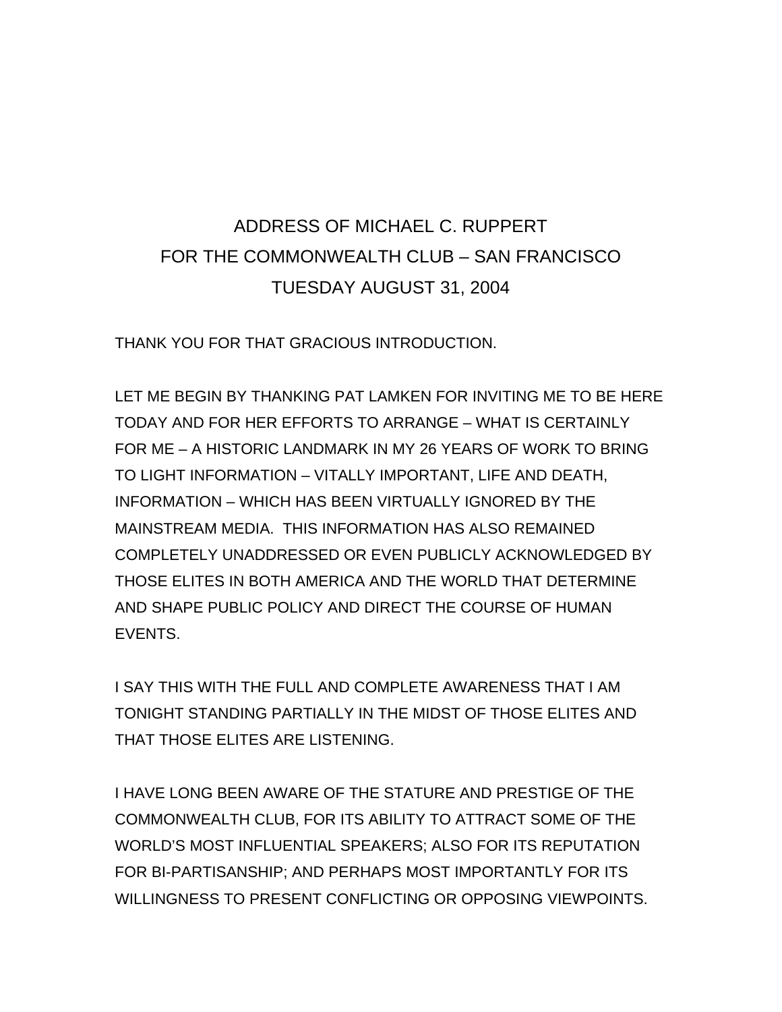# ADDRESS OF MICHAEL C. RUPPERT FOR THE COMMONWEALTH CLUB – SAN FRANCISCO TUESDAY AUGUST 31, 2004

THANK YOU FOR THAT GRACIOUS INTRODUCTION.

LET ME BEGIN BY THANKING PAT LAMKEN FOR INVITING ME TO BE HERE TODAY AND FOR HER EFFORTS TO ARRANGE – WHAT IS CERTAINLY FOR ME – A HISTORIC LANDMARK IN MY 26 YEARS OF WORK TO BRING TO LIGHT INFORMATION – VITALLY IMPORTANT, LIFE AND DEATH, INFORMATION – WHICH HAS BEEN VIRTUALLY IGNORED BY THE MAINSTREAM MEDIA. THIS INFORMATION HAS ALSO REMAINED COMPLETELY UNADDRESSED OR EVEN PUBLICLY ACKNOWLEDGED BY THOSE ELITES IN BOTH AMERICA AND THE WORLD THAT DETERMINE AND SHAPE PUBLIC POLICY AND DIRECT THE COURSE OF HUMAN EVENTS.

I SAY THIS WITH THE FULL AND COMPLETE AWARENESS THAT I AM TONIGHT STANDING PARTIALLY IN THE MIDST OF THOSE ELITES AND THAT THOSE ELITES ARE LISTENING.

I HAVE LONG BEEN AWARE OF THE STATURE AND PRESTIGE OF THE COMMONWEALTH CLUB, FOR ITS ABILITY TO ATTRACT SOME OF THE WORLD'S MOST INFLUENTIAL SPEAKERS; ALSO FOR ITS REPUTATION FOR BI-PARTISANSHIP; AND PERHAPS MOST IMPORTANTLY FOR ITS WILLINGNESS TO PRESENT CONFLICTING OR OPPOSING VIEWPOINTS.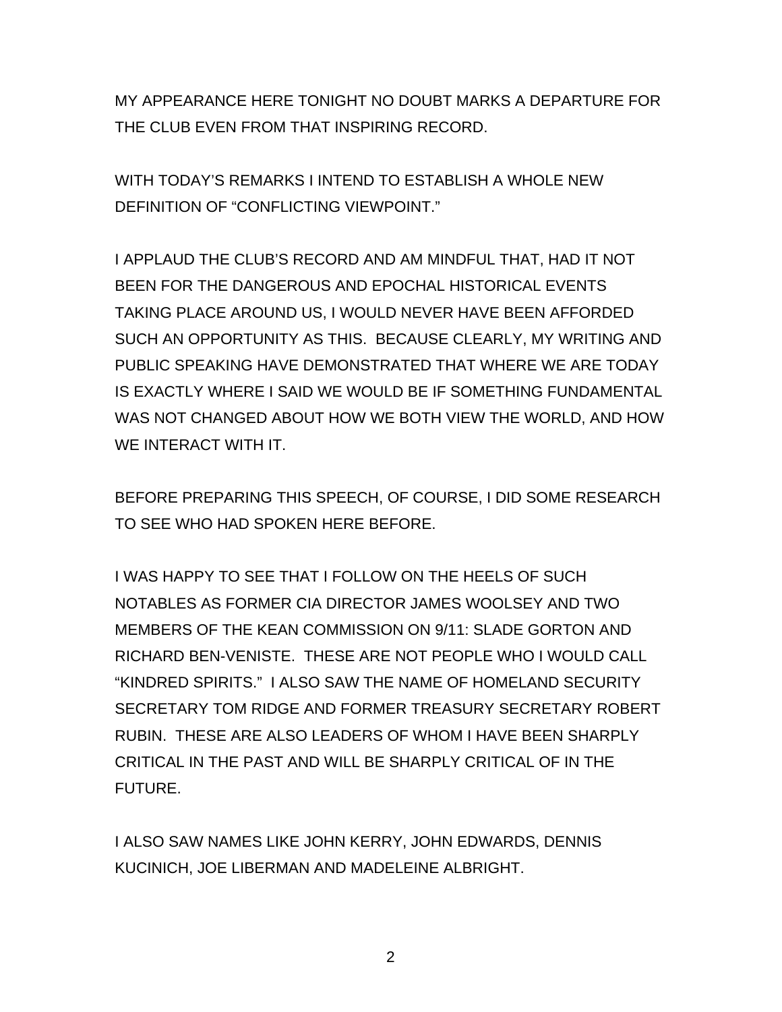MY APPEARANCE HERE TONIGHT NO DOUBT MARKS A DEPARTURE FOR THE CLUB EVEN FROM THAT INSPIRING RECORD.

WITH TODAY'S REMARKS I INTEND TO ESTABLISH A WHOLE NEW DEFINITION OF "CONFLICTING VIEWPOINT."

I APPLAUD THE CLUB'S RECORD AND AM MINDFUL THAT, HAD IT NOT BEEN FOR THE DANGEROUS AND EPOCHAL HISTORICAL EVENTS TAKING PLACE AROUND US, I WOULD NEVER HAVE BEEN AFFORDED SUCH AN OPPORTUNITY AS THIS. BECAUSE CLEARLY, MY WRITING AND PUBLIC SPEAKING HAVE DEMONSTRATED THAT WHERE WE ARE TODAY IS EXACTLY WHERE I SAID WE WOULD BE IF SOMETHING FUNDAMENTAL WAS NOT CHANGED ABOUT HOW WE BOTH VIEW THE WORLD, AND HOW WE INTERACT WITH IT.

BEFORE PREPARING THIS SPEECH, OF COURSE, I DID SOME RESEARCH TO SEE WHO HAD SPOKEN HERE BEFORE.

I WAS HAPPY TO SEE THAT I FOLLOW ON THE HEELS OF SUCH NOTABLES AS FORMER CIA DIRECTOR JAMES WOOLSEY AND TWO MEMBERS OF THE KEAN COMMISSION ON 9/11: SLADE GORTON AND RICHARD BEN-VENISTE. THESE ARE NOT PEOPLE WHO I WOULD CALL "KINDRED SPIRITS." I ALSO SAW THE NAME OF HOMELAND SECURITY SECRETARY TOM RIDGE AND FORMER TREASURY SECRETARY ROBERT RUBIN. THESE ARE ALSO LEADERS OF WHOM I HAVE BEEN SHARPLY CRITICAL IN THE PAST AND WILL BE SHARPLY CRITICAL OF IN THE FUTURE.

I ALSO SAW NAMES LIKE JOHN KERRY, JOHN EDWARDS, DENNIS KUCINICH, JOE LIBERMAN AND MADELEINE ALBRIGHT.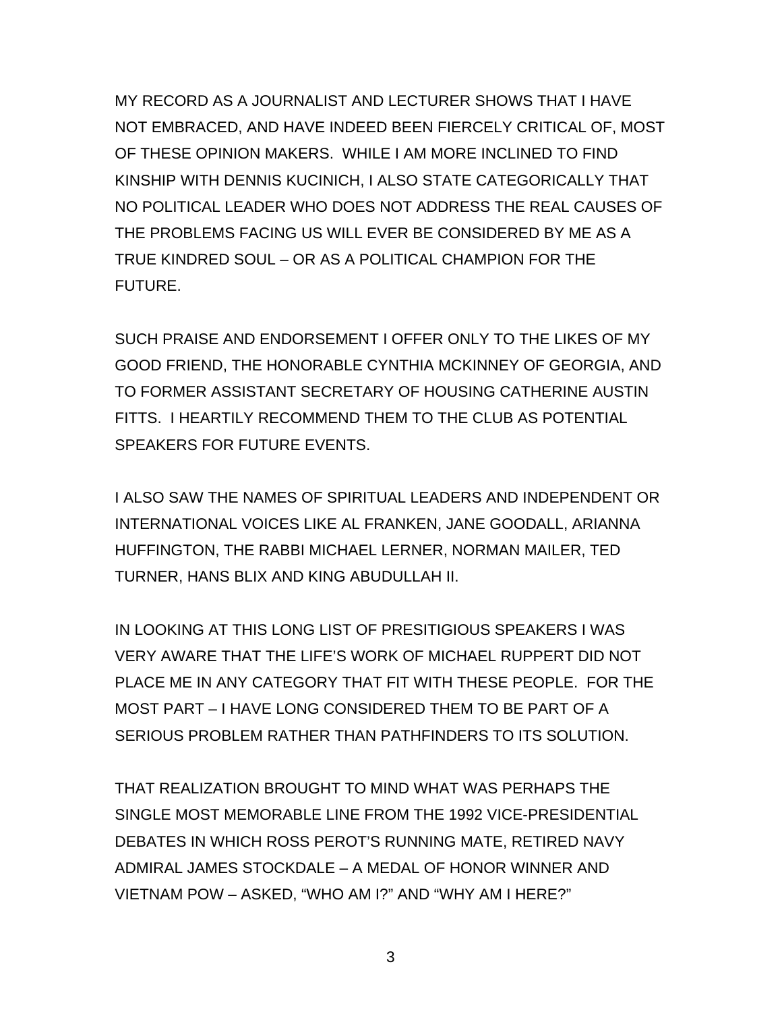MY RECORD AS A JOURNALIST AND LECTURER SHOWS THAT I HAVE NOT EMBRACED, AND HAVE INDEED BEEN FIERCELY CRITICAL OF, MOST OF THESE OPINION MAKERS. WHILE I AM MORE INCLINED TO FIND KINSHIP WITH DENNIS KUCINICH, I ALSO STATE CATEGORICALLY THAT NO POLITICAL LEADER WHO DOES NOT ADDRESS THE REAL CAUSES OF THE PROBLEMS FACING US WILL EVER BE CONSIDERED BY ME AS A TRUE KINDRED SOUL – OR AS A POLITICAL CHAMPION FOR THE FUTURE.

SUCH PRAISE AND ENDORSEMENT I OFFER ONLY TO THE LIKES OF MY GOOD FRIEND, THE HONORABLE CYNTHIA MCKINNEY OF GEORGIA, AND TO FORMER ASSISTANT SECRETARY OF HOUSING CATHERINE AUSTIN FITTS. I HEARTILY RECOMMEND THEM TO THE CLUB AS POTENTIAL SPEAKERS FOR FUTURE EVENTS.

I ALSO SAW THE NAMES OF SPIRITUAL LEADERS AND INDEPENDENT OR INTERNATIONAL VOICES LIKE AL FRANKEN, JANE GOODALL, ARIANNA HUFFINGTON, THE RABBI MICHAEL LERNER, NORMAN MAILER, TED TURNER, HANS BLIX AND KING ABUDULLAH II.

IN LOOKING AT THIS LONG LIST OF PRESITIGIOUS SPEAKERS I WAS VERY AWARE THAT THE LIFE'S WORK OF MICHAEL RUPPERT DID NOT PLACE ME IN ANY CATEGORY THAT FIT WITH THESE PEOPLE. FOR THE MOST PART – I HAVE LONG CONSIDERED THEM TO BE PART OF A SERIOUS PROBLEM RATHER THAN PATHFINDERS TO ITS SOLUTION.

THAT REALIZATION BROUGHT TO MIND WHAT WAS PERHAPS THE SINGLE MOST MEMORABLE LINE FROM THE 1992 VICE-PRESIDENTIAL DEBATES IN WHICH ROSS PEROT'S RUNNING MATE, RETIRED NAVY ADMIRAL JAMES STOCKDALE – A MEDAL OF HONOR WINNER AND VIETNAM POW – ASKED, "WHO AM I?" AND "WHY AM I HERE?"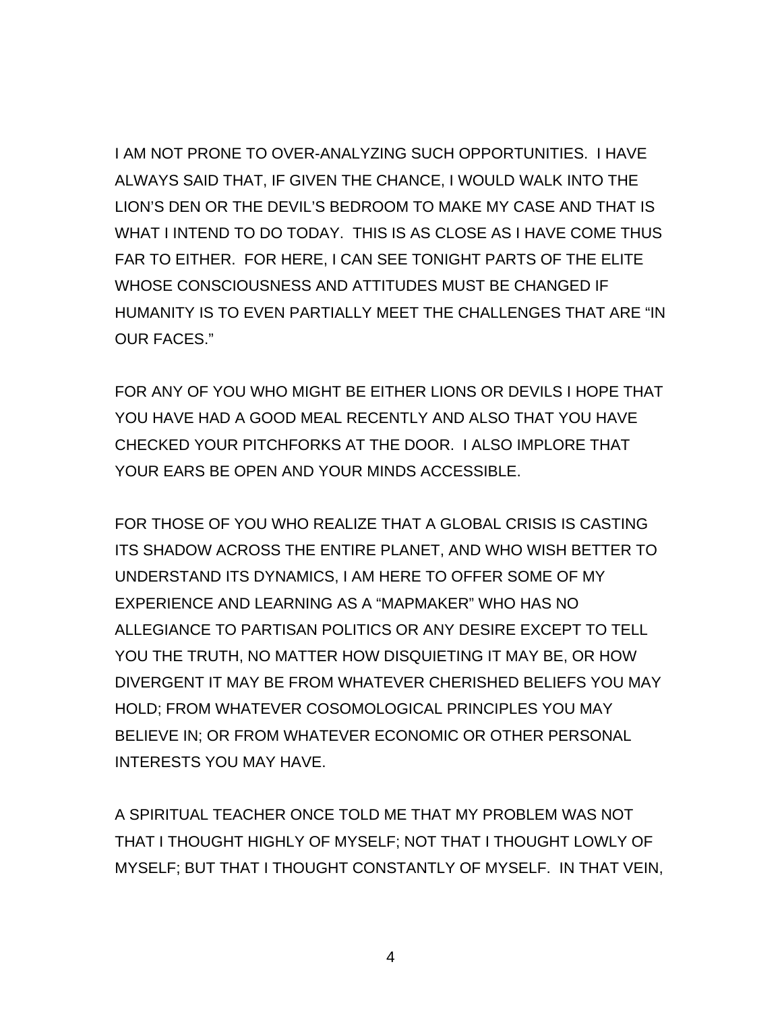I AM NOT PRONE TO OVER-ANALYZING SUCH OPPORTUNITIES. I HAVE ALWAYS SAID THAT, IF GIVEN THE CHANCE, I WOULD WALK INTO THE LION'S DEN OR THE DEVIL'S BEDROOM TO MAKE MY CASE AND THAT IS WHAT I INTEND TO DO TODAY. THIS IS AS CLOSE AS I HAVE COME THUS FAR TO EITHER. FOR HERE, I CAN SEE TONIGHT PARTS OF THE ELITE WHOSE CONSCIOUSNESS AND ATTITUDES MUST BE CHANGED IF HUMANITY IS TO EVEN PARTIALLY MEET THE CHALLENGES THAT ARE "IN OUR FACES."

FOR ANY OF YOU WHO MIGHT BE EITHER LIONS OR DEVILS I HOPE THAT YOU HAVE HAD A GOOD MEAL RECENTLY AND ALSO THAT YOU HAVE CHECKED YOUR PITCHFORKS AT THE DOOR. I ALSO IMPLORE THAT YOUR EARS BE OPEN AND YOUR MINDS ACCESSIBLE.

FOR THOSE OF YOU WHO REALIZE THAT A GLOBAL CRISIS IS CASTING ITS SHADOW ACROSS THE ENTIRE PLANET, AND WHO WISH BETTER TO UNDERSTAND ITS DYNAMICS, I AM HERE TO OFFER SOME OF MY EXPERIENCE AND LEARNING AS A "MAPMAKER" WHO HAS NO ALLEGIANCE TO PARTISAN POLITICS OR ANY DESIRE EXCEPT TO TELL YOU THE TRUTH, NO MATTER HOW DISQUIETING IT MAY BE, OR HOW DIVERGENT IT MAY BE FROM WHATEVER CHERISHED BELIEFS YOU MAY HOLD; FROM WHATEVER COSOMOLOGICAL PRINCIPLES YOU MAY BELIEVE IN; OR FROM WHATEVER ECONOMIC OR OTHER PERSONAL INTERESTS YOU MAY HAVE.

A SPIRITUAL TEACHER ONCE TOLD ME THAT MY PROBLEM WAS NOT THAT I THOUGHT HIGHLY OF MYSELF; NOT THAT I THOUGHT LOWLY OF MYSELF; BUT THAT I THOUGHT CONSTANTLY OF MYSELF. IN THAT VEIN,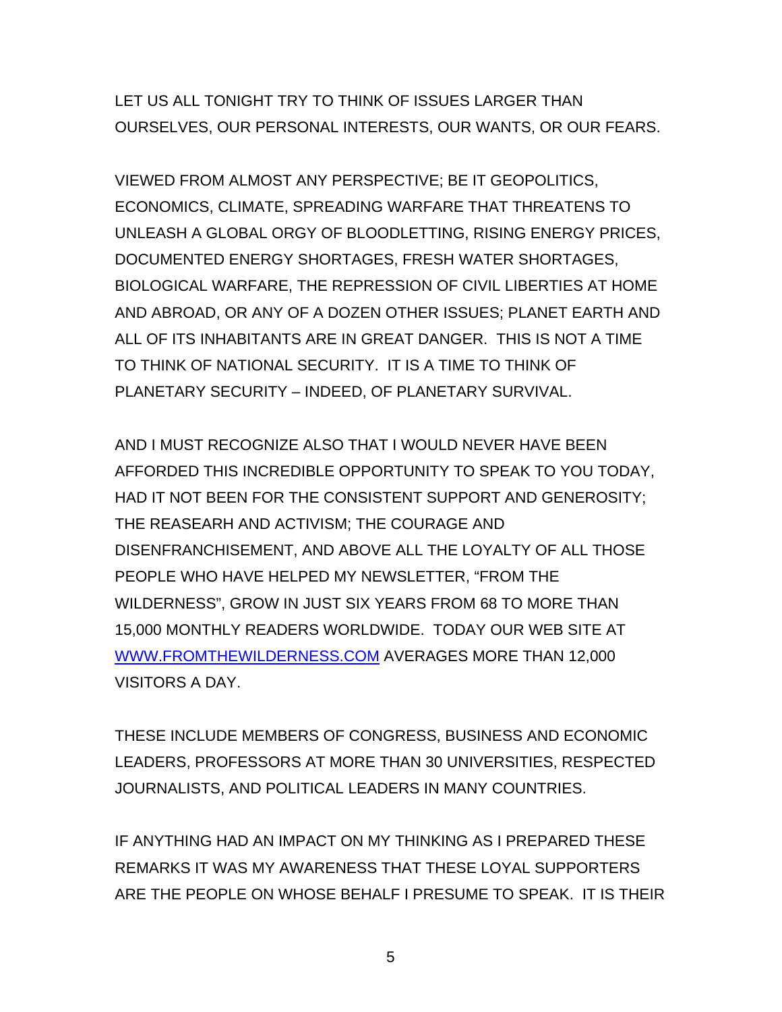LET US ALL TONIGHT TRY TO THINK OF ISSUES LARGER THAN OURSELVES, OUR PERSONAL INTERESTS, OUR WANTS, OR OUR FEARS.

VIEWED FROM ALMOST ANY PERSPECTIVE; BE IT GEOPOLITICS, ECONOMICS, CLIMATE, SPREADING WARFARE THAT THREATENS TO UNLEASH A GLOBAL ORGY OF BLOODLETTING, RISING ENERGY PRICES, DOCUMENTED ENERGY SHORTAGES, FRESH WATER SHORTAGES, BIOLOGICAL WARFARE, THE REPRESSION OF CIVIL LIBERTIES AT HOME AND ABROAD, OR ANY OF A DOZEN OTHER ISSUES; PLANET EARTH AND ALL OF ITS INHABITANTS ARE IN GREAT DANGER. THIS IS NOT A TIME TO THINK OF NATIONAL SECURITY. IT IS A TIME TO THINK OF PLANETARY SECURITY – INDEED, OF PLANETARY SURVIVAL.

AND I MUST RECOGNIZE ALSO THAT I WOULD NEVER HAVE BEEN AFFORDED THIS INCREDIBLE OPPORTUNITY TO SPEAK TO YOU TODAY, HAD IT NOT BEEN FOR THE CONSISTENT SUPPORT AND GENEROSITY; THE REASEARH AND ACTIVISM; THE COURAGE AND DISENFRANCHISEMENT, AND ABOVE ALL THE LOYALTY OF ALL THOSE PEOPLE WHO HAVE HELPED MY NEWSLETTER, "FROM THE WILDERNESS", GROW IN JUST SIX YEARS FROM 68 TO MORE THAN 15,000 MONTHLY READERS WORLDWIDE. TODAY OUR WEB SITE AT WWW.FROMTHEWILDERNESS.COM AVERAGES MORE THAN 12,000 VISITORS A DAY.

THESE INCLUDE MEMBERS OF CONGRESS, BUSINESS AND ECONOMIC LEADERS, PROFESSORS AT MORE THAN 30 UNIVERSITIES, RESPECTED JOURNALISTS, AND POLITICAL LEADERS IN MANY COUNTRIES.

IF ANYTHING HAD AN IMPACT ON MY THINKING AS I PREPARED THESE REMARKS IT WAS MY AWARENESS THAT THESE LOYAL SUPPORTERS ARE THE PEOPLE ON WHOSE BEHALF I PRESUME TO SPEAK. IT IS THEIR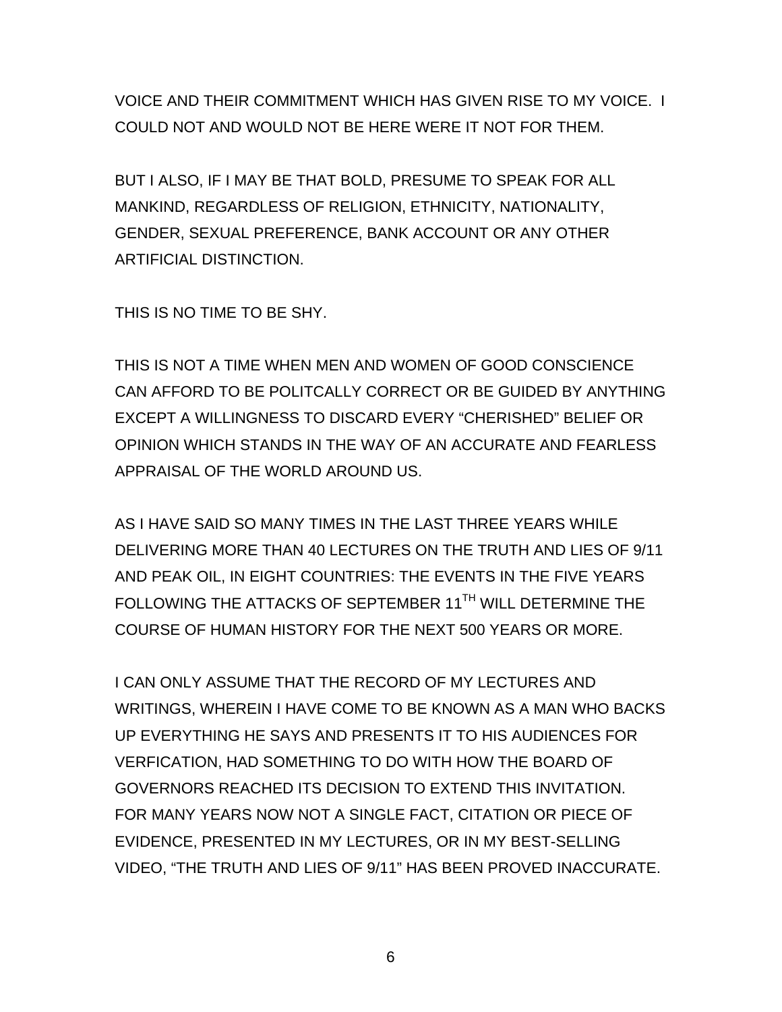VOICE AND THEIR COMMITMENT WHICH HAS GIVEN RISE TO MY VOICE. I COULD NOT AND WOULD NOT BE HERE WERE IT NOT FOR THEM.

BUT I ALSO, IF I MAY BE THAT BOLD, PRESUME TO SPEAK FOR ALL MANKIND, REGARDLESS OF RELIGION, ETHNICITY, NATIONALITY, GENDER, SEXUAL PREFERENCE, BANK ACCOUNT OR ANY OTHER ARTIFICIAL DISTINCTION.

THIS IS NO TIME TO BE SHY.

THIS IS NOT A TIME WHEN MEN AND WOMEN OF GOOD CONSCIENCE CAN AFFORD TO BE POLITCALLY CORRECT OR BE GUIDED BY ANYTHING EXCEPT A WILLINGNESS TO DISCARD EVERY "CHERISHED" BELIEF OR OPINION WHICH STANDS IN THE WAY OF AN ACCURATE AND FEARLESS APPRAISAL OF THE WORLD AROUND US.

AS I HAVE SAID SO MANY TIMES IN THE LAST THREE YEARS WHILE DELIVERING MORE THAN 40 LECTURES ON THE TRUTH AND LIES OF 9/11 AND PEAK OIL, IN EIGHT COUNTRIES: THE EVENTS IN THE FIVE YEARS FOLLOWING THE ATTACKS OF SEPTEMBER 11<sup>TH</sup> WILL DETERMINE THE COURSE OF HUMAN HISTORY FOR THE NEXT 500 YEARS OR MORE.

I CAN ONLY ASSUME THAT THE RECORD OF MY LECTURES AND WRITINGS, WHEREIN I HAVE COME TO BE KNOWN AS A MAN WHO BACKS UP EVERYTHING HE SAYS AND PRESENTS IT TO HIS AUDIENCES FOR VERFICATION, HAD SOMETHING TO DO WITH HOW THE BOARD OF GOVERNORS REACHED ITS DECISION TO EXTEND THIS INVITATION. FOR MANY YEARS NOW NOT A SINGLE FACT, CITATION OR PIECE OF EVIDENCE, PRESENTED IN MY LECTURES, OR IN MY BEST-SELLING VIDEO, "THE TRUTH AND LIES OF 9/11" HAS BEEN PROVED INACCURATE.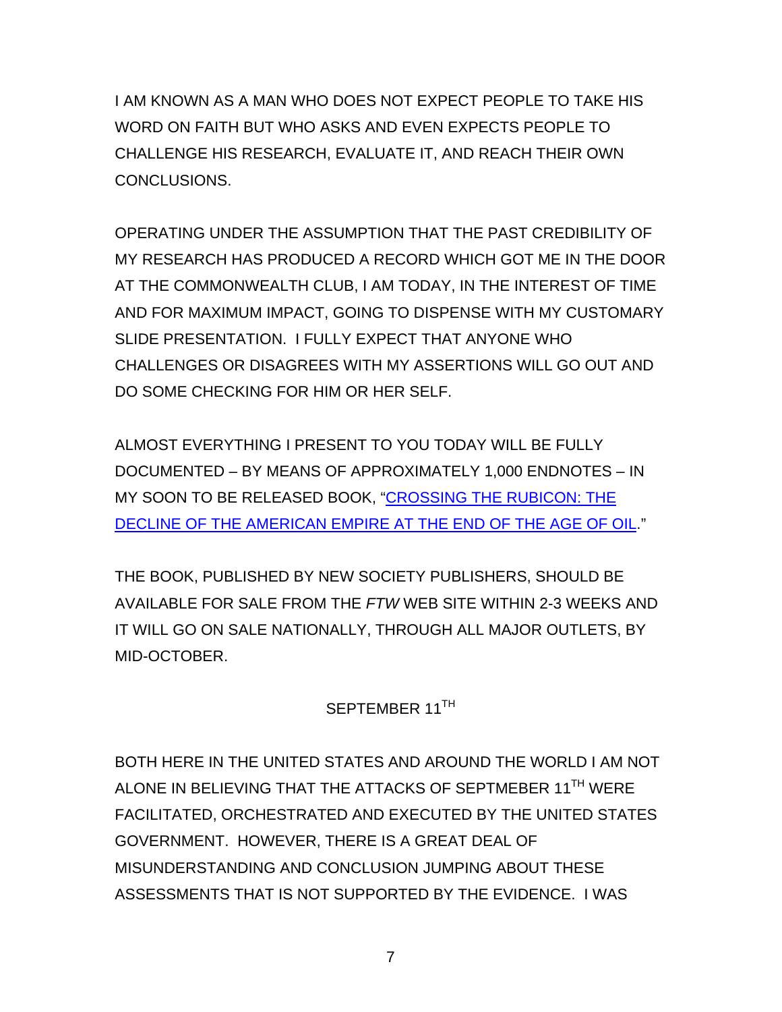I AM KNOWN AS A MAN WHO DOES NOT EXPECT PEOPLE TO TAKE HIS WORD ON FAITH BUT WHO ASKS AND EVEN EXPECTS PEOPLE TO CHALLENGE HIS RESEARCH, EVALUATE IT, AND REACH THEIR OWN CONCLUSIONS.

OPERATING UNDER THE ASSUMPTION THAT THE PAST CREDIBILITY OF MY RESEARCH HAS PRODUCED A RECORD WHICH GOT ME IN THE DOOR AT THE COMMONWEALTH CLUB, I AM TODAY, IN THE INTEREST OF TIME AND FOR MAXIMUM IMPACT, GOING TO DISPENSE WITH MY CUSTOMARY SLIDE PRESENTATION. I FULLY EXPECT THAT ANYONE WHO CHALLENGES OR DISAGREES WITH MY ASSERTIONS WILL GO OUT AND DO SOME CHECKING FOR HIM OR HER SELF.

ALMOST EVERYTHING I PRESENT TO YOU TODAY WILL BE FULLY DOCUMENTED – BY MEANS OF APPROXIMATELY 1,000 ENDNOTES – IN MY SOON TO BE RELEASED BOOK, "CROSSING THE RUBICON: THE DECLINE OF THE AMERICAN EMPIRE AT THE END OF THE AGE OF OIL."

THE BOOK, PUBLISHED BY NEW SOCIETY PUBLISHERS, SHOULD BE AVAILABLE FOR SALE FROM THE *FTW* WEB SITE WITHIN 2-3 WEEKS AND IT WILL GO ON SALE NATIONALLY, THROUGH ALL MAJOR OUTLETS, BY MID-OCTOBER.

SEPTEMBER 11<sup>TH</sup>

BOTH HERE IN THE UNITED STATES AND AROUND THE WORLD I AM NOT ALONE IN BELIEVING THAT THE ATTACKS OF SEPTMEBER 11<sup>TH</sup> WERE FACILITATED, ORCHESTRATED AND EXECUTED BY THE UNITED STATES GOVERNMENT. HOWEVER, THERE IS A GREAT DEAL OF MISUNDERSTANDING AND CONCLUSION JUMPING ABOUT THESE ASSESSMENTS THAT IS NOT SUPPORTED BY THE EVIDENCE. I WAS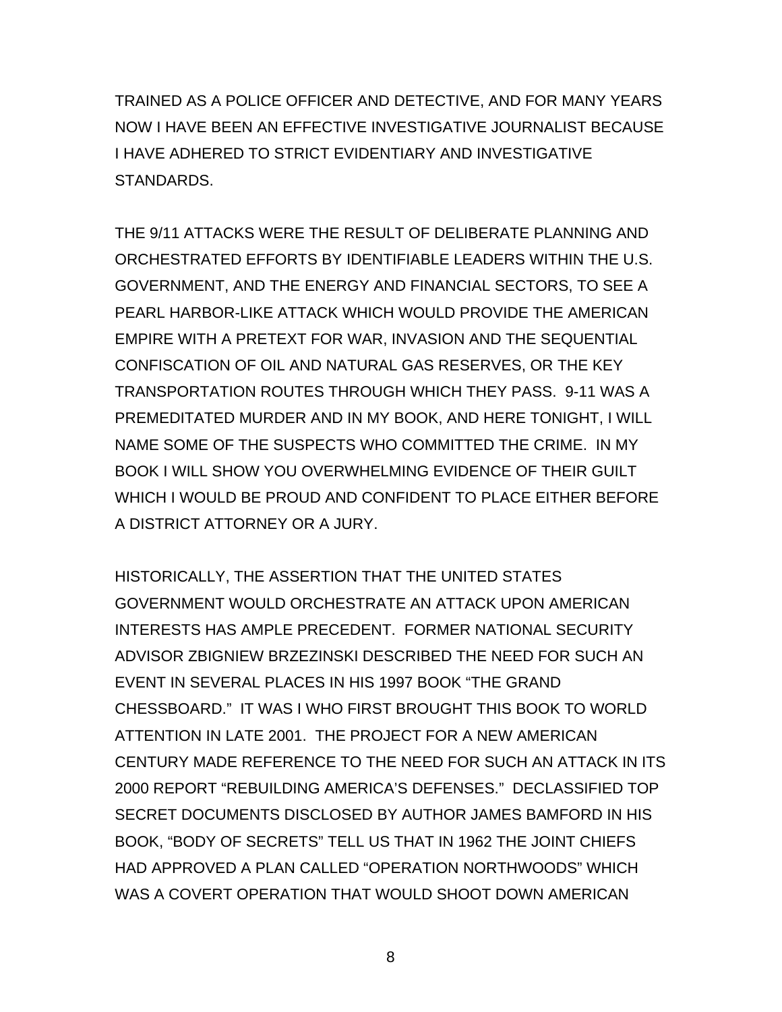TRAINED AS A POLICE OFFICER AND DETECTIVE, AND FOR MANY YEARS NOW I HAVE BEEN AN EFFECTIVE INVESTIGATIVE JOURNALIST BECAUSE I HAVE ADHERED TO STRICT EVIDENTIARY AND INVESTIGATIVE STANDARDS.

THE 9/11 ATTACKS WERE THE RESULT OF DELIBERATE PLANNING AND ORCHESTRATED EFFORTS BY IDENTIFIABLE LEADERS WITHIN THE U.S. GOVERNMENT, AND THE ENERGY AND FINANCIAL SECTORS, TO SEE A PEARL HARBOR-LIKE ATTACK WHICH WOULD PROVIDE THE AMERICAN EMPIRE WITH A PRETEXT FOR WAR, INVASION AND THE SEQUENTIAL CONFISCATION OF OIL AND NATURAL GAS RESERVES, OR THE KEY TRANSPORTATION ROUTES THROUGH WHICH THEY PASS. 9-11 WAS A PREMEDITATED MURDER AND IN MY BOOK, AND HERE TONIGHT, I WILL NAME SOME OF THE SUSPECTS WHO COMMITTED THE CRIME. IN MY BOOK I WILL SHOW YOU OVERWHELMING EVIDENCE OF THEIR GUILT WHICH I WOULD BE PROUD AND CONFIDENT TO PLACE EITHER BEFORE A DISTRICT ATTORNEY OR A JURY.

HISTORICALLY, THE ASSERTION THAT THE UNITED STATES GOVERNMENT WOULD ORCHESTRATE AN ATTACK UPON AMERICAN INTERESTS HAS AMPLE PRECEDENT. FORMER NATIONAL SECURITY ADVISOR ZBIGNIEW BRZEZINSKI DESCRIBED THE NEED FOR SUCH AN EVENT IN SEVERAL PLACES IN HIS 1997 BOOK "THE GRAND CHESSBOARD." IT WAS I WHO FIRST BROUGHT THIS BOOK TO WORLD ATTENTION IN LATE 2001. THE PROJECT FOR A NEW AMERICAN CENTURY MADE REFERENCE TO THE NEED FOR SUCH AN ATTACK IN ITS 2000 REPORT "REBUILDING AMERICA'S DEFENSES." DECLASSIFIED TOP SECRET DOCUMENTS DISCLOSED BY AUTHOR JAMES BAMFORD IN HIS BOOK, "BODY OF SECRETS" TELL US THAT IN 1962 THE JOINT CHIEFS HAD APPROVED A PLAN CALLED "OPERATION NORTHWOODS" WHICH WAS A COVERT OPERATION THAT WOULD SHOOT DOWN AMERICAN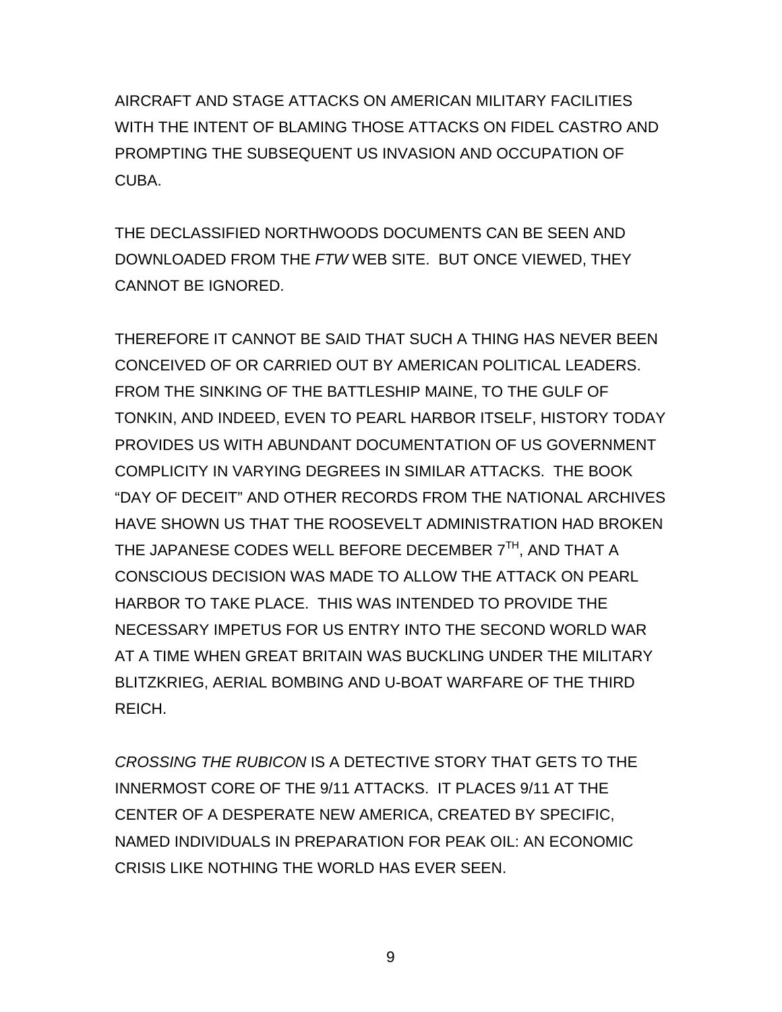AIRCRAFT AND STAGE ATTACKS ON AMERICAN MILITARY FACILITIES WITH THE INTENT OF BLAMING THOSE ATTACKS ON FIDEL CASTRO AND PROMPTING THE SUBSEQUENT US INVASION AND OCCUPATION OF CUBA.

THE DECLASSIFIED NORTHWOODS DOCUMENTS CAN BE SEEN AND DOWNLOADED FROM THE *FTW* WEB SITE. BUT ONCE VIEWED, THEY CANNOT BE IGNORED.

THEREFORE IT CANNOT BE SAID THAT SUCH A THING HAS NEVER BEEN CONCEIVED OF OR CARRIED OUT BY AMERICAN POLITICAL LEADERS. FROM THE SINKING OF THE BATTLESHIP MAINE, TO THE GULF OF TONKIN, AND INDEED, EVEN TO PEARL HARBOR ITSELF, HISTORY TODAY PROVIDES US WITH ABUNDANT DOCUMENTATION OF US GOVERNMENT COMPLICITY IN VARYING DEGREES IN SIMILAR ATTACKS. THE BOOK "DAY OF DECEIT" AND OTHER RECORDS FROM THE NATIONAL ARCHIVES HAVE SHOWN US THAT THE ROOSEVELT ADMINISTRATION HAD BROKEN THE JAPANESE CODES WELL BEFORE DECEMBER 7<sup>TH</sup>. AND THAT A CONSCIOUS DECISION WAS MADE TO ALLOW THE ATTACK ON PEARL HARBOR TO TAKE PLACE. THIS WAS INTENDED TO PROVIDE THE NECESSARY IMPETUS FOR US ENTRY INTO THE SECOND WORLD WAR AT A TIME WHEN GREAT BRITAIN WAS BUCKLING UNDER THE MILITARY BLITZKRIEG, AERIAL BOMBING AND U-BOAT WARFARE OF THE THIRD REICH.

*CROSSING THE RUBICON* IS A DETECTIVE STORY THAT GETS TO THE INNERMOST CORE OF THE 9/11 ATTACKS. IT PLACES 9/11 AT THE CENTER OF A DESPERATE NEW AMERICA, CREATED BY SPECIFIC, NAMED INDIVIDUALS IN PREPARATION FOR PEAK OIL: AN ECONOMIC CRISIS LIKE NOTHING THE WORLD HAS EVER SEEN.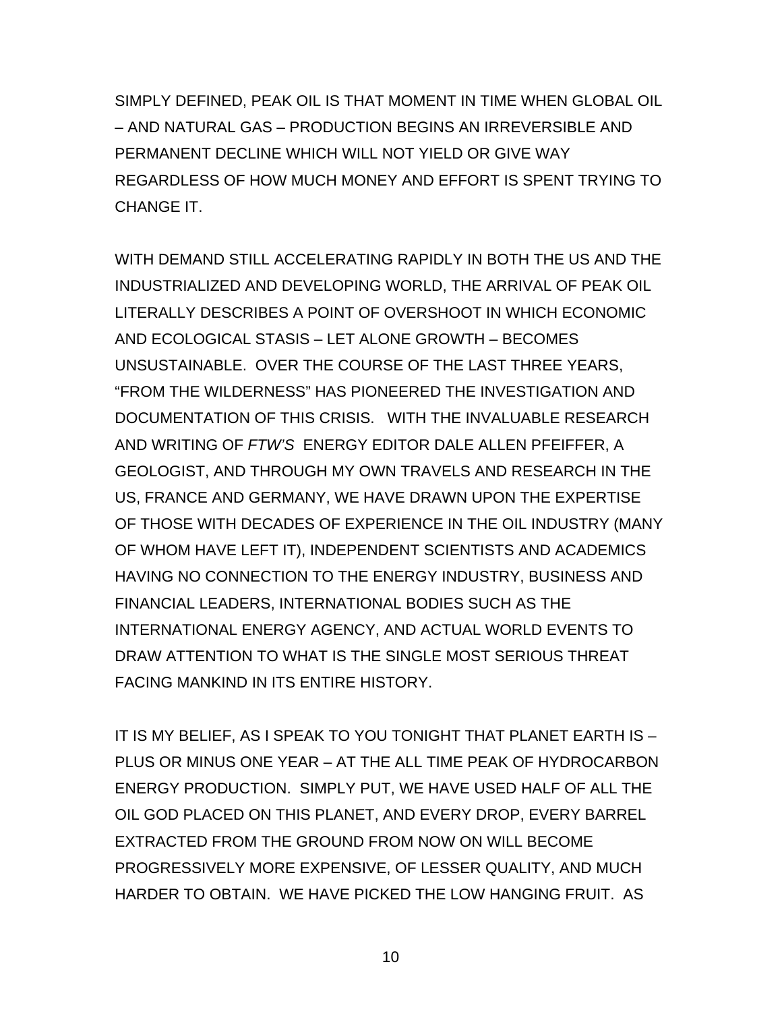SIMPLY DEFINED, PEAK OIL IS THAT MOMENT IN TIME WHEN GLOBAL OIL – AND NATURAL GAS – PRODUCTION BEGINS AN IRREVERSIBLE AND PERMANENT DECLINE WHICH WILL NOT YIELD OR GIVE WAY REGARDLESS OF HOW MUCH MONEY AND EFFORT IS SPENT TRYING TO CHANGE IT.

WITH DEMAND STILL ACCELERATING RAPIDLY IN BOTH THE US AND THE INDUSTRIALIZED AND DEVELOPING WORLD, THE ARRIVAL OF PEAK OIL LITERALLY DESCRIBES A POINT OF OVERSHOOT IN WHICH ECONOMIC AND ECOLOGICAL STASIS – LET ALONE GROWTH – BECOMES UNSUSTAINABLE. OVER THE COURSE OF THE LAST THREE YEARS, "FROM THE WILDERNESS" HAS PIONEERED THE INVESTIGATION AND DOCUMENTATION OF THIS CRISIS. WITH THE INVALUABLE RESEARCH AND WRITING OF *FTW'S* ENERGY EDITOR DALE ALLEN PFEIFFER, A GEOLOGIST, AND THROUGH MY OWN TRAVELS AND RESEARCH IN THE US, FRANCE AND GERMANY, WE HAVE DRAWN UPON THE EXPERTISE OF THOSE WITH DECADES OF EXPERIENCE IN THE OIL INDUSTRY (MANY OF WHOM HAVE LEFT IT), INDEPENDENT SCIENTISTS AND ACADEMICS HAVING NO CONNECTION TO THE ENERGY INDUSTRY, BUSINESS AND FINANCIAL LEADERS, INTERNATIONAL BODIES SUCH AS THE INTERNATIONAL ENERGY AGENCY, AND ACTUAL WORLD EVENTS TO DRAW ATTENTION TO WHAT IS THE SINGLE MOST SERIOUS THREAT FACING MANKIND IN ITS ENTIRE HISTORY.

IT IS MY BELIEF, AS I SPEAK TO YOU TONIGHT THAT PLANET EARTH IS – PLUS OR MINUS ONE YEAR – AT THE ALL TIME PEAK OF HYDROCARBON ENERGY PRODUCTION. SIMPLY PUT, WE HAVE USED HALF OF ALL THE OIL GOD PLACED ON THIS PLANET, AND EVERY DROP, EVERY BARREL EXTRACTED FROM THE GROUND FROM NOW ON WILL BECOME PROGRESSIVELY MORE EXPENSIVE, OF LESSER QUALITY, AND MUCH HARDER TO OBTAIN. WE HAVE PICKED THE LOW HANGING FRUIT. AS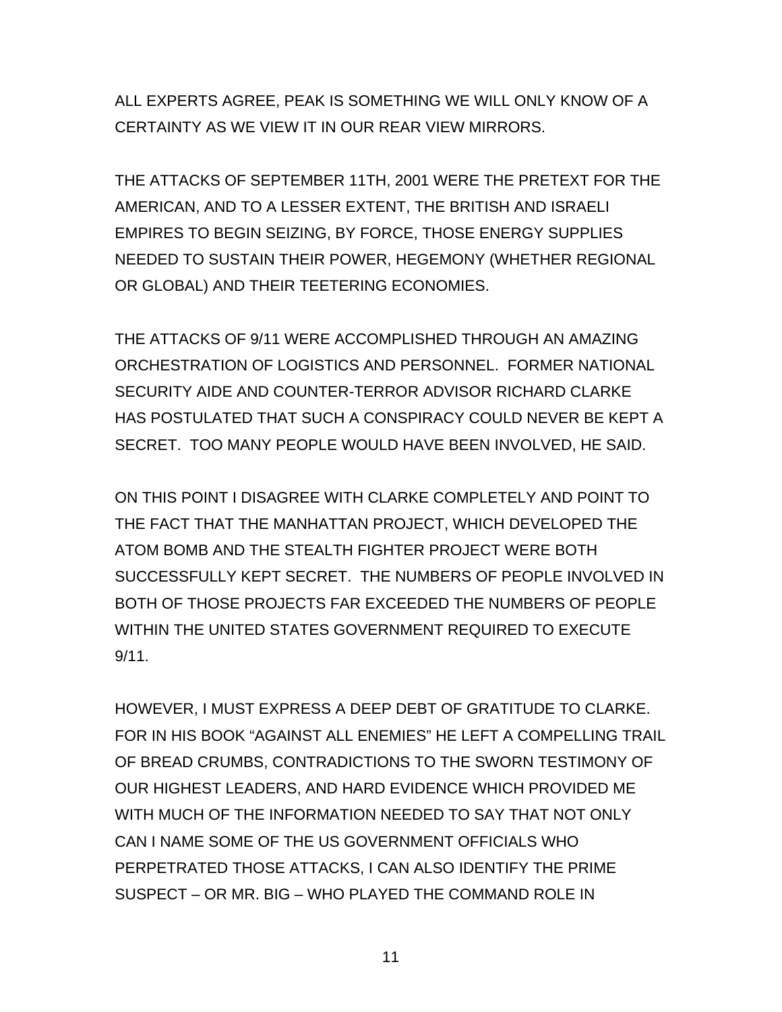ALL EXPERTS AGREE, PEAK IS SOMETHING WE WILL ONLY KNOW OF A CERTAINTY AS WE VIEW IT IN OUR REAR VIEW MIRRORS.

THE ATTACKS OF SEPTEMBER 11TH, 2001 WERE THE PRETEXT FOR THE AMERICAN, AND TO A LESSER EXTENT, THE BRITISH AND ISRAELI EMPIRES TO BEGIN SEIZING, BY FORCE, THOSE ENERGY SUPPLIES NEEDED TO SUSTAIN THEIR POWER, HEGEMONY (WHETHER REGIONAL OR GLOBAL) AND THEIR TEETERING ECONOMIES.

THE ATTACKS OF 9/11 WERE ACCOMPLISHED THROUGH AN AMAZING ORCHESTRATION OF LOGISTICS AND PERSONNEL. FORMER NATIONAL SECURITY AIDE AND COUNTER-TERROR ADVISOR RICHARD CLARKE HAS POSTULATED THAT SUCH A CONSPIRACY COULD NEVER BE KEPT A SECRET. TOO MANY PEOPLE WOULD HAVE BEEN INVOLVED, HE SAID.

ON THIS POINT I DISAGREE WITH CLARKE COMPLETELY AND POINT TO THE FACT THAT THE MANHATTAN PROJECT, WHICH DEVELOPED THE ATOM BOMB AND THE STEALTH FIGHTER PROJECT WERE BOTH SUCCESSFULLY KEPT SECRET. THE NUMBERS OF PEOPLE INVOLVED IN BOTH OF THOSE PROJECTS FAR EXCEEDED THE NUMBERS OF PEOPLE WITHIN THE UNITED STATES GOVERNMENT REQUIRED TO EXECUTE 9/11.

HOWEVER, I MUST EXPRESS A DEEP DEBT OF GRATITUDE TO CLARKE. FOR IN HIS BOOK "AGAINST ALL ENEMIES" HE LEFT A COMPELLING TRAIL OF BREAD CRUMBS, CONTRADICTIONS TO THE SWORN TESTIMONY OF OUR HIGHEST LEADERS, AND HARD EVIDENCE WHICH PROVIDED ME WITH MUCH OF THE INFORMATION NEEDED TO SAY THAT NOT ONLY CAN I NAME SOME OF THE US GOVERNMENT OFFICIALS WHO PERPETRATED THOSE ATTACKS, I CAN ALSO IDENTIFY THE PRIME SUSPECT – OR MR. BIG – WHO PLAYED THE COMMAND ROLE IN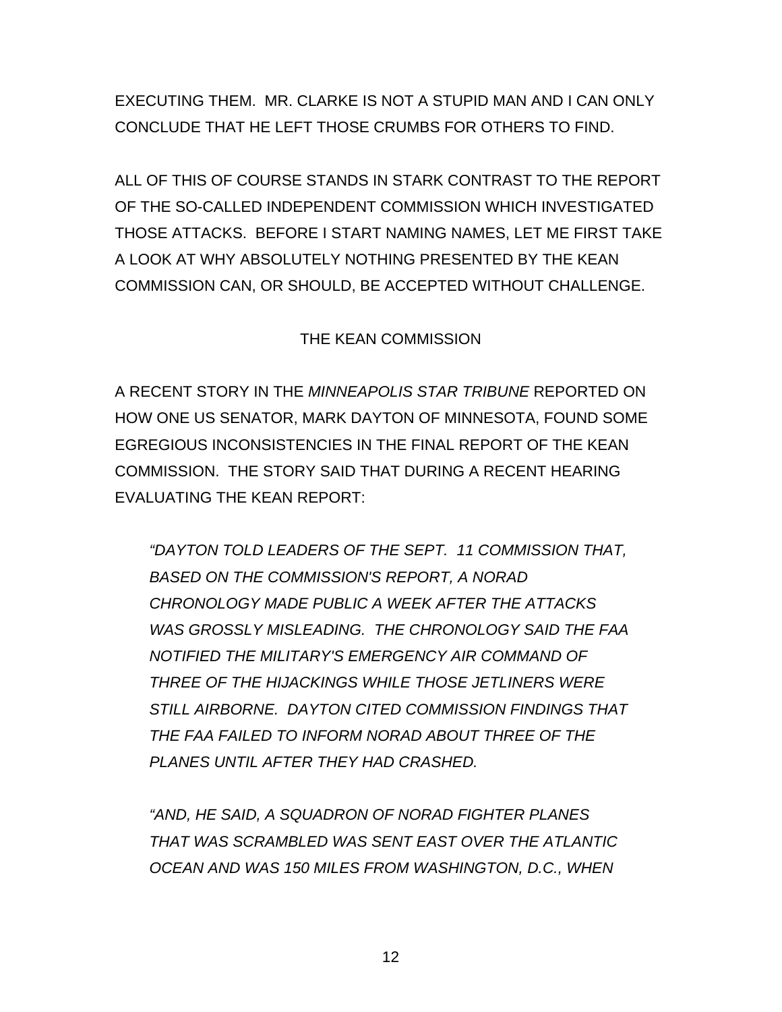EXECUTING THEM. MR. CLARKE IS NOT A STUPID MAN AND I CAN ONLY CONCLUDE THAT HE LEFT THOSE CRUMBS FOR OTHERS TO FIND.

ALL OF THIS OF COURSE STANDS IN STARK CONTRAST TO THE REPORT OF THE SO-CALLED INDEPENDENT COMMISSION WHICH INVESTIGATED THOSE ATTACKS. BEFORE I START NAMING NAMES, LET ME FIRST TAKE A LOOK AT WHY ABSOLUTELY NOTHING PRESENTED BY THE KEAN COMMISSION CAN, OR SHOULD, BE ACCEPTED WITHOUT CHALLENGE.

## THE KEAN COMMISSION

A RECENT STORY IN THE *MINNEAPOLIS STAR TRIBUNE* REPORTED ON HOW ONE US SENATOR, MARK DAYTON OF MINNESOTA, FOUND SOME EGREGIOUS INCONSISTENCIES IN THE FINAL REPORT OF THE KEAN COMMISSION. THE STORY SAID THAT DURING A RECENT HEARING EVALUATING THE KEAN REPORT:

*"DAYTON TOLD LEADERS OF THE SEPT. 11 COMMISSION THAT, BASED ON THE COMMISSION'S REPORT, A NORAD CHRONOLOGY MADE PUBLIC A WEEK AFTER THE ATTACKS WAS GROSSLY MISLEADING. THE CHRONOLOGY SAID THE FAA NOTIFIED THE MILITARY'S EMERGENCY AIR COMMAND OF THREE OF THE HIJACKINGS WHILE THOSE JETLINERS WERE STILL AIRBORNE. DAYTON CITED COMMISSION FINDINGS THAT THE FAA FAILED TO INFORM NORAD ABOUT THREE OF THE PLANES UNTIL AFTER THEY HAD CRASHED.* 

*"AND, HE SAID, A SQUADRON OF NORAD FIGHTER PLANES THAT WAS SCRAMBLED WAS SENT EAST OVER THE ATLANTIC OCEAN AND WAS 150 MILES FROM WASHINGTON, D.C., WHEN*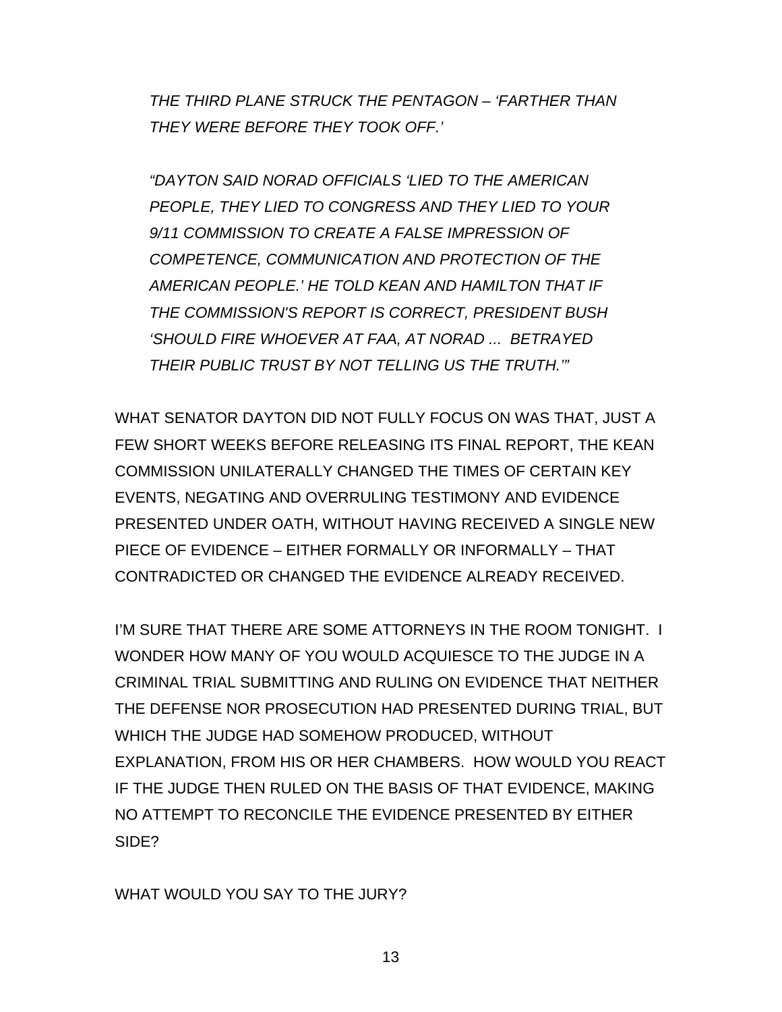*THE THIRD PLANE STRUCK THE PENTAGON – 'FARTHER THAN THEY WERE BEFORE THEY TOOK OFF.'* 

*"DAYTON SAID NORAD OFFICIALS 'LIED TO THE AMERICAN PEOPLE, THEY LIED TO CONGRESS AND THEY LIED TO YOUR 9/11 COMMISSION TO CREATE A FALSE IMPRESSION OF COMPETENCE, COMMUNICATION AND PROTECTION OF THE AMERICAN PEOPLE.' HE TOLD KEAN AND HAMILTON THAT IF THE COMMISSION'S REPORT IS CORRECT, PRESIDENT BUSH 'SHOULD FIRE WHOEVER AT FAA, AT NORAD ... BETRAYED THEIR PUBLIC TRUST BY NOT TELLING US THE TRUTH.'"* 

WHAT SENATOR DAYTON DID NOT FULLY FOCUS ON WAS THAT, JUST A FEW SHORT WEEKS BEFORE RELEASING ITS FINAL REPORT, THE KEAN COMMISSION UNILATERALLY CHANGED THE TIMES OF CERTAIN KEY EVENTS, NEGATING AND OVERRULING TESTIMONY AND EVIDENCE PRESENTED UNDER OATH, WITHOUT HAVING RECEIVED A SINGLE NEW PIECE OF EVIDENCE – EITHER FORMALLY OR INFORMALLY – THAT CONTRADICTED OR CHANGED THE EVIDENCE ALREADY RECEIVED.

I'M SURE THAT THERE ARE SOME ATTORNEYS IN THE ROOM TONIGHT. I WONDER HOW MANY OF YOU WOULD ACQUIESCE TO THE JUDGE IN A CRIMINAL TRIAL SUBMITTING AND RULING ON EVIDENCE THAT NEITHER THE DEFENSE NOR PROSECUTION HAD PRESENTED DURING TRIAL, BUT WHICH THE JUDGE HAD SOMEHOW PRODUCED, WITHOUT EXPLANATION, FROM HIS OR HER CHAMBERS. HOW WOULD YOU REACT IF THE JUDGE THEN RULED ON THE BASIS OF THAT EVIDENCE, MAKING NO ATTEMPT TO RECONCILE THE EVIDENCE PRESENTED BY EITHER SIDE?

WHAT WOULD YOU SAY TO THE JURY?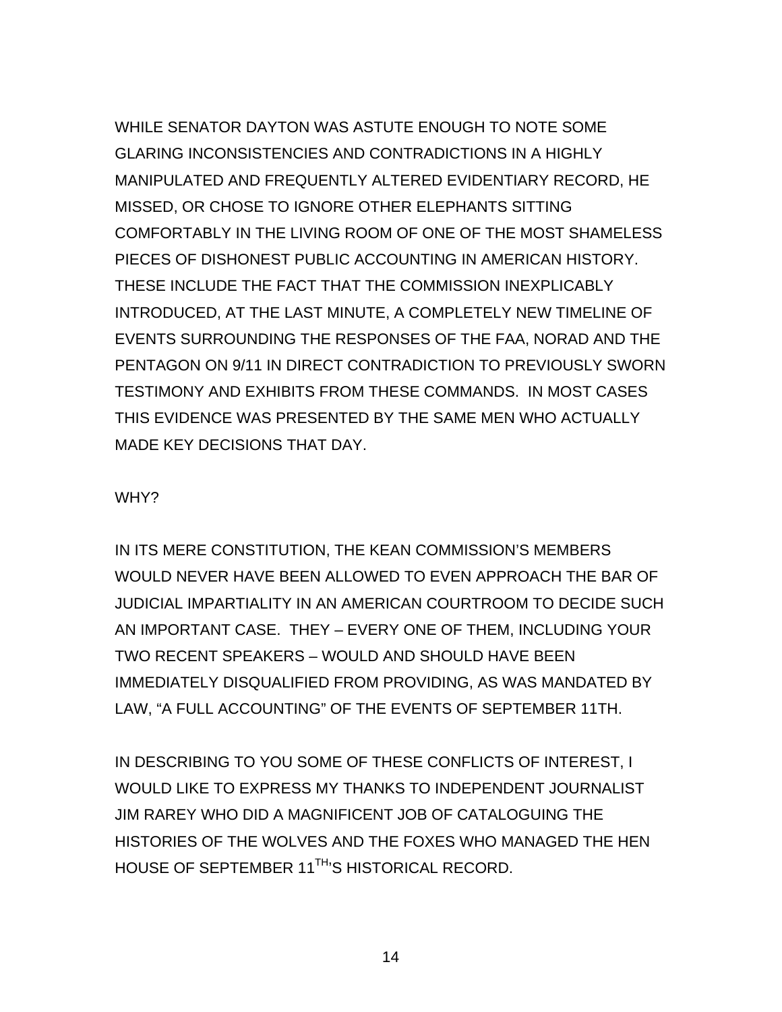WHILE SENATOR DAYTON WAS ASTUTE ENOUGH TO NOTE SOME GLARING INCONSISTENCIES AND CONTRADICTIONS IN A HIGHLY MANIPULATED AND FREQUENTLY ALTERED EVIDENTIARY RECORD, HE MISSED, OR CHOSE TO IGNORE OTHER ELEPHANTS SITTING COMFORTABLY IN THE LIVING ROOM OF ONE OF THE MOST SHAMELESS PIECES OF DISHONEST PUBLIC ACCOUNTING IN AMERICAN HISTORY. THESE INCLUDE THE FACT THAT THE COMMISSION INEXPLICABLY INTRODUCED, AT THE LAST MINUTE, A COMPLETELY NEW TIMELINE OF EVENTS SURROUNDING THE RESPONSES OF THE FAA, NORAD AND THE PENTAGON ON 9/11 IN DIRECT CONTRADICTION TO PREVIOUSLY SWORN TESTIMONY AND EXHIBITS FROM THESE COMMANDS. IN MOST CASES THIS EVIDENCE WAS PRESENTED BY THE SAME MEN WHO ACTUALLY MADE KEY DECISIONS THAT DAY.

### WHY?

IN ITS MERE CONSTITUTION, THE KEAN COMMISSION'S MEMBERS WOULD NEVER HAVE BEEN ALLOWED TO EVEN APPROACH THE BAR OF JUDICIAL IMPARTIALITY IN AN AMERICAN COURTROOM TO DECIDE SUCH AN IMPORTANT CASE. THEY – EVERY ONE OF THEM, INCLUDING YOUR TWO RECENT SPEAKERS – WOULD AND SHOULD HAVE BEEN IMMEDIATELY DISQUALIFIED FROM PROVIDING, AS WAS MANDATED BY LAW, "A FULL ACCOUNTING" OF THE EVENTS OF SEPTEMBER 11TH.

IN DESCRIBING TO YOU SOME OF THESE CONFLICTS OF INTEREST, I WOULD LIKE TO EXPRESS MY THANKS TO INDEPENDENT JOURNALIST JIM RAREY WHO DID A MAGNIFICENT JOB OF CATALOGUING THE HISTORIES OF THE WOLVES AND THE FOXES WHO MANAGED THE HEN HOUSE OF SEPTEMBER 11<sup>TH</sup>'S HISTORICAL RECORD.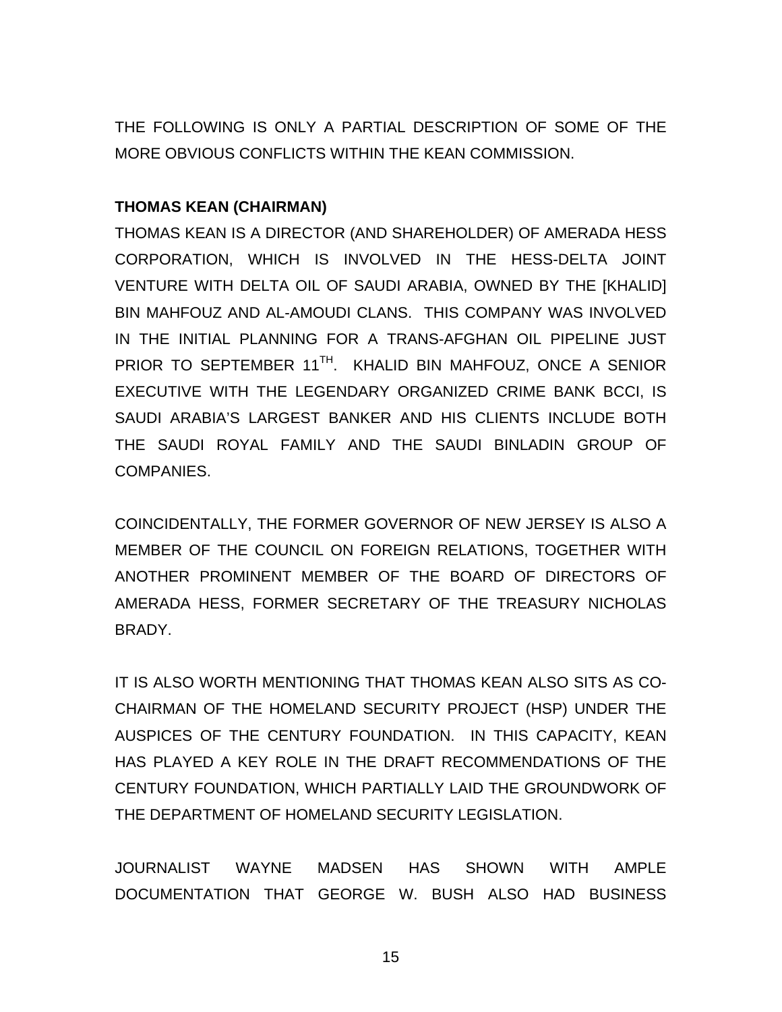THE FOLLOWING IS ONLY A PARTIAL DESCRIPTION OF SOME OF THE MORE OBVIOUS CONFLICTS WITHIN THE KEAN COMMISSION.

# **THOMAS KEAN (CHAIRMAN)**

THOMAS KEAN IS A DIRECTOR (AND SHAREHOLDER) OF AMERADA HESS CORPORATION, WHICH IS INVOLVED IN THE HESS-DELTA JOINT VENTURE WITH DELTA OIL OF SAUDI ARABIA, OWNED BY THE [KHALID] BIN MAHFOUZ AND AL-AMOUDI CLANS. THIS COMPANY WAS INVOLVED IN THE INITIAL PLANNING FOR A TRANS-AFGHAN OIL PIPELINE JUST PRIOR TO SEPTEMBER 11<sup>TH</sup>. KHALID BIN MAHFOUZ, ONCE A SENIOR EXECUTIVE WITH THE LEGENDARY ORGANIZED CRIME BANK BCCI, IS SAUDI ARABIA'S LARGEST BANKER AND HIS CLIENTS INCLUDE BOTH THE SAUDI ROYAL FAMILY AND THE SAUDI BINLADIN GROUP OF COMPANIES.

COINCIDENTALLY, THE FORMER GOVERNOR OF NEW JERSEY IS ALSO A MEMBER OF THE COUNCIL ON FOREIGN RELATIONS, TOGETHER WITH ANOTHER PROMINENT MEMBER OF THE BOARD OF DIRECTORS OF AMERADA HESS, FORMER SECRETARY OF THE TREASURY NICHOLAS BRADY.

IT IS ALSO WORTH MENTIONING THAT THOMAS KEAN ALSO SITS AS CO-CHAIRMAN OF THE HOMELAND SECURITY PROJECT (HSP) UNDER THE AUSPICES OF THE CENTURY FOUNDATION. IN THIS CAPACITY, KEAN HAS PLAYED A KEY ROLE IN THE DRAFT RECOMMENDATIONS OF THE CENTURY FOUNDATION, WHICH PARTIALLY LAID THE GROUNDWORK OF THE DEPARTMENT OF HOMELAND SECURITY LEGISLATION.

JOURNALIST WAYNE MADSEN HAS SHOWN WITH AMPLE DOCUMENTATION THAT GEORGE W. BUSH ALSO HAD BUSINESS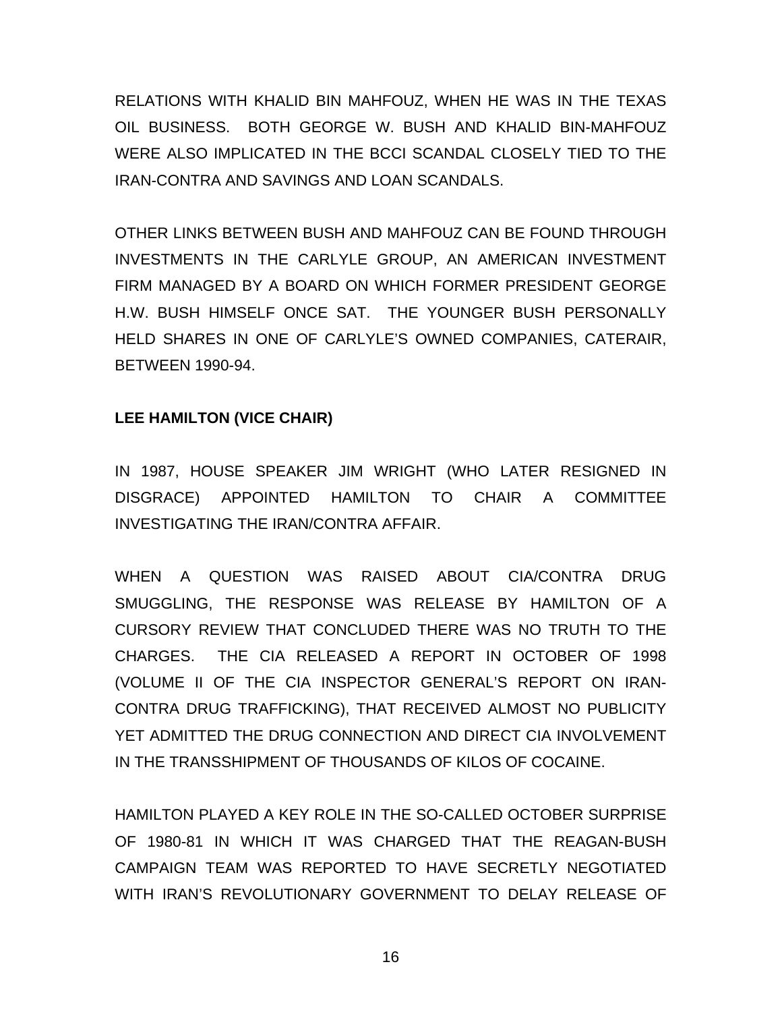RELATIONS WITH KHALID BIN MAHFOUZ, WHEN HE WAS IN THE TEXAS OIL BUSINESS. BOTH GEORGE W. BUSH AND KHALID BIN-MAHFOUZ WERE ALSO IMPLICATED IN THE BCCI SCANDAL CLOSELY TIED TO THE IRAN-CONTRA AND SAVINGS AND LOAN SCANDALS.

OTHER LINKS BETWEEN BUSH AND MAHFOUZ CAN BE FOUND THROUGH INVESTMENTS IN THE CARLYLE GROUP, AN AMERICAN INVESTMENT FIRM MANAGED BY A BOARD ON WHICH FORMER PRESIDENT GEORGE H.W. BUSH HIMSELF ONCE SAT. THE YOUNGER BUSH PERSONALLY HELD SHARES IN ONE OF CARLYLE'S OWNED COMPANIES, CATERAIR, BETWEEN 1990-94.

## **LEE HAMILTON (VICE CHAIR)**

IN 1987, HOUSE SPEAKER JIM WRIGHT (WHO LATER RESIGNED IN DISGRACE) APPOINTED HAMILTON TO CHAIR A COMMITTEE INVESTIGATING THE IRAN/CONTRA AFFAIR.

WHEN A QUESTION WAS RAISED ABOUT CIA/CONTRA DRUG SMUGGLING, THE RESPONSE WAS RELEASE BY HAMILTON OF A CURSORY REVIEW THAT CONCLUDED THERE WAS NO TRUTH TO THE CHARGES. THE CIA RELEASED A REPORT IN OCTOBER OF 1998 (VOLUME II OF THE CIA INSPECTOR GENERAL'S REPORT ON IRAN-CONTRA DRUG TRAFFICKING), THAT RECEIVED ALMOST NO PUBLICITY YET ADMITTED THE DRUG CONNECTION AND DIRECT CIA INVOLVEMENT IN THE TRANSSHIPMENT OF THOUSANDS OF KILOS OF COCAINE.

HAMILTON PLAYED A KEY ROLE IN THE SO-CALLED OCTOBER SURPRISE OF 1980-81 IN WHICH IT WAS CHARGED THAT THE REAGAN-BUSH CAMPAIGN TEAM WAS REPORTED TO HAVE SECRETLY NEGOTIATED WITH IRAN'S REVOLUTIONARY GOVERNMENT TO DELAY RELEASE OF

16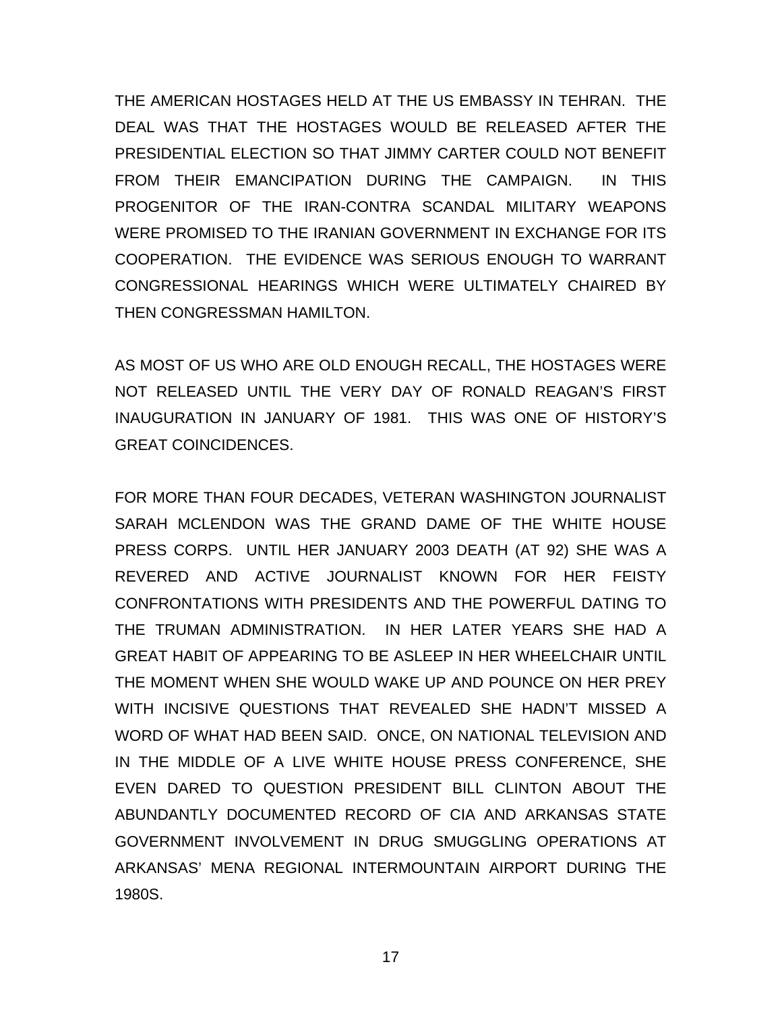THE AMERICAN HOSTAGES HELD AT THE US EMBASSY IN TEHRAN. THE DEAL WAS THAT THE HOSTAGES WOULD BE RELEASED AFTER THE PRESIDENTIAL ELECTION SO THAT JIMMY CARTER COULD NOT BENEFIT FROM THEIR EMANCIPATION DURING THE CAMPAIGN. IN THIS PROGENITOR OF THE IRAN-CONTRA SCANDAL MILITARY WEAPONS WERE PROMISED TO THE IRANIAN GOVERNMENT IN EXCHANGE FOR ITS COOPERATION. THE EVIDENCE WAS SERIOUS ENOUGH TO WARRANT CONGRESSIONAL HEARINGS WHICH WERE ULTIMATELY CHAIRED BY THEN CONGRESSMAN HAMILTON.

AS MOST OF US WHO ARE OLD ENOUGH RECALL, THE HOSTAGES WERE NOT RELEASED UNTIL THE VERY DAY OF RONALD REAGAN'S FIRST INAUGURATION IN JANUARY OF 1981. THIS WAS ONE OF HISTORY'S GREAT COINCIDENCES.

FOR MORE THAN FOUR DECADES, VETERAN WASHINGTON JOURNALIST SARAH MCLENDON WAS THE GRAND DAME OF THE WHITE HOUSE PRESS CORPS. UNTIL HER JANUARY 2003 DEATH (AT 92) SHE WAS A REVERED AND ACTIVE JOURNALIST KNOWN FOR HER FEISTY CONFRONTATIONS WITH PRESIDENTS AND THE POWERFUL DATING TO THE TRUMAN ADMINISTRATION. IN HER LATER YEARS SHE HAD A GREAT HABIT OF APPEARING TO BE ASLEEP IN HER WHEELCHAIR UNTIL THE MOMENT WHEN SHE WOULD WAKE UP AND POUNCE ON HER PREY WITH INCISIVE QUESTIONS THAT REVEALED SHE HADN'T MISSED A WORD OF WHAT HAD BEEN SAID. ONCE, ON NATIONAL TELEVISION AND IN THE MIDDLE OF A LIVE WHITE HOUSE PRESS CONFERENCE, SHE EVEN DARED TO QUESTION PRESIDENT BILL CLINTON ABOUT THE ABUNDANTLY DOCUMENTED RECORD OF CIA AND ARKANSAS STATE GOVERNMENT INVOLVEMENT IN DRUG SMUGGLING OPERATIONS AT ARKANSAS' MENA REGIONAL INTERMOUNTAIN AIRPORT DURING THE 1980S.

17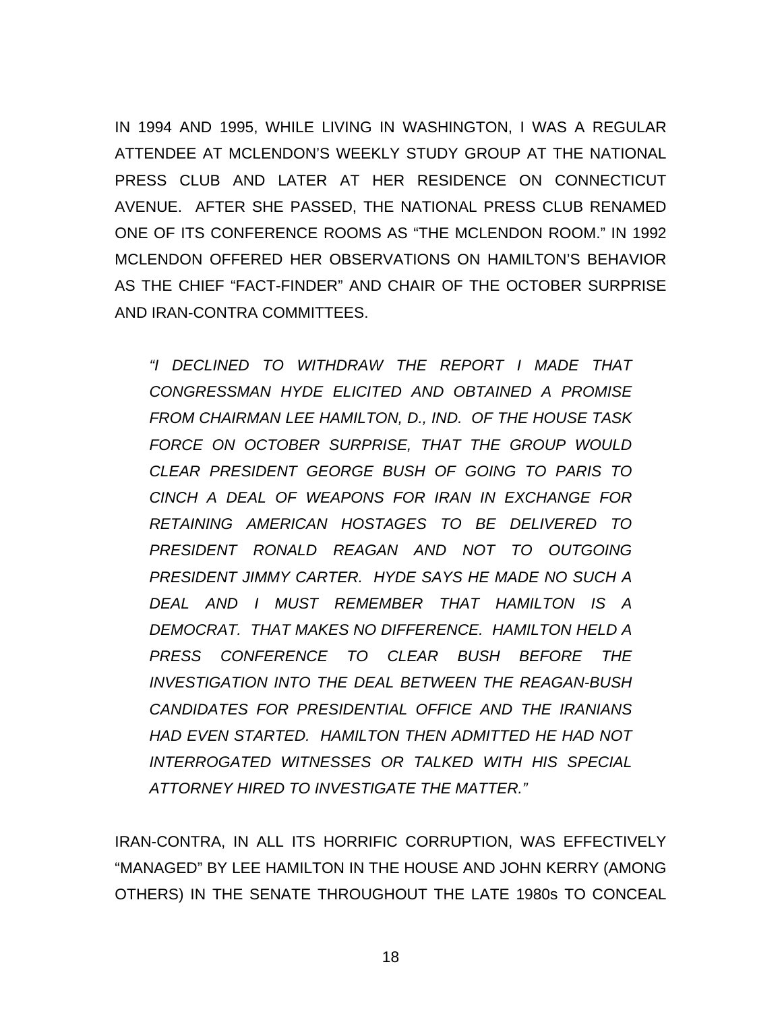IN 1994 AND 1995, WHILE LIVING IN WASHINGTON, I WAS A REGULAR ATTENDEE AT MCLENDON'S WEEKLY STUDY GROUP AT THE NATIONAL PRESS CLUB AND LATER AT HER RESIDENCE ON CONNECTICUT AVENUE. AFTER SHE PASSED, THE NATIONAL PRESS CLUB RENAMED ONE OF ITS CONFERENCE ROOMS AS "THE MCLENDON ROOM." IN 1992 MCLENDON OFFERED HER OBSERVATIONS ON HAMILTON'S BEHAVIOR AS THE CHIEF "FACT-FINDER" AND CHAIR OF THE OCTOBER SURPRISE AND IRAN-CONTRA COMMITTEES.

*"I DECLINED TO WITHDRAW THE REPORT I MADE THAT CONGRESSMAN HYDE ELICITED AND OBTAINED A PROMISE FROM CHAIRMAN LEE HAMILTON, D., IND. OF THE HOUSE TASK FORCE ON OCTOBER SURPRISE, THAT THE GROUP WOULD CLEAR PRESIDENT GEORGE BUSH OF GOING TO PARIS TO CINCH A DEAL OF WEAPONS FOR IRAN IN EXCHANGE FOR RETAINING AMERICAN HOSTAGES TO BE DELIVERED TO PRESIDENT RONALD REAGAN AND NOT TO OUTGOING PRESIDENT JIMMY CARTER. HYDE SAYS HE MADE NO SUCH A DEAL AND I MUST REMEMBER THAT HAMILTON IS A DEMOCRAT. THAT MAKES NO DIFFERENCE. HAMILTON HELD A PRESS CONFERENCE TO CLEAR BUSH BEFORE THE INVESTIGATION INTO THE DEAL BETWEEN THE REAGAN-BUSH CANDIDATES FOR PRESIDENTIAL OFFICE AND THE IRANIANS HAD EVEN STARTED. HAMILTON THEN ADMITTED HE HAD NOT INTERROGATED WITNESSES OR TALKED WITH HIS SPECIAL ATTORNEY HIRED TO INVESTIGATE THE MATTER."* 

IRAN-CONTRA, IN ALL ITS HORRIFIC CORRUPTION, WAS EFFECTIVELY "MANAGED" BY LEE HAMILTON IN THE HOUSE AND JOHN KERRY (AMONG OTHERS) IN THE SENATE THROUGHOUT THE LATE 1980s TO CONCEAL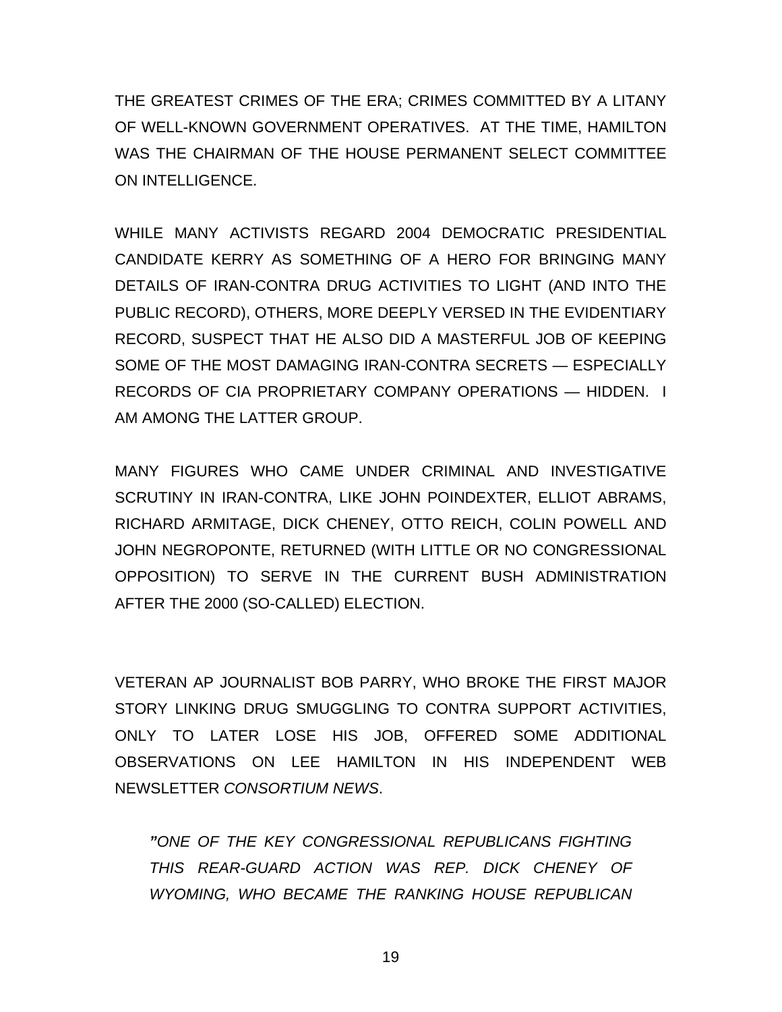THE GREATEST CRIMES OF THE ERA; CRIMES COMMITTED BY A LITANY OF WELL-KNOWN GOVERNMENT OPERATIVES. AT THE TIME, HAMILTON WAS THE CHAIRMAN OF THE HOUSE PERMANENT SELECT COMMITTEE ON INTELLIGENCE.

WHILE MANY ACTIVISTS REGARD 2004 DEMOCRATIC PRESIDENTIAL CANDIDATE KERRY AS SOMETHING OF A HERO FOR BRINGING MANY DETAILS OF IRAN-CONTRA DRUG ACTIVITIES TO LIGHT (AND INTO THE PUBLIC RECORD), OTHERS, MORE DEEPLY VERSED IN THE EVIDENTIARY RECORD, SUSPECT THAT HE ALSO DID A MASTERFUL JOB OF KEEPING SOME OF THE MOST DAMAGING IRAN-CONTRA SECRETS — ESPECIALLY RECORDS OF CIA PROPRIETARY COMPANY OPERATIONS — HIDDEN. I AM AMONG THE LATTER GROUP.

MANY FIGURES WHO CAME UNDER CRIMINAL AND INVESTIGATIVE SCRUTINY IN IRAN-CONTRA, LIKE JOHN POINDEXTER, ELLIOT ABRAMS, RICHARD ARMITAGE, DICK CHENEY, OTTO REICH, COLIN POWELL AND JOHN NEGROPONTE, RETURNED (WITH LITTLE OR NO CONGRESSIONAL OPPOSITION) TO SERVE IN THE CURRENT BUSH ADMINISTRATION AFTER THE 2000 (SO-CALLED) ELECTION.

VETERAN AP JOURNALIST BOB PARRY, WHO BROKE THE FIRST MAJOR STORY LINKING DRUG SMUGGLING TO CONTRA SUPPORT ACTIVITIES, ONLY TO LATER LOSE HIS JOB, OFFERED SOME ADDITIONAL OBSERVATIONS ON LEE HAMILTON IN HIS INDEPENDENT WEB NEWSLETTER *CONSORTIUM NEWS*.

*"ONE OF THE KEY CONGRESSIONAL REPUBLICANS FIGHTING THIS REAR-GUARD ACTION WAS REP. DICK CHENEY OF WYOMING, WHO BECAME THE RANKING HOUSE REPUBLICAN*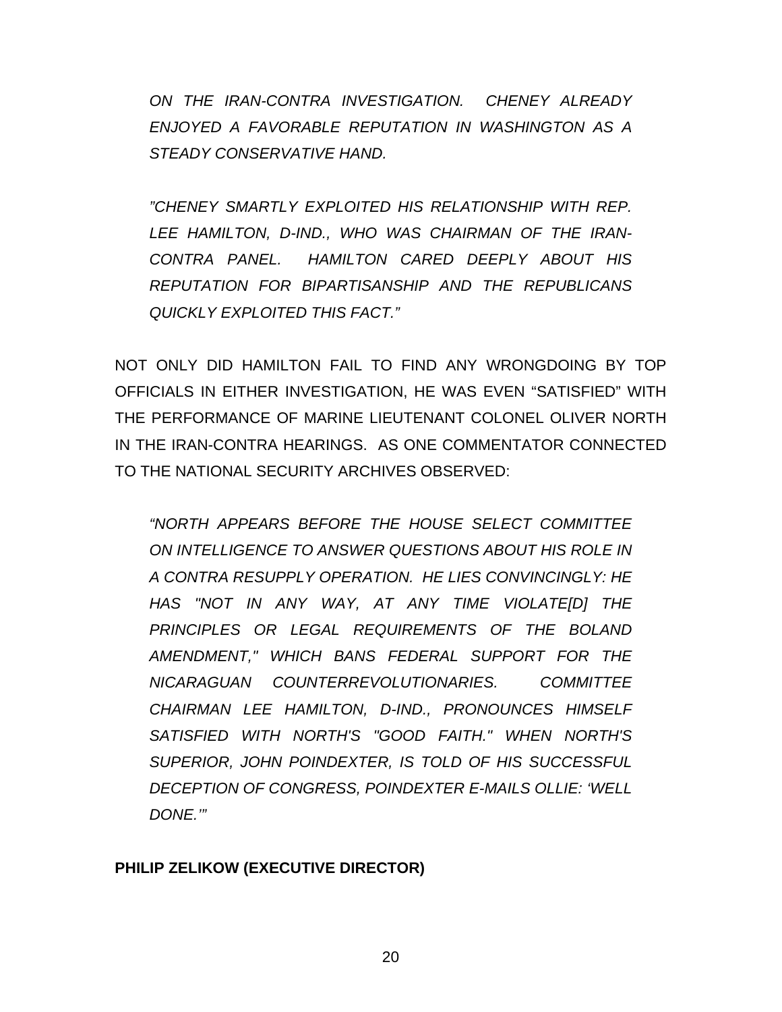*ON THE IRAN-CONTRA INVESTIGATION. CHENEY ALREADY ENJOYED A FAVORABLE REPUTATION IN WASHINGTON AS A STEADY CONSERVATIVE HAND.* 

*"CHENEY SMARTLY EXPLOITED HIS RELATIONSHIP WITH REP. LEE HAMILTON, D-IND., WHO WAS CHAIRMAN OF THE IRAN-CONTRA PANEL. HAMILTON CARED DEEPLY ABOUT HIS REPUTATION FOR BIPARTISANSHIP AND THE REPUBLICANS QUICKLY EXPLOITED THIS FACT."*

NOT ONLY DID HAMILTON FAIL TO FIND ANY WRONGDOING BY TOP OFFICIALS IN EITHER INVESTIGATION, HE WAS EVEN "SATISFIED" WITH THE PERFORMANCE OF MARINE LIEUTENANT COLONEL OLIVER NORTH IN THE IRAN-CONTRA HEARINGS. AS ONE COMMENTATOR CONNECTED TO THE NATIONAL SECURITY ARCHIVES OBSERVED:

*"NORTH APPEARS BEFORE THE HOUSE SELECT COMMITTEE ON INTELLIGENCE TO ANSWER QUESTIONS ABOUT HIS ROLE IN A CONTRA RESUPPLY OPERATION. HE LIES CONVINCINGLY: HE HAS "NOT IN ANY WAY, AT ANY TIME VIOLATE[D] THE PRINCIPLES OR LEGAL REQUIREMENTS OF THE BOLAND AMENDMENT," WHICH BANS FEDERAL SUPPORT FOR THE NICARAGUAN COUNTERREVOLUTIONARIES. COMMITTEE CHAIRMAN LEE HAMILTON, D-IND., PRONOUNCES HIMSELF SATISFIED WITH NORTH'S "GOOD FAITH." WHEN NORTH'S SUPERIOR, JOHN POINDEXTER, IS TOLD OF HIS SUCCESSFUL DECEPTION OF CONGRESS, POINDEXTER E-MAILS OLLIE: 'WELL DONE.'"* 

## **PHILIP ZELIKOW (EXECUTIVE DIRECTOR)**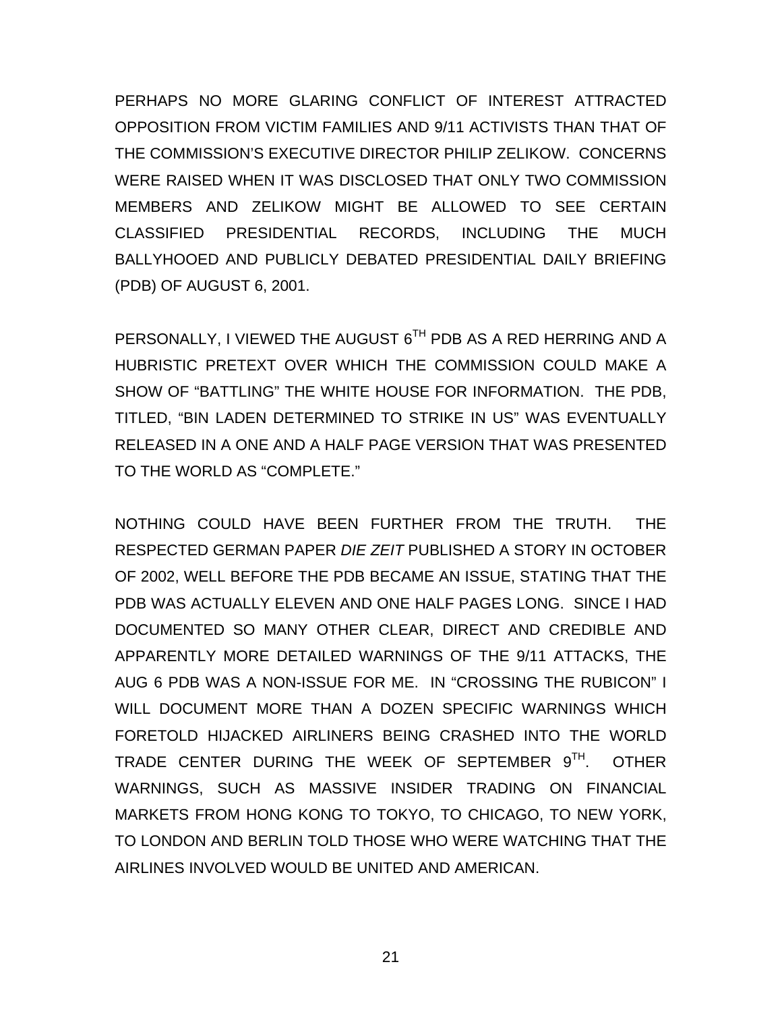PERHAPS NO MORE GLARING CONFLICT OF INTEREST ATTRACTED OPPOSITION FROM VICTIM FAMILIES AND 9/11 ACTIVISTS THAN THAT OF THE COMMISSION'S EXECUTIVE DIRECTOR PHILIP ZELIKOW. CONCERNS WERE RAISED WHEN IT WAS DISCLOSED THAT ONLY TWO COMMISSION MEMBERS AND ZELIKOW MIGHT BE ALLOWED TO SEE CERTAIN CLASSIFIED PRESIDENTIAL RECORDS, INCLUDING THE MUCH BALLYHOOED AND PUBLICLY DEBATED PRESIDENTIAL DAILY BRIEFING (PDB) OF AUGUST 6, 2001.

PERSONALLY, I VIEWED THE AUGUST 6TH PDB AS A RED HERRING AND A HUBRISTIC PRETEXT OVER WHICH THE COMMISSION COULD MAKE A SHOW OF "BATTLING" THE WHITE HOUSE FOR INFORMATION. THE PDB, TITLED, "BIN LADEN DETERMINED TO STRIKE IN US" WAS EVENTUALLY RELEASED IN A ONE AND A HALF PAGE VERSION THAT WAS PRESENTED TO THE WORLD AS "COMPLETE."

NOTHING COULD HAVE BEEN FURTHER FROM THE TRUTH. THE RESPECTED GERMAN PAPER *DIE ZEIT* PUBLISHED A STORY IN OCTOBER OF 2002, WELL BEFORE THE PDB BECAME AN ISSUE, STATING THAT THE PDB WAS ACTUALLY ELEVEN AND ONE HALF PAGES LONG. SINCE I HAD DOCUMENTED SO MANY OTHER CLEAR, DIRECT AND CREDIBLE AND APPARENTLY MORE DETAILED WARNINGS OF THE 9/11 ATTACKS, THE AUG 6 PDB WAS A NON-ISSUE FOR ME. IN "CROSSING THE RUBICON" I WILL DOCUMENT MORE THAN A DOZEN SPECIFIC WARNINGS WHICH FORETOLD HIJACKED AIRLINERS BEING CRASHED INTO THE WORLD TRADE CENTER DURING THE WEEK OF SEPTEMBER 9TH. OTHER WARNINGS, SUCH AS MASSIVE INSIDER TRADING ON FINANCIAL MARKETS FROM HONG KONG TO TOKYO, TO CHICAGO, TO NEW YORK, TO LONDON AND BERLIN TOLD THOSE WHO WERE WATCHING THAT THE AIRLINES INVOLVED WOULD BE UNITED AND AMERICAN.

21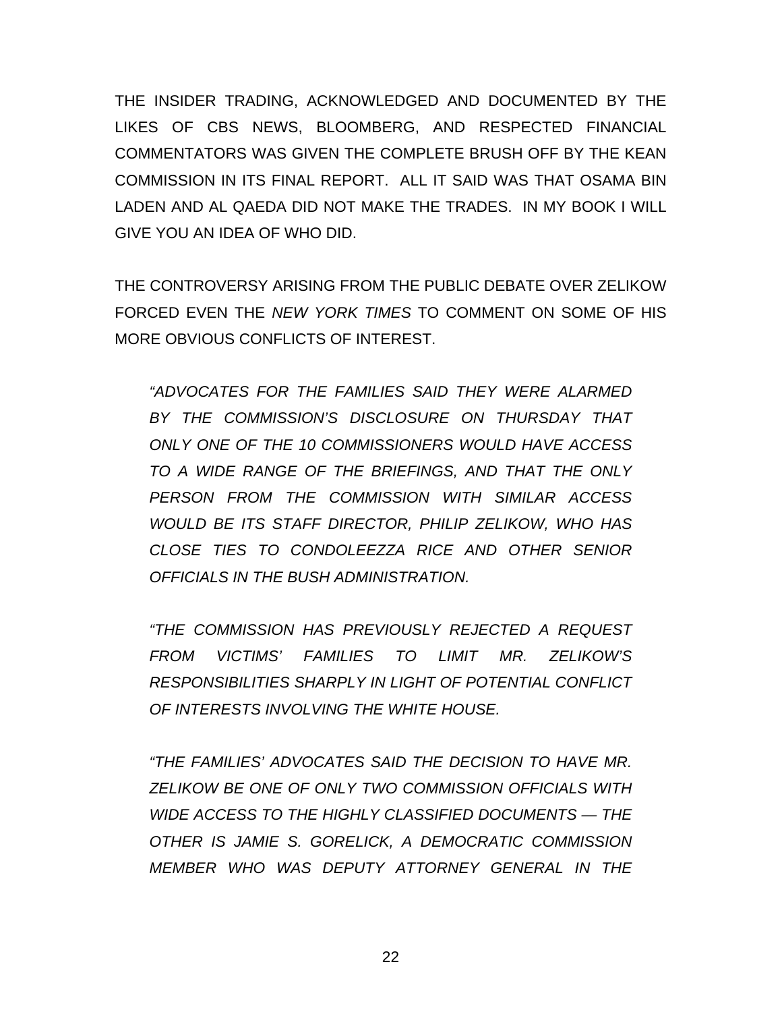THE INSIDER TRADING, ACKNOWLEDGED AND DOCUMENTED BY THE LIKES OF CBS NEWS, BLOOMBERG, AND RESPECTED FINANCIAL COMMENTATORS WAS GIVEN THE COMPLETE BRUSH OFF BY THE KEAN COMMISSION IN ITS FINAL REPORT. ALL IT SAID WAS THAT OSAMA BIN LADEN AND AL QAEDA DID NOT MAKE THE TRADES. IN MY BOOK I WILL GIVE YOU AN IDEA OF WHO DID.

THE CONTROVERSY ARISING FROM THE PUBLIC DEBATE OVER ZELIKOW FORCED EVEN THE *NEW YORK TIMES* TO COMMENT ON SOME OF HIS MORE OBVIOUS CONFLICTS OF INTEREST.

*"ADVOCATES FOR THE FAMILIES SAID THEY WERE ALARMED BY THE COMMISSION'S DISCLOSURE ON THURSDAY THAT ONLY ONE OF THE 10 COMMISSIONERS WOULD HAVE ACCESS TO A WIDE RANGE OF THE BRIEFINGS, AND THAT THE ONLY PERSON FROM THE COMMISSION WITH SIMILAR ACCESS WOULD BE ITS STAFF DIRECTOR, PHILIP ZELIKOW, WHO HAS CLOSE TIES TO CONDOLEEZZA RICE AND OTHER SENIOR OFFICIALS IN THE BUSH ADMINISTRATION.* 

*"THE COMMISSION HAS PREVIOUSLY REJECTED A REQUEST FROM VICTIMS' FAMILIES TO LIMIT MR. ZELIKOW'S RESPONSIBILITIES SHARPLY IN LIGHT OF POTENTIAL CONFLICT OF INTERESTS INVOLVING THE WHITE HOUSE.* 

*"THE FAMILIES' ADVOCATES SAID THE DECISION TO HAVE MR. ZELIKOW BE ONE OF ONLY TWO COMMISSION OFFICIALS WITH WIDE ACCESS TO THE HIGHLY CLASSIFIED DOCUMENTS — THE OTHER IS JAMIE S. GORELICK, A DEMOCRATIC COMMISSION MEMBER WHO WAS DEPUTY ATTORNEY GENERAL IN THE*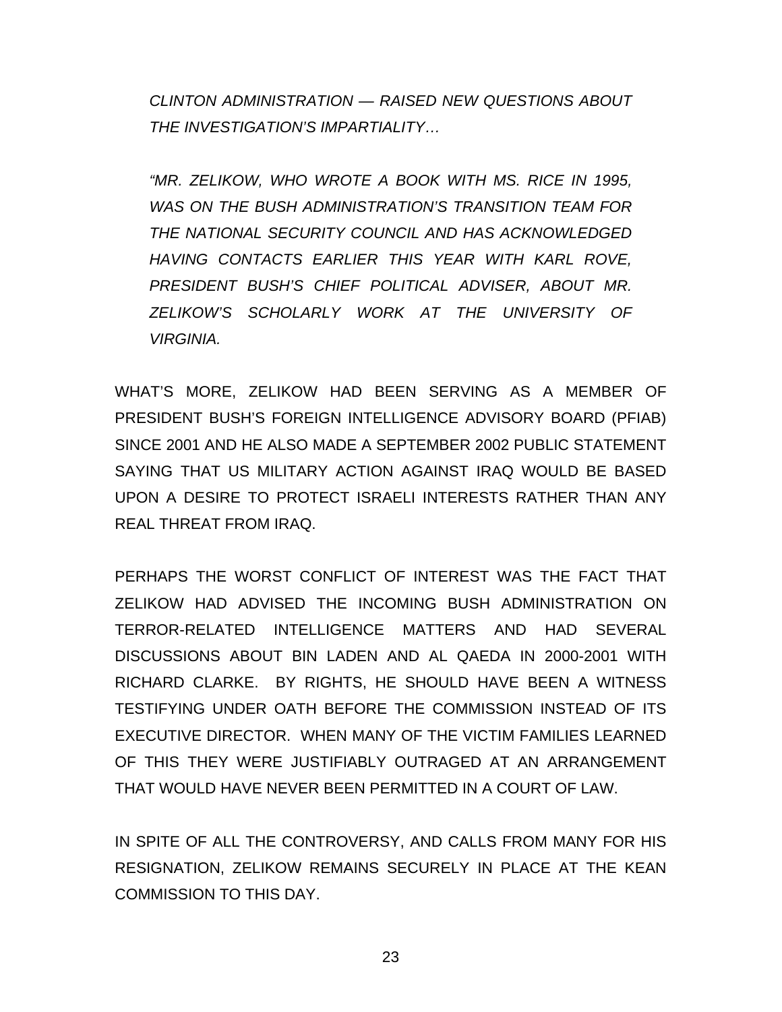*CLINTON ADMINISTRATION — RAISED NEW QUESTIONS ABOUT THE INVESTIGATION'S IMPARTIALITY…* 

*"MR. ZELIKOW, WHO WROTE A BOOK WITH MS. RICE IN 1995, WAS ON THE BUSH ADMINISTRATION'S TRANSITION TEAM FOR THE NATIONAL SECURITY COUNCIL AND HAS ACKNOWLEDGED HAVING CONTACTS EARLIER THIS YEAR WITH KARL ROVE, PRESIDENT BUSH'S CHIEF POLITICAL ADVISER, ABOUT MR. ZELIKOW'S SCHOLARLY WORK AT THE UNIVERSITY OF VIRGINIA.* 

WHAT'S MORE, ZELIKOW HAD BEEN SERVING AS A MEMBER OF PRESIDENT BUSH'S FOREIGN INTELLIGENCE ADVISORY BOARD (PFIAB) SINCE 2001 AND HE ALSO MADE A SEPTEMBER 2002 PUBLIC STATEMENT SAYING THAT US MILITARY ACTION AGAINST IRAQ WOULD BE BASED UPON A DESIRE TO PROTECT ISRAELI INTERESTS RATHER THAN ANY REAL THREAT FROM IRAQ.

PERHAPS THE WORST CONFLICT OF INTEREST WAS THE FACT THAT ZELIKOW HAD ADVISED THE INCOMING BUSH ADMINISTRATION ON TERROR-RELATED INTELLIGENCE MATTERS AND HAD SEVERAL DISCUSSIONS ABOUT BIN LADEN AND AL QAEDA IN 2000-2001 WITH RICHARD CLARKE. BY RIGHTS, HE SHOULD HAVE BEEN A WITNESS TESTIFYING UNDER OATH BEFORE THE COMMISSION INSTEAD OF ITS EXECUTIVE DIRECTOR. WHEN MANY OF THE VICTIM FAMILIES LEARNED OF THIS THEY WERE JUSTIFIABLY OUTRAGED AT AN ARRANGEMENT THAT WOULD HAVE NEVER BEEN PERMITTED IN A COURT OF LAW.

IN SPITE OF ALL THE CONTROVERSY, AND CALLS FROM MANY FOR HIS RESIGNATION, ZELIKOW REMAINS SECURELY IN PLACE AT THE KEAN COMMISSION TO THIS DAY.

23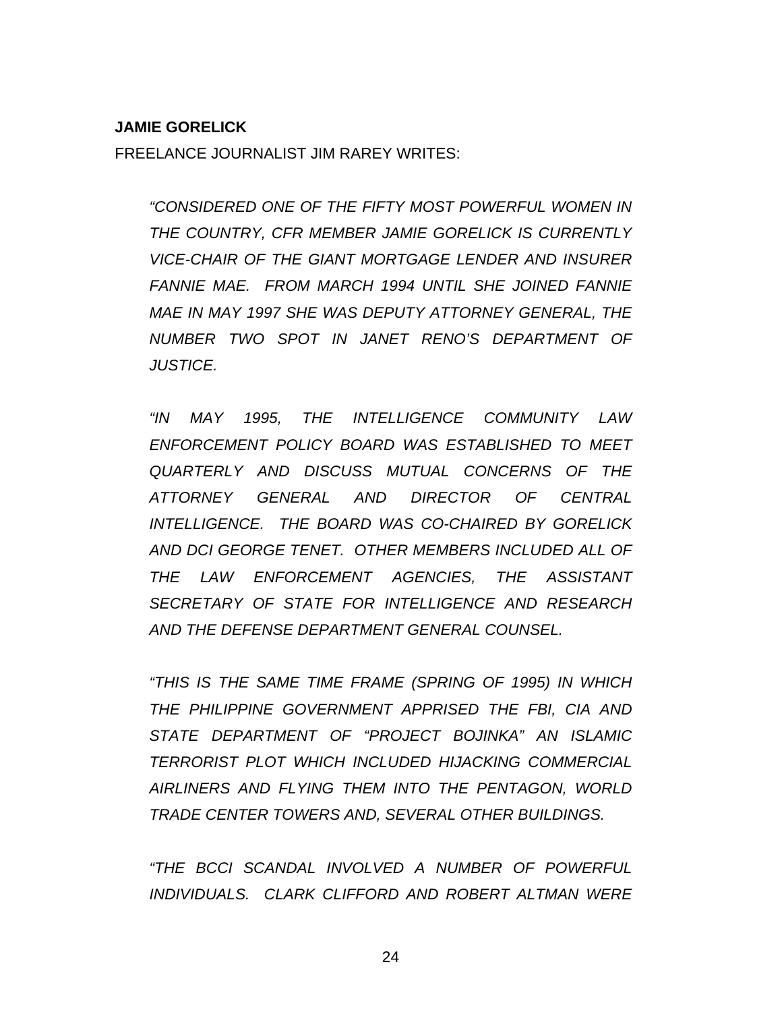#### **JAMIE GORELICK**

FREELANCE JOURNALIST JIM RAREY WRITES:

*"CONSIDERED ONE OF THE FIFTY MOST POWERFUL WOMEN IN THE COUNTRY, CFR MEMBER JAMIE GORELICK IS CURRENTLY VICE-CHAIR OF THE GIANT MORTGAGE LENDER AND INSURER FANNIE MAE. FROM MARCH 1994 UNTIL SHE JOINED FANNIE MAE IN MAY 1997 SHE WAS DEPUTY ATTORNEY GENERAL, THE NUMBER TWO SPOT IN JANET RENO'S DEPARTMENT OF JUSTICE.* 

*"IN MAY 1995, THE INTELLIGENCE COMMUNITY LAW ENFORCEMENT POLICY BOARD WAS ESTABLISHED TO MEET QUARTERLY AND DISCUSS MUTUAL CONCERNS OF THE ATTORNEY GENERAL AND DIRECTOR OF CENTRAL INTELLIGENCE. THE BOARD WAS CO-CHAIRED BY GORELICK AND DCI GEORGE TENET. OTHER MEMBERS INCLUDED ALL OF THE LAW ENFORCEMENT AGENCIES, THE ASSISTANT SECRETARY OF STATE FOR INTELLIGENCE AND RESEARCH AND THE DEFENSE DEPARTMENT GENERAL COUNSEL.* 

*"THIS IS THE SAME TIME FRAME (SPRING OF 1995) IN WHICH THE PHILIPPINE GOVERNMENT APPRISED THE FBI, CIA AND STATE DEPARTMENT OF "PROJECT BOJINKA" AN ISLAMIC TERRORIST PLOT WHICH INCLUDED HIJACKING COMMERCIAL AIRLINERS AND FLYING THEM INTO THE PENTAGON, WORLD TRADE CENTER TOWERS AND, SEVERAL OTHER BUILDINGS.* 

*"THE BCCI SCANDAL INVOLVED A NUMBER OF POWERFUL INDIVIDUALS. CLARK CLIFFORD AND ROBERT ALTMAN WERE*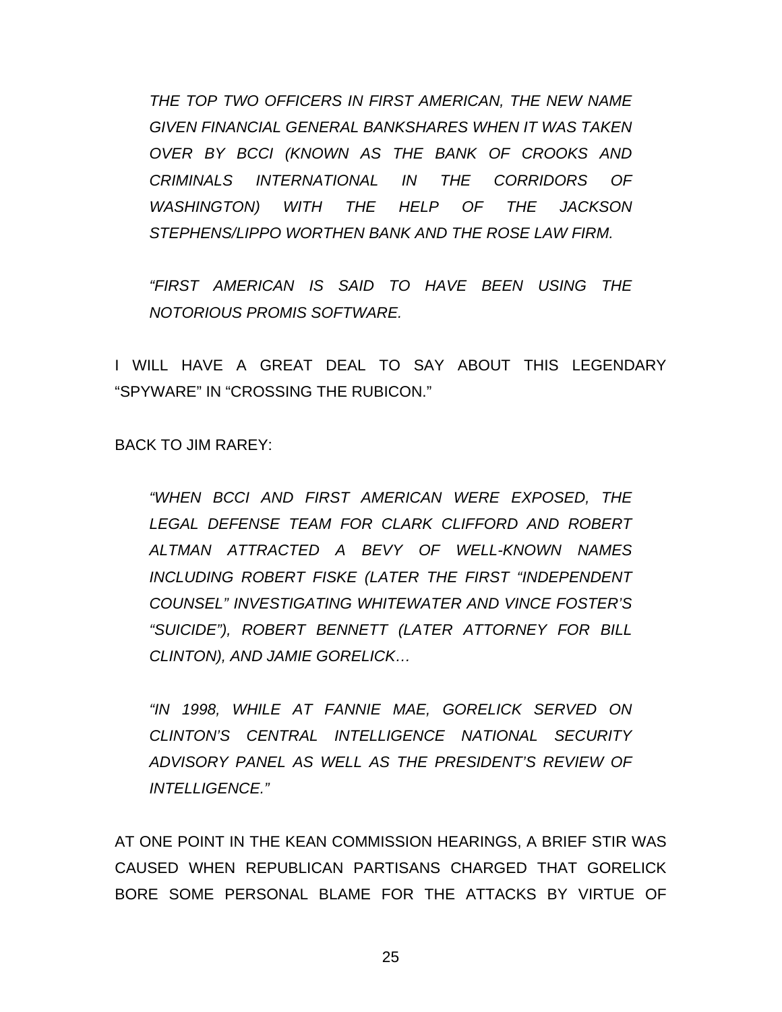*THE TOP TWO OFFICERS IN FIRST AMERICAN, THE NEW NAME GIVEN FINANCIAL GENERAL BANKSHARES WHEN IT WAS TAKEN OVER BY BCCI (KNOWN AS THE BANK OF CROOKS AND CRIMINALS INTERNATIONAL IN THE CORRIDORS OF WASHINGTON) WITH THE HELP OF THE JACKSON STEPHENS/LIPPO WORTHEN BANK AND THE ROSE LAW FIRM.* 

*"FIRST AMERICAN IS SAID TO HAVE BEEN USING THE NOTORIOUS PROMIS SOFTWARE.* 

I WILL HAVE A GREAT DEAL TO SAY ABOUT THIS LEGENDARY "SPYWARE" IN "CROSSING THE RUBICON."

BACK TO JIM RAREY:

*"WHEN BCCI AND FIRST AMERICAN WERE EXPOSED, THE LEGAL DEFENSE TEAM FOR CLARK CLIFFORD AND ROBERT ALTMAN ATTRACTED A BEVY OF WELL-KNOWN NAMES INCLUDING ROBERT FISKE (LATER THE FIRST "INDEPENDENT COUNSEL" INVESTIGATING WHITEWATER AND VINCE FOSTER'S "SUICIDE"), ROBERT BENNETT (LATER ATTORNEY FOR BILL CLINTON), AND JAMIE GORELICK…* 

*"IN 1998, WHILE AT FANNIE MAE, GORELICK SERVED ON CLINTON'S CENTRAL INTELLIGENCE NATIONAL SECURITY ADVISORY PANEL AS WELL AS THE PRESIDENT'S REVIEW OF INTELLIGENCE."* 

AT ONE POINT IN THE KEAN COMMISSION HEARINGS, A BRIEF STIR WAS CAUSED WHEN REPUBLICAN PARTISANS CHARGED THAT GORELICK BORE SOME PERSONAL BLAME FOR THE ATTACKS BY VIRTUE OF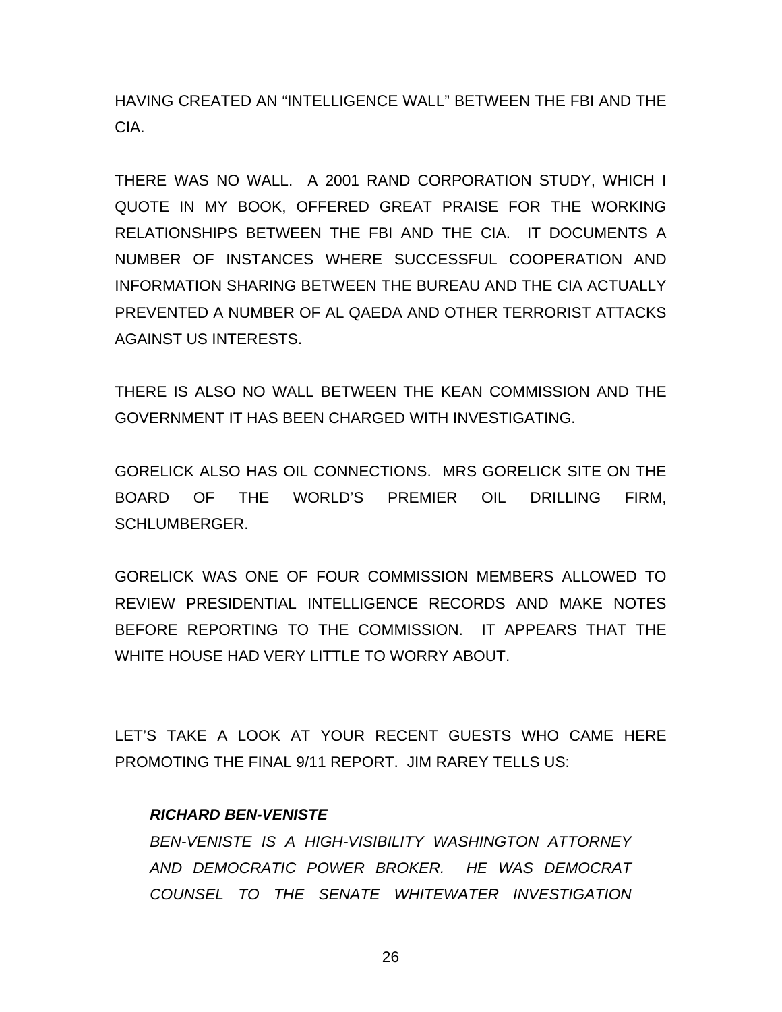HAVING CREATED AN "INTELLIGENCE WALL" BETWEEN THE FBI AND THE CIA.

THERE WAS NO WALL. A 2001 RAND CORPORATION STUDY, WHICH I QUOTE IN MY BOOK, OFFERED GREAT PRAISE FOR THE WORKING RELATIONSHIPS BETWEEN THE FBI AND THE CIA. IT DOCUMENTS A NUMBER OF INSTANCES WHERE SUCCESSFUL COOPERATION AND INFORMATION SHARING BETWEEN THE BUREAU AND THE CIA ACTUALLY PREVENTED A NUMBER OF AL QAEDA AND OTHER TERRORIST ATTACKS AGAINST US INTERESTS.

THERE IS ALSO NO WALL BETWEEN THE KEAN COMMISSION AND THE GOVERNMENT IT HAS BEEN CHARGED WITH INVESTIGATING.

GORELICK ALSO HAS OIL CONNECTIONS. MRS GORELICK SITE ON THE BOARD OF THE WORLD'S PREMIER OIL DRILLING FIRM, SCHLUMBERGER.

GORELICK WAS ONE OF FOUR COMMISSION MEMBERS ALLOWED TO REVIEW PRESIDENTIAL INTELLIGENCE RECORDS AND MAKE NOTES BEFORE REPORTING TO THE COMMISSION. IT APPEARS THAT THE WHITE HOUSE HAD VERY LITTLE TO WORRY ABOUT.

LET'S TAKE A LOOK AT YOUR RECENT GUESTS WHO CAME HERE PROMOTING THE FINAL 9/11 REPORT. JIM RAREY TELLS US:

#### *RICHARD BEN-VENISTE*

*BEN-VENISTE IS A HIGH-VISIBILITY WASHINGTON ATTORNEY AND DEMOCRATIC POWER BROKER. HE WAS DEMOCRAT COUNSEL TO THE SENATE WHITEWATER INVESTIGATION* 

26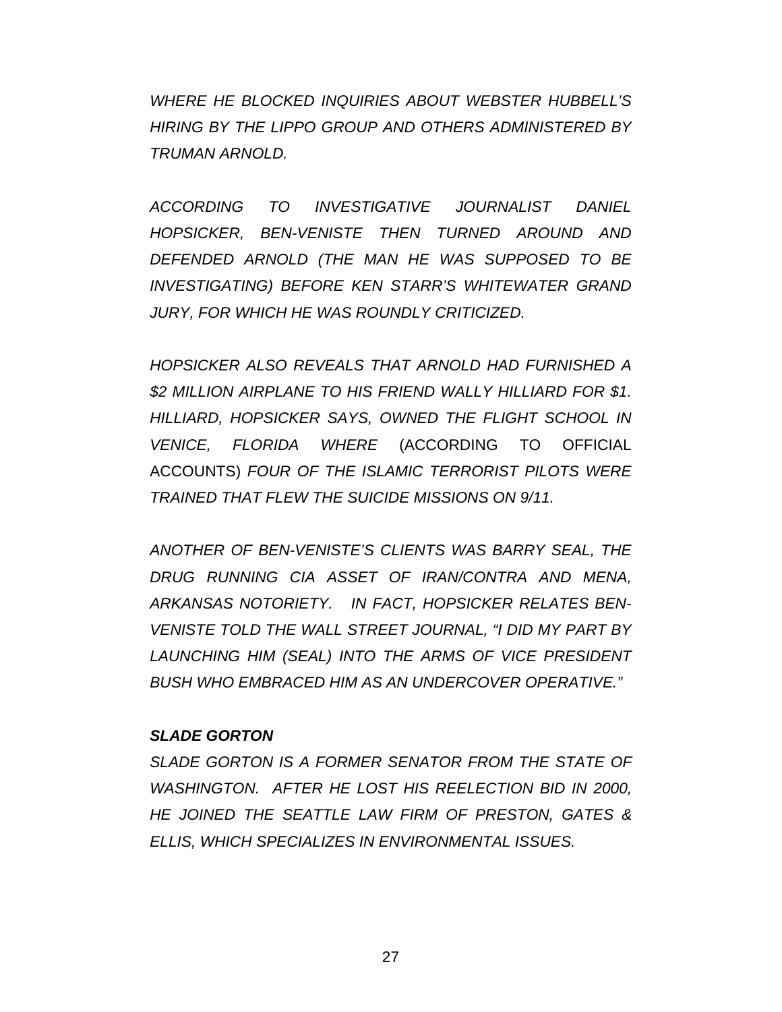*WHERE HE BLOCKED INQUIRIES ABOUT WEBSTER HUBBELL'S HIRING BY THE LIPPO GROUP AND OTHERS ADMINISTERED BY TRUMAN ARNOLD.* 

*ACCORDING TO INVESTIGATIVE JOURNALIST DANIEL HOPSICKER, BEN-VENISTE THEN TURNED AROUND AND DEFENDED ARNOLD (THE MAN HE WAS SUPPOSED TO BE INVESTIGATING) BEFORE KEN STARR'S WHITEWATER GRAND JURY, FOR WHICH HE WAS ROUNDLY CRITICIZED.* 

*HOPSICKER ALSO REVEALS THAT ARNOLD HAD FURNISHED A \$2 MILLION AIRPLANE TO HIS FRIEND WALLY HILLIARD FOR \$1. HILLIARD, HOPSICKER SAYS, OWNED THE FLIGHT SCHOOL IN VENICE, FLORIDA WHERE* (ACCORDING TO OFFICIAL ACCOUNTS) *FOUR OF THE ISLAMIC TERRORIST PILOTS WERE TRAINED THAT FLEW THE SUICIDE MISSIONS ON 9/11.* 

*ANOTHER OF BEN-VENISTE'S CLIENTS WAS BARRY SEAL, THE DRUG RUNNING CIA ASSET OF IRAN/CONTRA AND MENA, ARKANSAS NOTORIETY. IN FACT, HOPSICKER RELATES BEN-VENISTE TOLD THE WALL STREET JOURNAL, "I DID MY PART BY*  LAUNCHING HIM (SEAL) INTO THE ARMS OF VICE PRESIDENT *BUSH WHO EMBRACED HIM AS AN UNDERCOVER OPERATIVE."* 

#### *SLADE GORTON*

*SLADE GORTON IS A FORMER SENATOR FROM THE STATE OF WASHINGTON. AFTER HE LOST HIS REELECTION BID IN 2000, HE JOINED THE SEATTLE LAW FIRM OF PRESTON, GATES & ELLIS, WHICH SPECIALIZES IN ENVIRONMENTAL ISSUES.*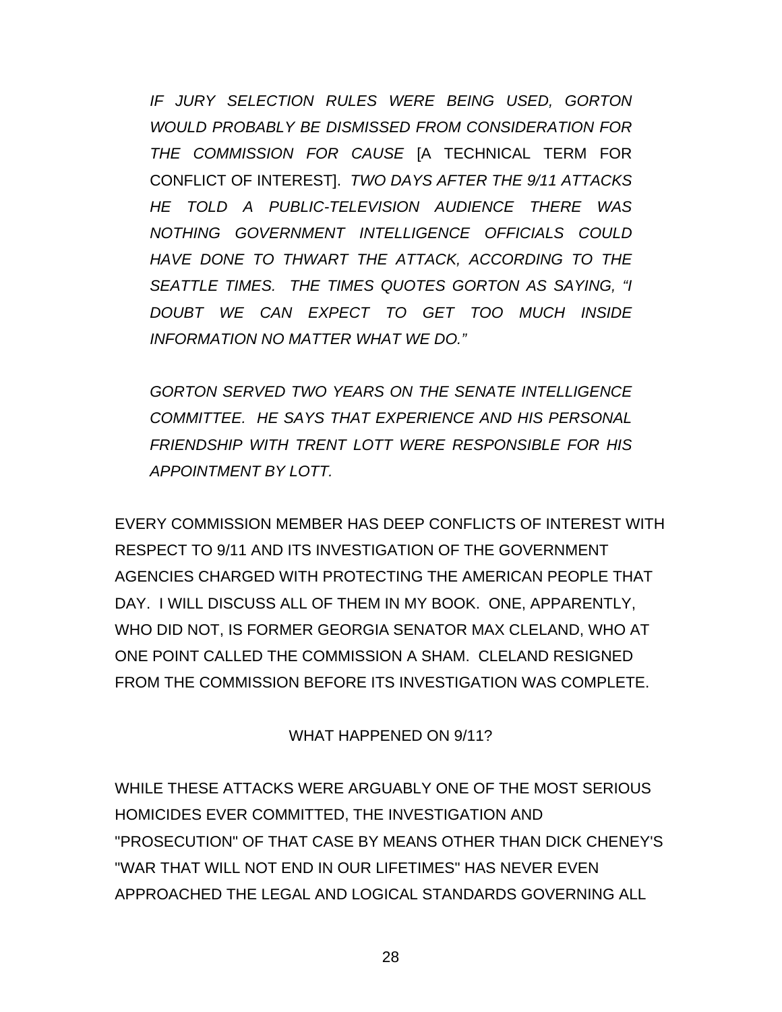*IF JURY SELECTION RULES WERE BEING USED, GORTON WOULD PROBABLY BE DISMISSED FROM CONSIDERATION FOR THE COMMISSION FOR CAUSE* [A TECHNICAL TERM FOR CONFLICT OF INTEREST]. *TWO DAYS AFTER THE 9/11 ATTACKS HE TOLD A PUBLIC-TELEVISION AUDIENCE THERE WAS NOTHING GOVERNMENT INTELLIGENCE OFFICIALS COULD HAVE DONE TO THWART THE ATTACK, ACCORDING TO THE SEATTLE TIMES. THE TIMES QUOTES GORTON AS SAYING, "I DOUBT WE CAN EXPECT TO GET TOO MUCH INSIDE INFORMATION NO MATTER WHAT WE DO."* 

*GORTON SERVED TWO YEARS ON THE SENATE INTELLIGENCE COMMITTEE. HE SAYS THAT EXPERIENCE AND HIS PERSONAL FRIENDSHIP WITH TRENT LOTT WERE RESPONSIBLE FOR HIS APPOINTMENT BY LOTT.* 

EVERY COMMISSION MEMBER HAS DEEP CONFLICTS OF INTEREST WITH RESPECT TO 9/11 AND ITS INVESTIGATION OF THE GOVERNMENT AGENCIES CHARGED WITH PROTECTING THE AMERICAN PEOPLE THAT DAY. I WILL DISCUSS ALL OF THEM IN MY BOOK. ONE, APPARENTLY, WHO DID NOT, IS FORMER GEORGIA SENATOR MAX CLELAND, WHO AT ONE POINT CALLED THE COMMISSION A SHAM. CLELAND RESIGNED FROM THE COMMISSION BEFORE ITS INVESTIGATION WAS COMPLETE.

WHAT HAPPENED ON 9/11?

WHILE THESE ATTACKS WERE ARGUABLY ONE OF THE MOST SERIOUS HOMICIDES EVER COMMITTED, THE INVESTIGATION AND "PROSECUTION" OF THAT CASE BY MEANS OTHER THAN DICK CHENEY'S "WAR THAT WILL NOT END IN OUR LIFETIMES" HAS NEVER EVEN APPROACHED THE LEGAL AND LOGICAL STANDARDS GOVERNING ALL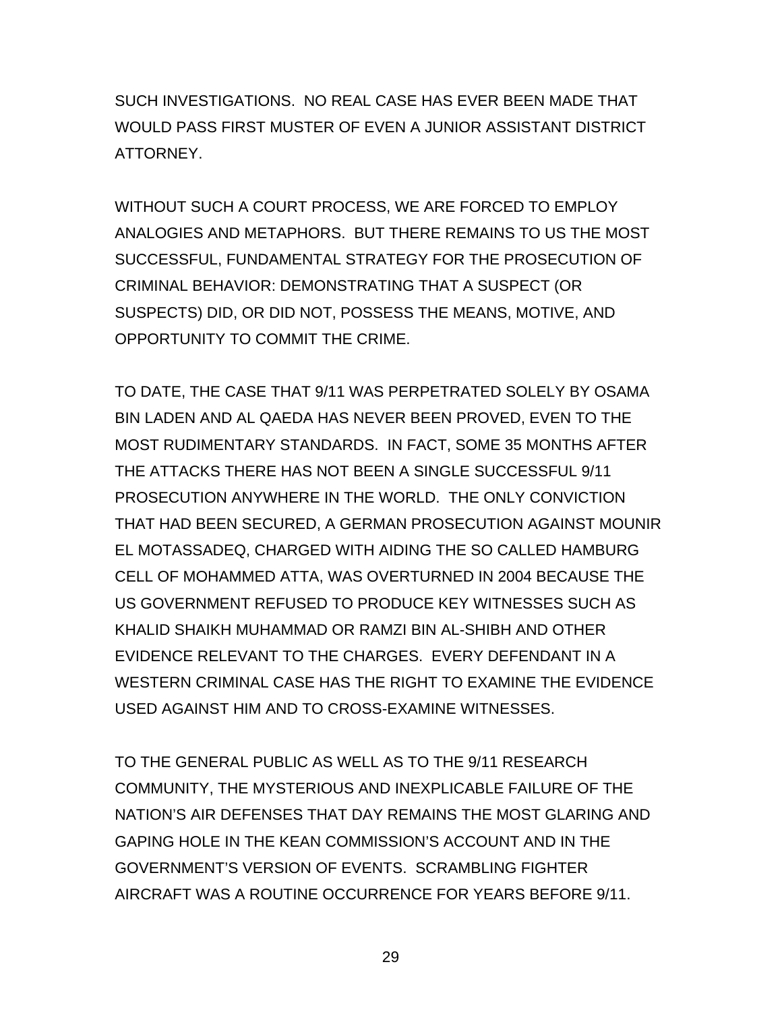SUCH INVESTIGATIONS. NO REAL CASE HAS EVER BEEN MADE THAT WOULD PASS FIRST MUSTER OF EVEN A JUNIOR ASSISTANT DISTRICT ATTORNEY.

WITHOUT SUCH A COURT PROCESS, WE ARE FORCED TO EMPLOY ANALOGIES AND METAPHORS. BUT THERE REMAINS TO US THE MOST SUCCESSFUL, FUNDAMENTAL STRATEGY FOR THE PROSECUTION OF CRIMINAL BEHAVIOR: DEMONSTRATING THAT A SUSPECT (OR SUSPECTS) DID, OR DID NOT, POSSESS THE MEANS, MOTIVE, AND OPPORTUNITY TO COMMIT THE CRIME.

TO DATE, THE CASE THAT 9/11 WAS PERPETRATED SOLELY BY OSAMA BIN LADEN AND AL QAEDA HAS NEVER BEEN PROVED, EVEN TO THE MOST RUDIMENTARY STANDARDS. IN FACT, SOME 35 MONTHS AFTER THE ATTACKS THERE HAS NOT BEEN A SINGLE SUCCESSFUL 9/11 PROSECUTION ANYWHERE IN THE WORLD. THE ONLY CONVICTION THAT HAD BEEN SECURED, A GERMAN PROSECUTION AGAINST MOUNIR EL MOTASSADEQ, CHARGED WITH AIDING THE SO CALLED HAMBURG CELL OF MOHAMMED ATTA, WAS OVERTURNED IN 2004 BECAUSE THE US GOVERNMENT REFUSED TO PRODUCE KEY WITNESSES SUCH AS KHALID SHAIKH MUHAMMAD OR RAMZI BIN AL-SHIBH AND OTHER EVIDENCE RELEVANT TO THE CHARGES. EVERY DEFENDANT IN A WESTERN CRIMINAL CASE HAS THE RIGHT TO EXAMINE THE EVIDENCE USED AGAINST HIM AND TO CROSS-EXAMINE WITNESSES.

TO THE GENERAL PUBLIC AS WELL AS TO THE 9/11 RESEARCH COMMUNITY, THE MYSTERIOUS AND INEXPLICABLE FAILURE OF THE NATION'S AIR DEFENSES THAT DAY REMAINS THE MOST GLARING AND GAPING HOLE IN THE KEAN COMMISSION'S ACCOUNT AND IN THE GOVERNMENT'S VERSION OF EVENTS. SCRAMBLING FIGHTER AIRCRAFT WAS A ROUTINE OCCURRENCE FOR YEARS BEFORE 9/11.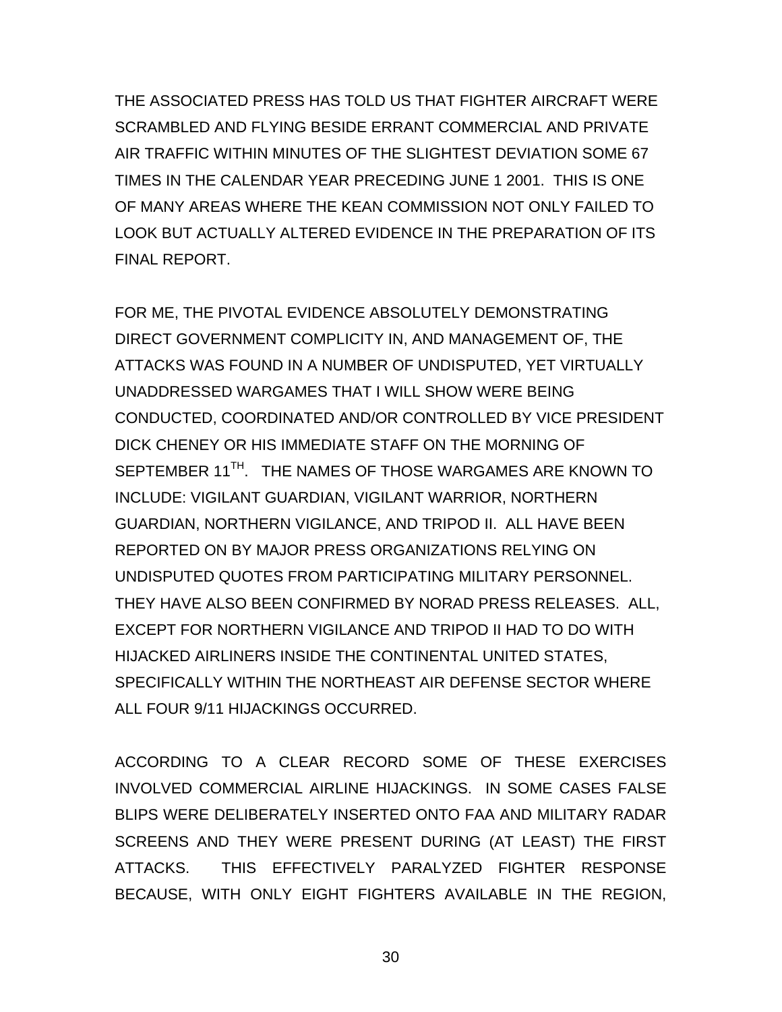THE ASSOCIATED PRESS HAS TOLD US THAT FIGHTER AIRCRAFT WERE SCRAMBLED AND FLYING BESIDE ERRANT COMMERCIAL AND PRIVATE AIR TRAFFIC WITHIN MINUTES OF THE SLIGHTEST DEVIATION SOME 67 TIMES IN THE CALENDAR YEAR PRECEDING JUNE 1 2001. THIS IS ONE OF MANY AREAS WHERE THE KEAN COMMISSION NOT ONLY FAILED TO LOOK BUT ACTUALLY ALTERED EVIDENCE IN THE PREPARATION OF ITS FINAL REPORT.

FOR ME, THE PIVOTAL EVIDENCE ABSOLUTELY DEMONSTRATING DIRECT GOVERNMENT COMPLICITY IN, AND MANAGEMENT OF, THE ATTACKS WAS FOUND IN A NUMBER OF UNDISPUTED, YET VIRTUALLY UNADDRESSED WARGAMES THAT I WILL SHOW WERE BEING CONDUCTED, COORDINATED AND/OR CONTROLLED BY VICE PRESIDENT DICK CHENEY OR HIS IMMEDIATE STAFF ON THE MORNING OF SEPTEMBER 11TH. THE NAMES OF THOSE WARGAMES ARE KNOWN TO INCLUDE: VIGILANT GUARDIAN, VIGILANT WARRIOR, NORTHERN GUARDIAN, NORTHERN VIGILANCE, AND TRIPOD II. ALL HAVE BEEN REPORTED ON BY MAJOR PRESS ORGANIZATIONS RELYING ON UNDISPUTED QUOTES FROM PARTICIPATING MILITARY PERSONNEL. THEY HAVE ALSO BEEN CONFIRMED BY NORAD PRESS RELEASES. ALL, EXCEPT FOR NORTHERN VIGILANCE AND TRIPOD II HAD TO DO WITH HIJACKED AIRLINERS INSIDE THE CONTINENTAL UNITED STATES, SPECIFICALLY WITHIN THE NORTHEAST AIR DEFENSE SECTOR WHERE ALL FOUR 9/11 HIJACKINGS OCCURRED.

ACCORDING TO A CLEAR RECORD SOME OF THESE EXERCISES INVOLVED COMMERCIAL AIRLINE HIJACKINGS. IN SOME CASES FALSE BLIPS WERE DELIBERATELY INSERTED ONTO FAA AND MILITARY RADAR SCREENS AND THEY WERE PRESENT DURING (AT LEAST) THE FIRST ATTACKS. THIS EFFECTIVELY PARALYZED FIGHTER RESPONSE BECAUSE, WITH ONLY EIGHT FIGHTERS AVAILABLE IN THE REGION,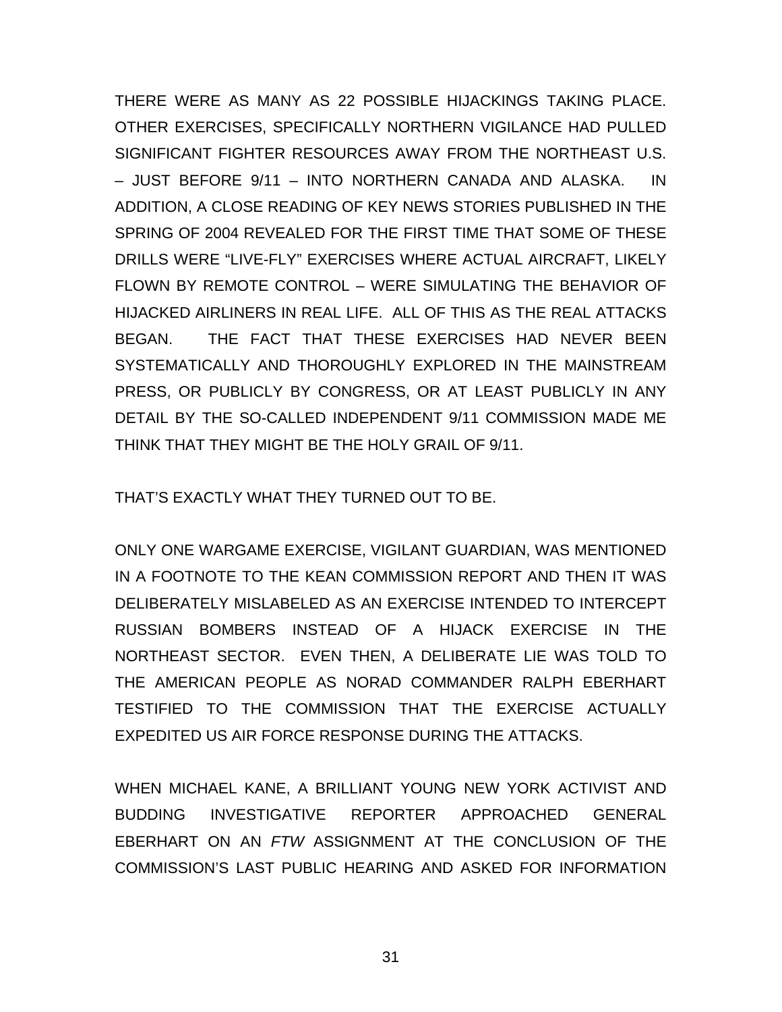THERE WERE AS MANY AS 22 POSSIBLE HIJACKINGS TAKING PLACE. OTHER EXERCISES, SPECIFICALLY NORTHERN VIGILANCE HAD PULLED SIGNIFICANT FIGHTER RESOURCES AWAY FROM THE NORTHEAST U.S. – JUST BEFORE 9/11 – INTO NORTHERN CANADA AND ALASKA. IN ADDITION, A CLOSE READING OF KEY NEWS STORIES PUBLISHED IN THE SPRING OF 2004 REVEALED FOR THE FIRST TIME THAT SOME OF THESE DRILLS WERE "LIVE-FLY" EXERCISES WHERE ACTUAL AIRCRAFT, LIKELY FLOWN BY REMOTE CONTROL – WERE SIMULATING THE BEHAVIOR OF HIJACKED AIRLINERS IN REAL LIFE. ALL OF THIS AS THE REAL ATTACKS BEGAN. THE FACT THAT THESE EXERCISES HAD NEVER BEEN SYSTEMATICALLY AND THOROUGHLY EXPLORED IN THE MAINSTREAM PRESS, OR PUBLICLY BY CONGRESS, OR AT LEAST PUBLICLY IN ANY DETAIL BY THE SO-CALLED INDEPENDENT 9/11 COMMISSION MADE ME THINK THAT THEY MIGHT BE THE HOLY GRAIL OF 9/11.

THAT'S EXACTLY WHAT THEY TURNED OUT TO BE.

ONLY ONE WARGAME EXERCISE, VIGILANT GUARDIAN, WAS MENTIONED IN A FOOTNOTE TO THE KEAN COMMISSION REPORT AND THEN IT WAS DELIBERATELY MISLABELED AS AN EXERCISE INTENDED TO INTERCEPT RUSSIAN BOMBERS INSTEAD OF A HIJACK EXERCISE IN THE NORTHEAST SECTOR. EVEN THEN, A DELIBERATE LIE WAS TOLD TO THE AMERICAN PEOPLE AS NORAD COMMANDER RALPH EBERHART TESTIFIED TO THE COMMISSION THAT THE EXERCISE ACTUALLY EXPEDITED US AIR FORCE RESPONSE DURING THE ATTACKS.

WHEN MICHAEL KANE, A BRILLIANT YOUNG NEW YORK ACTIVIST AND BUDDING INVESTIGATIVE REPORTER APPROACHED GENERAL EBERHART ON AN *FTW* ASSIGNMENT AT THE CONCLUSION OF THE COMMISSION'S LAST PUBLIC HEARING AND ASKED FOR INFORMATION

31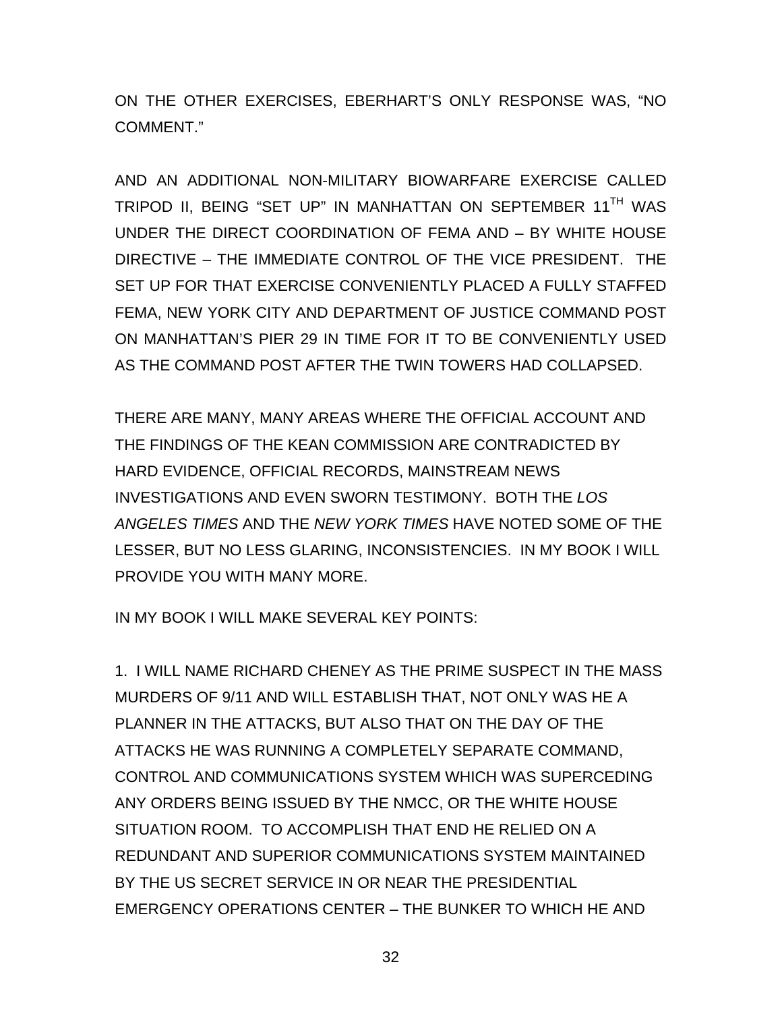ON THE OTHER EXERCISES, EBERHART'S ONLY RESPONSE WAS, "NO COMMENT."

AND AN ADDITIONAL NON-MILITARY BIOWARFARE EXERCISE CALLED TRIPOD II, BEING "SET UP" IN MANHATTAN ON SEPTEMBER 11TH WAS UNDER THE DIRECT COORDINATION OF FEMA AND – BY WHITE HOUSE DIRECTIVE – THE IMMEDIATE CONTROL OF THE VICE PRESIDENT. THE SET UP FOR THAT EXERCISE CONVENIENTLY PLACED A FULLY STAFFED FEMA, NEW YORK CITY AND DEPARTMENT OF JUSTICE COMMAND POST ON MANHATTAN'S PIER 29 IN TIME FOR IT TO BE CONVENIENTLY USED AS THE COMMAND POST AFTER THE TWIN TOWERS HAD COLLAPSED.

THERE ARE MANY, MANY AREAS WHERE THE OFFICIAL ACCOUNT AND THE FINDINGS OF THE KEAN COMMISSION ARE CONTRADICTED BY HARD EVIDENCE, OFFICIAL RECORDS, MAINSTREAM NEWS INVESTIGATIONS AND EVEN SWORN TESTIMONY. BOTH THE *LOS ANGELES TIMES* AND THE *NEW YORK TIMES* HAVE NOTED SOME OF THE LESSER, BUT NO LESS GLARING, INCONSISTENCIES. IN MY BOOK I WILL PROVIDE YOU WITH MANY MORE.

IN MY BOOK I WILL MAKE SEVERAL KEY POINTS:

1. I WILL NAME RICHARD CHENEY AS THE PRIME SUSPECT IN THE MASS MURDERS OF 9/11 AND WILL ESTABLISH THAT, NOT ONLY WAS HE A PLANNER IN THE ATTACKS, BUT ALSO THAT ON THE DAY OF THE ATTACKS HE WAS RUNNING A COMPLETELY SEPARATE COMMAND, CONTROL AND COMMUNICATIONS SYSTEM WHICH WAS SUPERCEDING ANY ORDERS BEING ISSUED BY THE NMCC, OR THE WHITE HOUSE SITUATION ROOM. TO ACCOMPLISH THAT END HE RELIED ON A REDUNDANT AND SUPERIOR COMMUNICATIONS SYSTEM MAINTAINED BY THE US SECRET SERVICE IN OR NEAR THE PRESIDENTIAL EMERGENCY OPERATIONS CENTER – THE BUNKER TO WHICH HE AND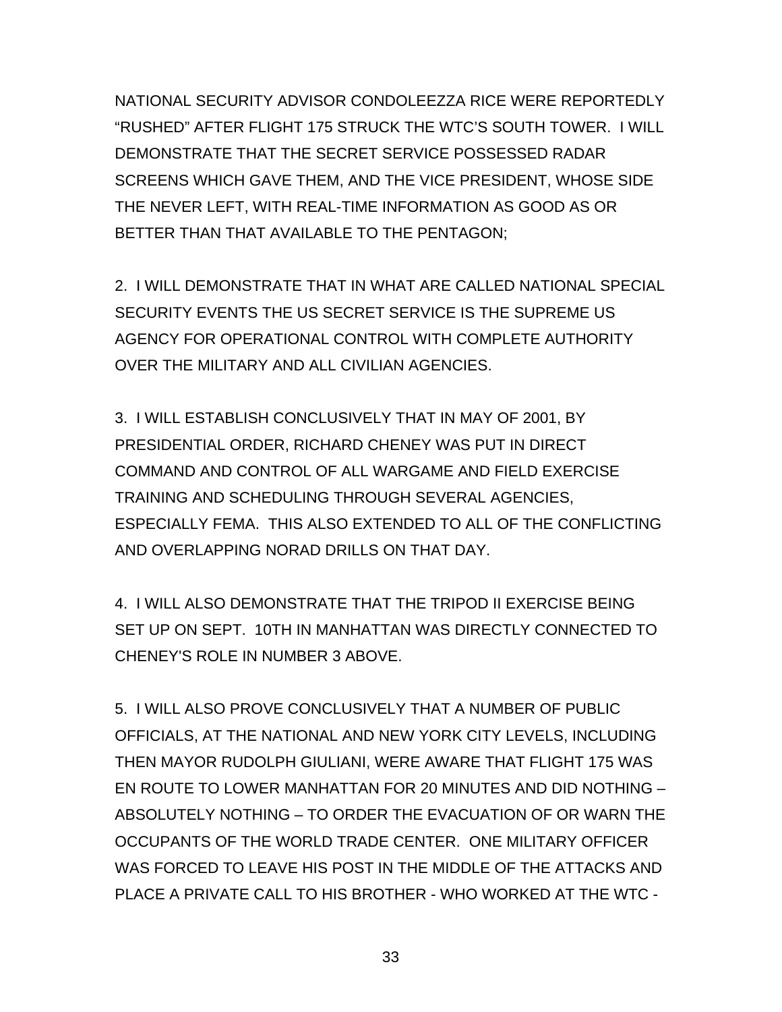NATIONAL SECURITY ADVISOR CONDOLEEZZA RICE WERE REPORTEDLY "RUSHED" AFTER FLIGHT 175 STRUCK THE WTC'S SOUTH TOWER. I WILL DEMONSTRATE THAT THE SECRET SERVICE POSSESSED RADAR SCREENS WHICH GAVE THEM, AND THE VICE PRESIDENT, WHOSE SIDE THE NEVER LEFT, WITH REAL-TIME INFORMATION AS GOOD AS OR BETTER THAN THAT AVAILABLE TO THE PENTAGON;

2. I WILL DEMONSTRATE THAT IN WHAT ARE CALLED NATIONAL SPECIAL SECURITY EVENTS THE US SECRET SERVICE IS THE SUPREME US AGENCY FOR OPERATIONAL CONTROL WITH COMPLETE AUTHORITY OVER THE MILITARY AND ALL CIVILIAN AGENCIES.

3. I WILL ESTABLISH CONCLUSIVELY THAT IN MAY OF 2001, BY PRESIDENTIAL ORDER, RICHARD CHENEY WAS PUT IN DIRECT COMMAND AND CONTROL OF ALL WARGAME AND FIELD EXERCISE TRAINING AND SCHEDULING THROUGH SEVERAL AGENCIES, ESPECIALLY FEMA. THIS ALSO EXTENDED TO ALL OF THE CONFLICTING AND OVERLAPPING NORAD DRILLS ON THAT DAY.

4. I WILL ALSO DEMONSTRATE THAT THE TRIPOD II EXERCISE BEING SET UP ON SEPT. 10TH IN MANHATTAN WAS DIRECTLY CONNECTED TO CHENEY'S ROLE IN NUMBER 3 ABOVE.

5. I WILL ALSO PROVE CONCLUSIVELY THAT A NUMBER OF PUBLIC OFFICIALS, AT THE NATIONAL AND NEW YORK CITY LEVELS, INCLUDING THEN MAYOR RUDOLPH GIULIANI, WERE AWARE THAT FLIGHT 175 WAS EN ROUTE TO LOWER MANHATTAN FOR 20 MINUTES AND DID NOTHING – ABSOLUTELY NOTHING – TO ORDER THE EVACUATION OF OR WARN THE OCCUPANTS OF THE WORLD TRADE CENTER. ONE MILITARY OFFICER WAS FORCED TO LEAVE HIS POST IN THE MIDDLE OF THE ATTACKS AND PLACE A PRIVATE CALL TO HIS BROTHER - WHO WORKED AT THE WTC -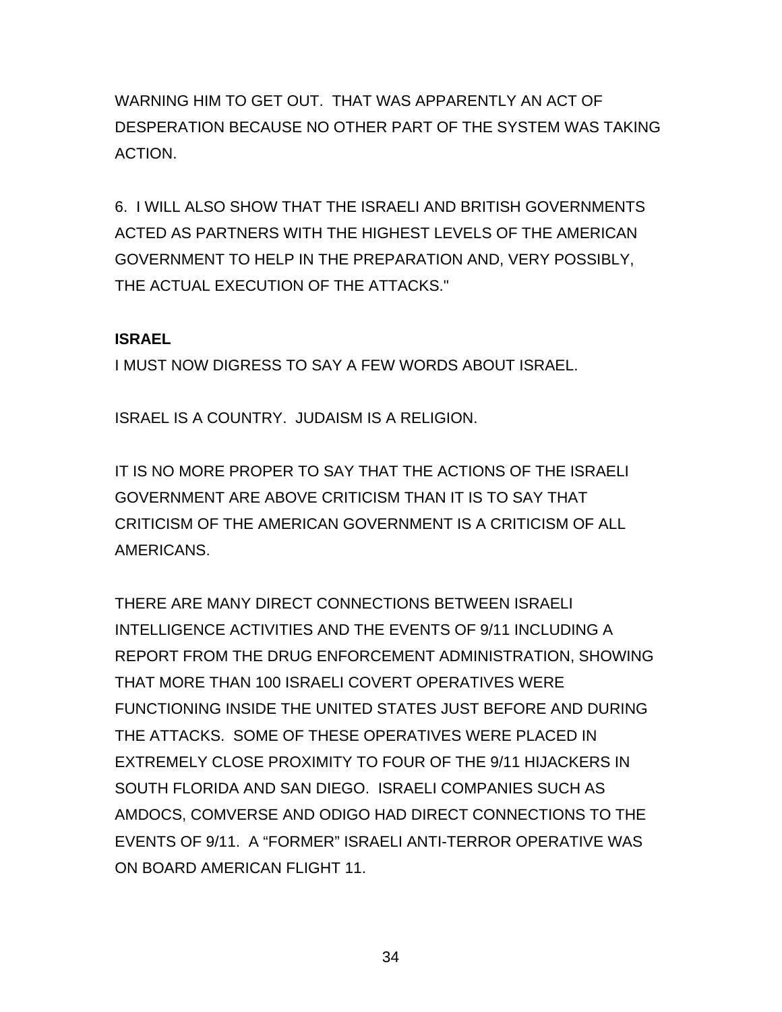WARNING HIM TO GET OUT. THAT WAS APPARENTLY AN ACT OF DESPERATION BECAUSE NO OTHER PART OF THE SYSTEM WAS TAKING ACTION.

6. I WILL ALSO SHOW THAT THE ISRAELI AND BRITISH GOVERNMENTS ACTED AS PARTNERS WITH THE HIGHEST LEVELS OF THE AMERICAN GOVERNMENT TO HELP IN THE PREPARATION AND, VERY POSSIBLY, THE ACTUAL EXECUTION OF THE ATTACKS."

## **ISRAEL**

I MUST NOW DIGRESS TO SAY A FEW WORDS ABOUT ISRAEL.

ISRAEL IS A COUNTRY. JUDAISM IS A RELIGION.

IT IS NO MORE PROPER TO SAY THAT THE ACTIONS OF THE ISRAELI GOVERNMENT ARE ABOVE CRITICISM THAN IT IS TO SAY THAT CRITICISM OF THE AMERICAN GOVERNMENT IS A CRITICISM OF ALL AMERICANS.

THERE ARE MANY DIRECT CONNECTIONS BETWEEN ISRAELI INTELLIGENCE ACTIVITIES AND THE EVENTS OF 9/11 INCLUDING A REPORT FROM THE DRUG ENFORCEMENT ADMINISTRATION, SHOWING THAT MORE THAN 100 ISRAELI COVERT OPERATIVES WERE FUNCTIONING INSIDE THE UNITED STATES JUST BEFORE AND DURING THE ATTACKS. SOME OF THESE OPERATIVES WERE PLACED IN EXTREMELY CLOSE PROXIMITY TO FOUR OF THE 9/11 HIJACKERS IN SOUTH FLORIDA AND SAN DIEGO. ISRAELI COMPANIES SUCH AS AMDOCS, COMVERSE AND ODIGO HAD DIRECT CONNECTIONS TO THE EVENTS OF 9/11. A "FORMER" ISRAELI ANTI-TERROR OPERATIVE WAS ON BOARD AMERICAN FLIGHT 11.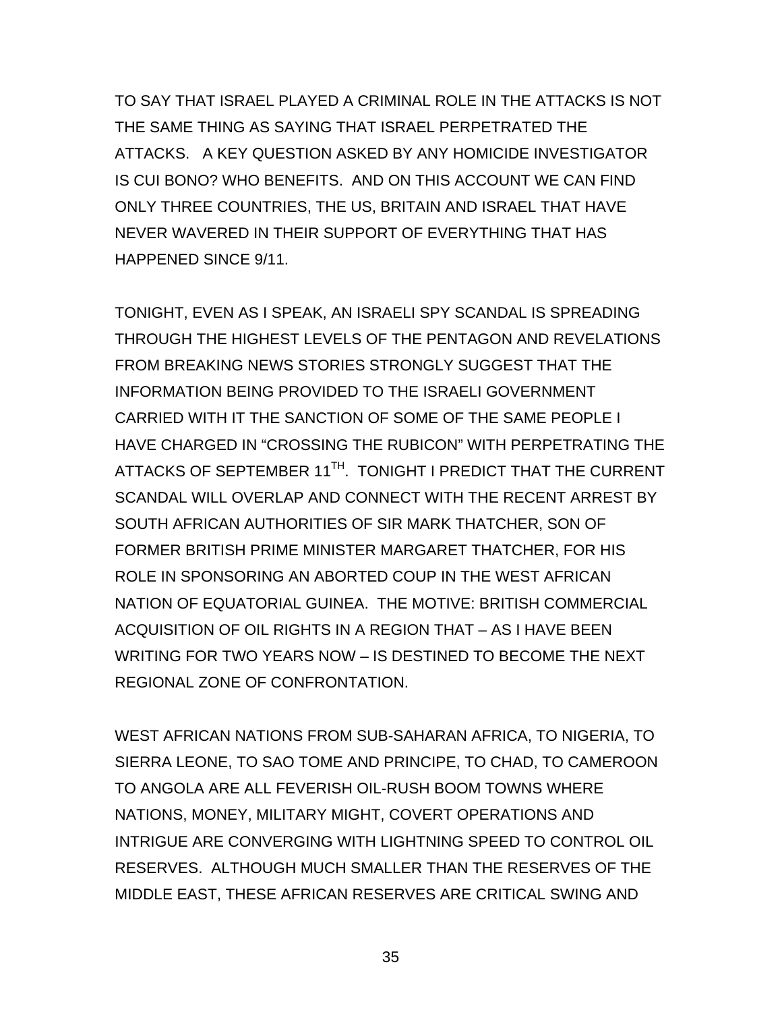TO SAY THAT ISRAEL PLAYED A CRIMINAL ROLE IN THE ATTACKS IS NOT THE SAME THING AS SAYING THAT ISRAEL PERPETRATED THE ATTACKS. A KEY QUESTION ASKED BY ANY HOMICIDE INVESTIGATOR IS CUI BONO? WHO BENEFITS. AND ON THIS ACCOUNT WE CAN FIND ONLY THREE COUNTRIES, THE US, BRITAIN AND ISRAEL THAT HAVE NEVER WAVERED IN THEIR SUPPORT OF EVERYTHING THAT HAS HAPPENED SINCE 9/11.

TONIGHT, EVEN AS I SPEAK, AN ISRAELI SPY SCANDAL IS SPREADING THROUGH THE HIGHEST LEVELS OF THE PENTAGON AND REVELATIONS FROM BREAKING NEWS STORIES STRONGLY SUGGEST THAT THE INFORMATION BEING PROVIDED TO THE ISRAELI GOVERNMENT CARRIED WITH IT THE SANCTION OF SOME OF THE SAME PEOPLE I HAVE CHARGED IN "CROSSING THE RUBICON" WITH PERPETRATING THE ATTACKS OF SEPTEMBER 11<sup>TH</sup>. TONIGHT I PREDICT THAT THE CURRENT SCANDAL WILL OVERLAP AND CONNECT WITH THE RECENT ARREST BY SOUTH AFRICAN AUTHORITIES OF SIR MARK THATCHER, SON OF FORMER BRITISH PRIME MINISTER MARGARET THATCHER, FOR HIS ROLE IN SPONSORING AN ABORTED COUP IN THE WEST AFRICAN NATION OF EQUATORIAL GUINEA. THE MOTIVE: BRITISH COMMERCIAL ACQUISITION OF OIL RIGHTS IN A REGION THAT – AS I HAVE BEEN WRITING FOR TWO YEARS NOW – IS DESTINED TO BECOME THE NEXT REGIONAL ZONE OF CONFRONTATION.

WEST AFRICAN NATIONS FROM SUB-SAHARAN AFRICA, TO NIGERIA, TO SIERRA LEONE, TO SAO TOME AND PRINCIPE, TO CHAD, TO CAMEROON TO ANGOLA ARE ALL FEVERISH OIL-RUSH BOOM TOWNS WHERE NATIONS, MONEY, MILITARY MIGHT, COVERT OPERATIONS AND INTRIGUE ARE CONVERGING WITH LIGHTNING SPEED TO CONTROL OIL RESERVES. ALTHOUGH MUCH SMALLER THAN THE RESERVES OF THE MIDDLE EAST, THESE AFRICAN RESERVES ARE CRITICAL SWING AND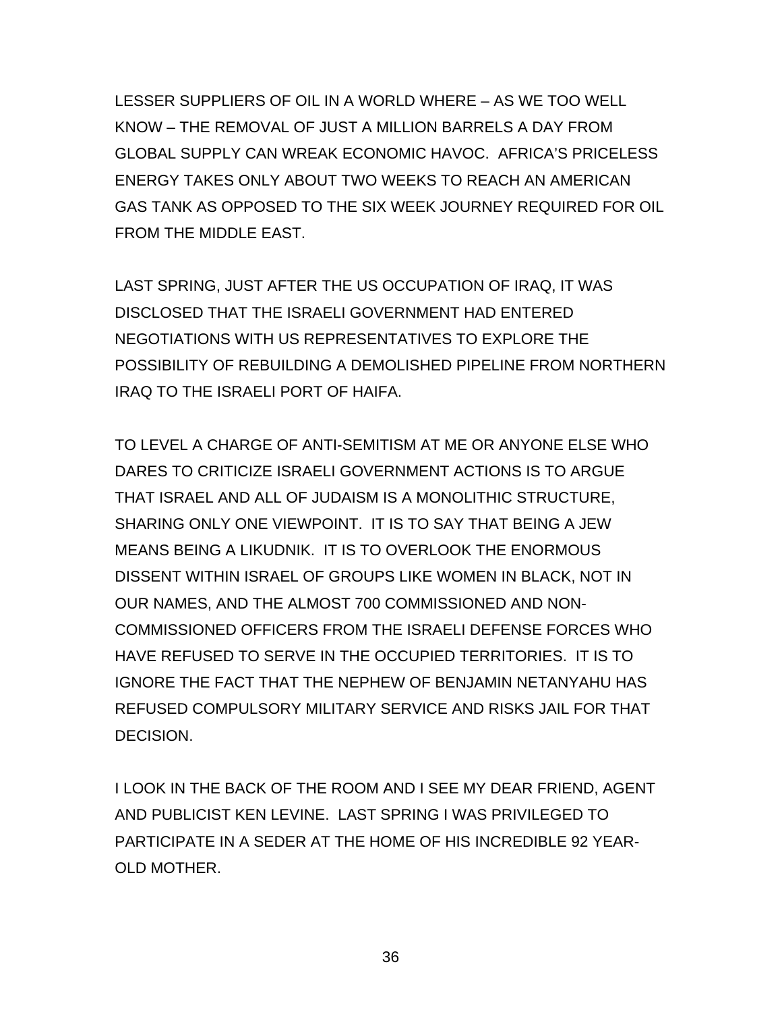LESSER SUPPLIERS OF OIL IN A WORLD WHERE – AS WE TOO WELL KNOW – THE REMOVAL OF JUST A MILLION BARRELS A DAY FROM GLOBAL SUPPLY CAN WREAK ECONOMIC HAVOC. AFRICA'S PRICELESS ENERGY TAKES ONLY ABOUT TWO WEEKS TO REACH AN AMERICAN GAS TANK AS OPPOSED TO THE SIX WEEK JOURNEY REQUIRED FOR OIL FROM THE MIDDLE EAST.

LAST SPRING, JUST AFTER THE US OCCUPATION OF IRAQ, IT WAS DISCLOSED THAT THE ISRAELI GOVERNMENT HAD ENTERED NEGOTIATIONS WITH US REPRESENTATIVES TO EXPLORE THE POSSIBILITY OF REBUILDING A DEMOLISHED PIPELINE FROM NORTHERN IRAQ TO THE ISRAELI PORT OF HAIFA.

TO LEVEL A CHARGE OF ANTI-SEMITISM AT ME OR ANYONE ELSE WHO DARES TO CRITICIZE ISRAELI GOVERNMENT ACTIONS IS TO ARGUE THAT ISRAEL AND ALL OF JUDAISM IS A MONOLITHIC STRUCTURE, SHARING ONLY ONE VIEWPOINT. IT IS TO SAY THAT BEING A JEW MEANS BEING A LIKUDNIK. IT IS TO OVERLOOK THE ENORMOUS DISSENT WITHIN ISRAEL OF GROUPS LIKE WOMEN IN BLACK, NOT IN OUR NAMES, AND THE ALMOST 700 COMMISSIONED AND NON-COMMISSIONED OFFICERS FROM THE ISRAELI DEFENSE FORCES WHO HAVE REFUSED TO SERVE IN THE OCCUPIED TERRITORIES. IT IS TO IGNORE THE FACT THAT THE NEPHEW OF BENJAMIN NETANYAHU HAS REFUSED COMPULSORY MILITARY SERVICE AND RISKS JAIL FOR THAT DECISION.

I LOOK IN THE BACK OF THE ROOM AND I SEE MY DEAR FRIEND, AGENT AND PUBLICIST KEN LEVINE. LAST SPRING I WAS PRIVILEGED TO PARTICIPATE IN A SEDER AT THE HOME OF HIS INCREDIBLE 92 YEAR-OLD MOTHER.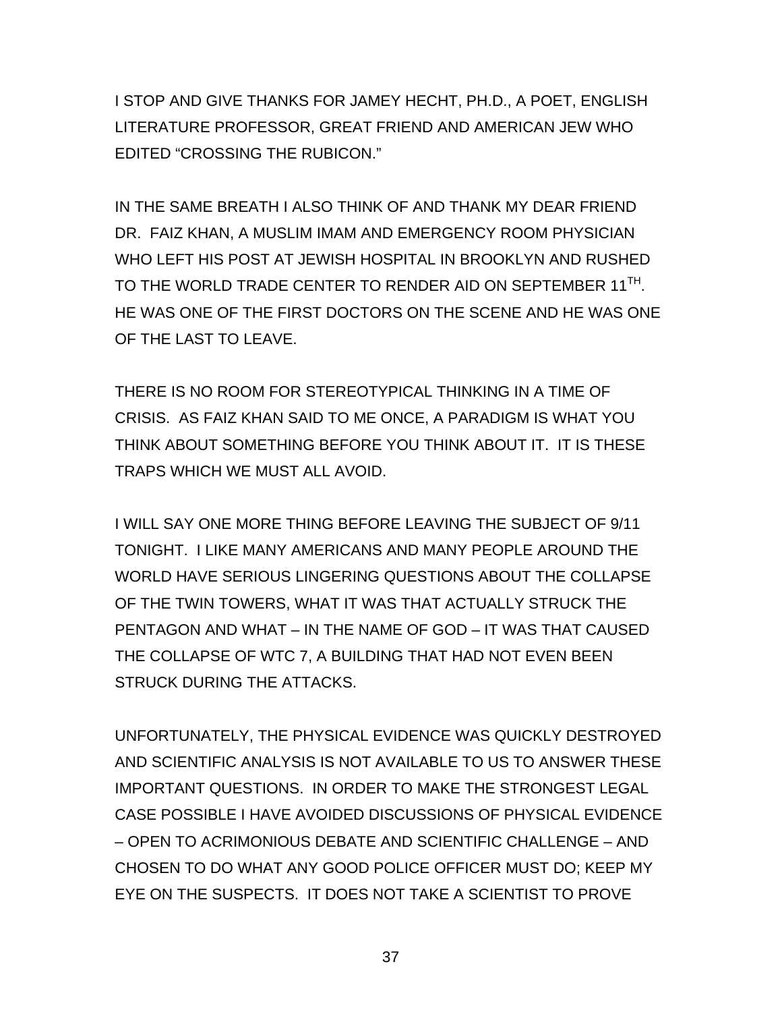I STOP AND GIVE THANKS FOR JAMEY HECHT, PH.D., A POET, ENGLISH LITERATURE PROFESSOR, GREAT FRIEND AND AMERICAN JEW WHO EDITED "CROSSING THE RUBICON."

IN THE SAME BREATH I ALSO THINK OF AND THANK MY DEAR FRIEND DR. FAIZ KHAN, A MUSLIM IMAM AND EMERGENCY ROOM PHYSICIAN WHO LEFT HIS POST AT JEWISH HOSPITAL IN BROOKLYN AND RUSHED TO THE WORLD TRADE CENTER TO RENDER AID ON SEPTEMBER 11<sup>TH</sup>. HE WAS ONE OF THE FIRST DOCTORS ON THE SCENE AND HE WAS ONE OF THE LAST TO LEAVE.

THERE IS NO ROOM FOR STEREOTYPICAL THINKING IN A TIME OF CRISIS. AS FAIZ KHAN SAID TO ME ONCE, A PARADIGM IS WHAT YOU THINK ABOUT SOMETHING BEFORE YOU THINK ABOUT IT. IT IS THESE TRAPS WHICH WE MUST ALL AVOID.

I WILL SAY ONE MORE THING BEFORE LEAVING THE SUBJECT OF 9/11 TONIGHT. I LIKE MANY AMERICANS AND MANY PEOPLE AROUND THE WORLD HAVE SERIOUS LINGERING QUESTIONS ABOUT THE COLLAPSE OF THE TWIN TOWERS, WHAT IT WAS THAT ACTUALLY STRUCK THE PENTAGON AND WHAT – IN THE NAME OF GOD – IT WAS THAT CAUSED THE COLLAPSE OF WTC 7, A BUILDING THAT HAD NOT EVEN BEEN STRUCK DURING THE ATTACKS.

UNFORTUNATELY, THE PHYSICAL EVIDENCE WAS QUICKLY DESTROYED AND SCIENTIFIC ANALYSIS IS NOT AVAILABLE TO US TO ANSWER THESE IMPORTANT QUESTIONS. IN ORDER TO MAKE THE STRONGEST LEGAL CASE POSSIBLE I HAVE AVOIDED DISCUSSIONS OF PHYSICAL EVIDENCE – OPEN TO ACRIMONIOUS DEBATE AND SCIENTIFIC CHALLENGE – AND CHOSEN TO DO WHAT ANY GOOD POLICE OFFICER MUST DO; KEEP MY EYE ON THE SUSPECTS. IT DOES NOT TAKE A SCIENTIST TO PROVE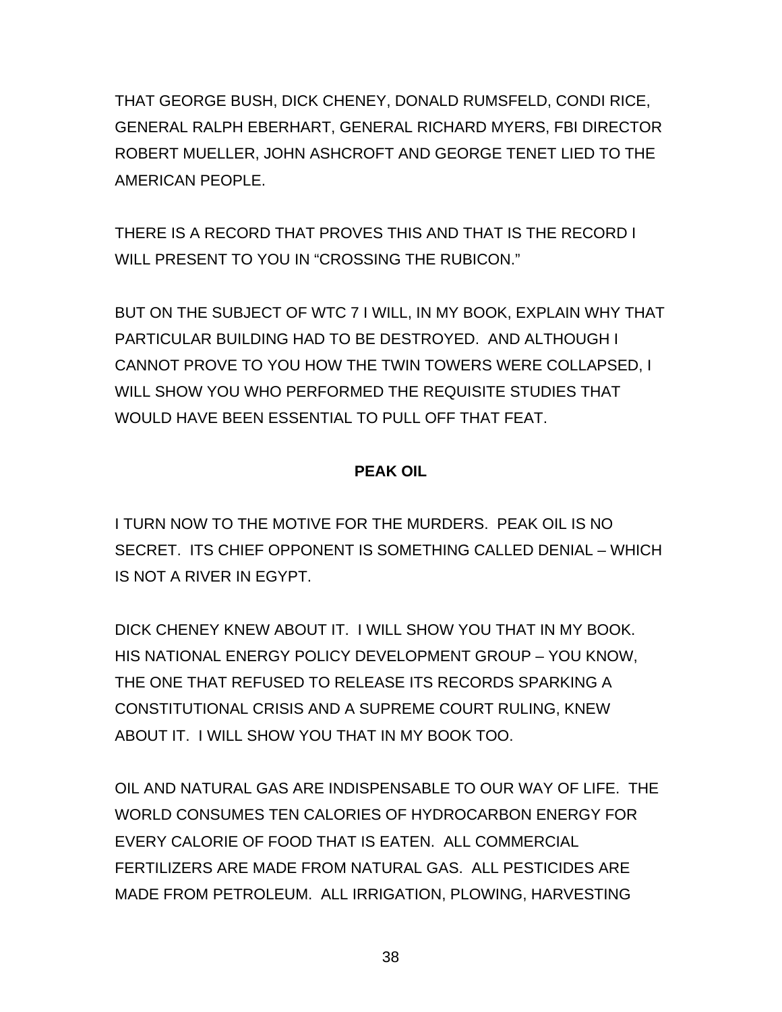THAT GEORGE BUSH, DICK CHENEY, DONALD RUMSFELD, CONDI RICE, GENERAL RALPH EBERHART, GENERAL RICHARD MYERS, FBI DIRECTOR ROBERT MUELLER, JOHN ASHCROFT AND GEORGE TENET LIED TO THE AMERICAN PEOPLE.

THERE IS A RECORD THAT PROVES THIS AND THAT IS THE RECORD I WILL PRESENT TO YOU IN "CROSSING THE RUBICON."

BUT ON THE SUBJECT OF WTC 7 I WILL, IN MY BOOK, EXPLAIN WHY THAT PARTICULAR BUILDING HAD TO BE DESTROYED. AND ALTHOUGH I CANNOT PROVE TO YOU HOW THE TWIN TOWERS WERE COLLAPSED, I WILL SHOW YOU WHO PERFORMED THE REQUISITE STUDIES THAT WOULD HAVE BEEN ESSENTIAL TO PULL OFF THAT FEAT.

# **PEAK OIL**

I TURN NOW TO THE MOTIVE FOR THE MURDERS. PEAK OIL IS NO SECRET. ITS CHIEF OPPONENT IS SOMETHING CALLED DENIAL – WHICH IS NOT A RIVER IN EGYPT.

DICK CHENEY KNEW ABOUT IT. I WILL SHOW YOU THAT IN MY BOOK. HIS NATIONAL ENERGY POLICY DEVELOPMENT GROUP – YOU KNOW, THE ONE THAT REFUSED TO RELEASE ITS RECORDS SPARKING A CONSTITUTIONAL CRISIS AND A SUPREME COURT RULING, KNEW ABOUT IT. I WILL SHOW YOU THAT IN MY BOOK TOO.

OIL AND NATURAL GAS ARE INDISPENSABLE TO OUR WAY OF LIFE. THE WORLD CONSUMES TEN CALORIES OF HYDROCARBON ENERGY FOR EVERY CALORIE OF FOOD THAT IS EATEN. ALL COMMERCIAL FERTILIZERS ARE MADE FROM NATURAL GAS. ALL PESTICIDES ARE MADE FROM PETROLEUM. ALL IRRIGATION, PLOWING, HARVESTING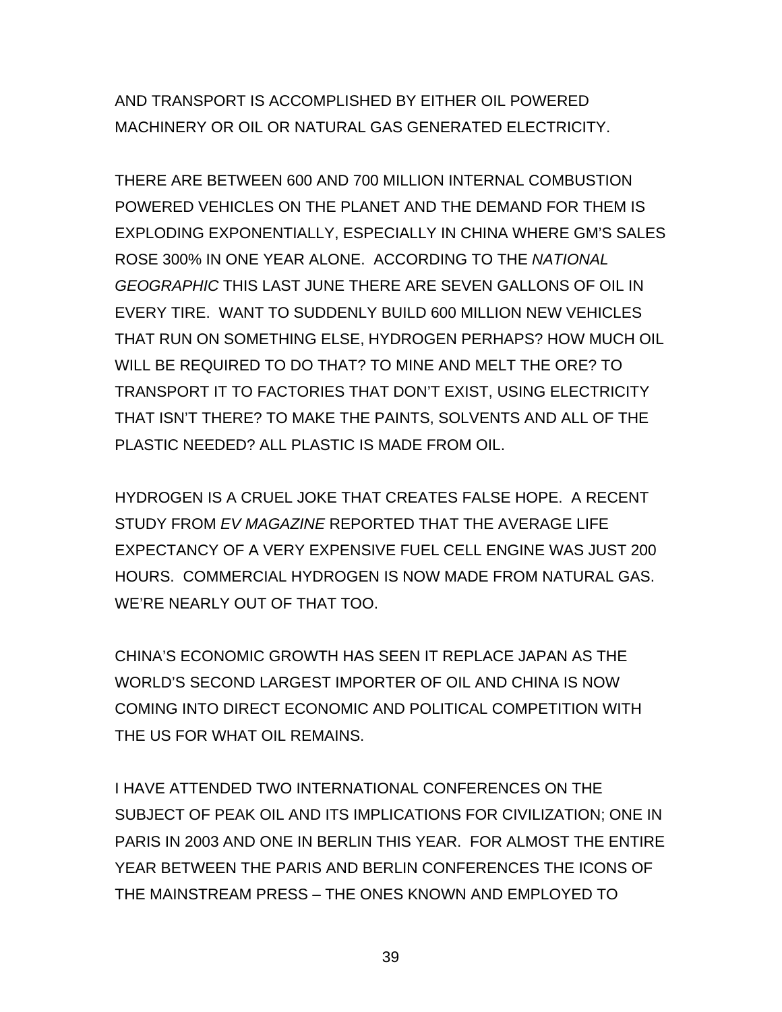AND TRANSPORT IS ACCOMPLISHED BY EITHER OIL POWERED MACHINERY OR OIL OR NATURAL GAS GENERATED ELECTRICITY.

THERE ARE BETWEEN 600 AND 700 MILLION INTERNAL COMBUSTION POWERED VEHICLES ON THE PLANET AND THE DEMAND FOR THEM IS EXPLODING EXPONENTIALLY, ESPECIALLY IN CHINA WHERE GM'S SALES ROSE 300% IN ONE YEAR ALONE. ACCORDING TO THE *NATIONAL GEOGRAPHIC* THIS LAST JUNE THERE ARE SEVEN GALLONS OF OIL IN EVERY TIRE. WANT TO SUDDENLY BUILD 600 MILLION NEW VEHICLES THAT RUN ON SOMETHING ELSE, HYDROGEN PERHAPS? HOW MUCH OIL WILL BE REQUIRED TO DO THAT? TO MINE AND MELT THE ORE? TO TRANSPORT IT TO FACTORIES THAT DON'T EXIST, USING ELECTRICITY THAT ISN'T THERE? TO MAKE THE PAINTS, SOLVENTS AND ALL OF THE PLASTIC NEEDED? ALL PLASTIC IS MADE FROM OIL.

HYDROGEN IS A CRUEL JOKE THAT CREATES FALSE HOPE. A RECENT STUDY FROM *EV MAGAZINE* REPORTED THAT THE AVERAGE LIFE EXPECTANCY OF A VERY EXPENSIVE FUEL CELL ENGINE WAS JUST 200 HOURS. COMMERCIAL HYDROGEN IS NOW MADE FROM NATURAL GAS. WE'RE NEARLY OUT OF THAT TOO.

CHINA'S ECONOMIC GROWTH HAS SEEN IT REPLACE JAPAN AS THE WORLD'S SECOND LARGEST IMPORTER OF OIL AND CHINA IS NOW COMING INTO DIRECT ECONOMIC AND POLITICAL COMPETITION WITH THE US FOR WHAT OIL REMAINS.

I HAVE ATTENDED TWO INTERNATIONAL CONFERENCES ON THE SUBJECT OF PEAK OIL AND ITS IMPLICATIONS FOR CIVILIZATION; ONE IN PARIS IN 2003 AND ONE IN BERLIN THIS YEAR. FOR ALMOST THE ENTIRE YEAR BETWEEN THE PARIS AND BERLIN CONFERENCES THE ICONS OF THE MAINSTREAM PRESS – THE ONES KNOWN AND EMPLOYED TO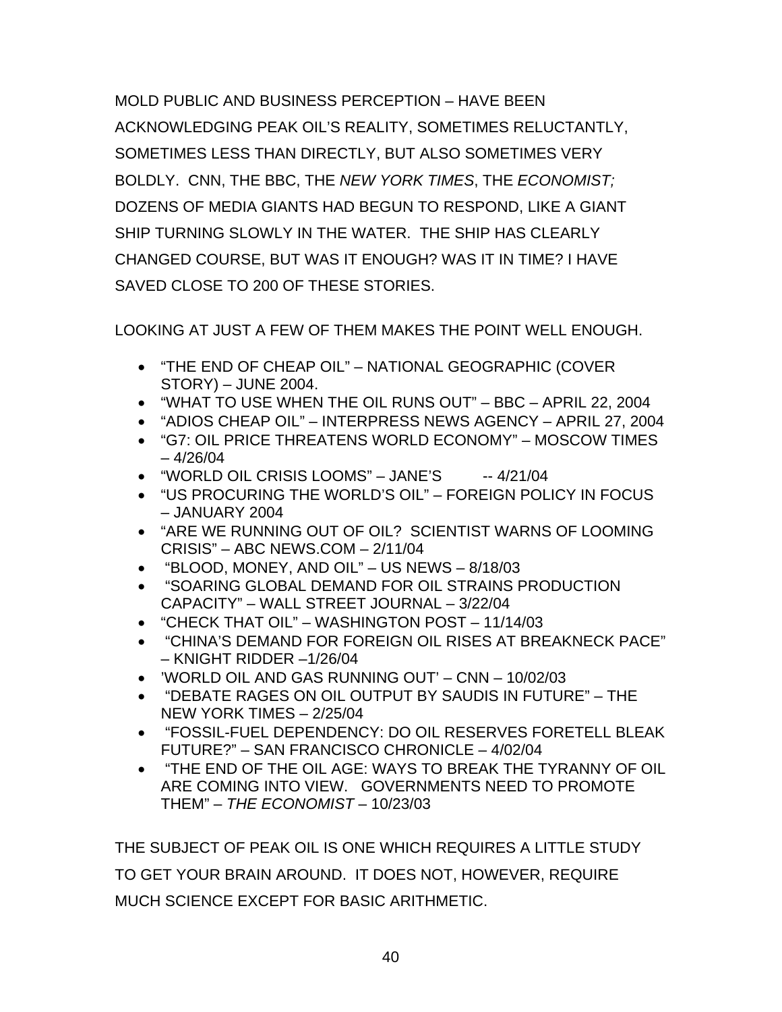MOLD PUBLIC AND BUSINESS PERCEPTION – HAVE BEEN ACKNOWLEDGING PEAK OIL'S REALITY, SOMETIMES RELUCTANTLY, SOMETIMES LESS THAN DIRECTLY, BUT ALSO SOMETIMES VERY BOLDLY. CNN, THE BBC, THE *NEW YORK TIMES*, THE *ECONOMIST;*  DOZENS OF MEDIA GIANTS HAD BEGUN TO RESPOND, LIKE A GIANT SHIP TURNING SLOWLY IN THE WATER. THE SHIP HAS CLEARLY CHANGED COURSE, BUT WAS IT ENOUGH? WAS IT IN TIME? I HAVE SAVED CLOSE TO 200 OF THESE STORIES.

LOOKING AT JUST A FEW OF THEM MAKES THE POINT WELL ENOUGH.

- "THE END OF CHEAP OIL" NATIONAL GEOGRAPHIC (COVER STORY) – JUNE 2004.
- "WHAT TO USE WHEN THE OIL RUNS OUT" BBC APRIL 22, 2004
- "ADIOS CHEAP OIL" INTERPRESS NEWS AGENCY APRIL 27, 2004
- "G7: OIL PRICE THREATENS WORLD ECONOMY" MOSCOW TIMES – 4/26/04
- $\bullet$  "WORLD OIL CRISIS LOOMS" JANE'S  $\phantom{00}$  -- 4/21/04
- "US PROCURING THE WORLD'S OIL" FOREIGN POLICY IN FOCUS – JANUARY 2004
- "ARE WE RUNNING OUT OF OIL? SCIENTIST WARNS OF LOOMING CRISIS" – ABC NEWS.COM – 2/11/04
- "BLOOD, MONEY, AND OIL" US NEWS 8/18/03
- "SOARING GLOBAL DEMAND FOR OIL STRAINS PRODUCTION CAPACITY" – WALL STREET JOURNAL – 3/22/04
- "CHECK THAT OIL" WASHINGTON POST 11/14/03
- "CHINA'S DEMAND FOR FOREIGN OIL RISES AT BREAKNECK PACE" – KNIGHT RIDDER –1/26/04
- 'WORLD OIL AND GAS RUNNING OUT' CNN 10/02/03
- "DEBATE RAGES ON OIL OUTPUT BY SAUDIS IN FUTURE" THE NEW YORK TIMES – 2/25/04
- "FOSSIL-FUEL DEPENDENCY: DO OIL RESERVES FORETELL BLEAK FUTURE?" – SAN FRANCISCO CHRONICLE – 4/02/04
- "THE END OF THE OIL AGE: WAYS TO BREAK THE TYRANNY OF OIL ARE COMING INTO VIEW. GOVERNMENTS NEED TO PROMOTE THEM" – *THE ECONOMIST* – 10/23/03

THE SUBJECT OF PEAK OIL IS ONE WHICH REQUIRES A LITTLE STUDY TO GET YOUR BRAIN AROUND. IT DOES NOT, HOWEVER, REQUIRE MUCH SCIENCE EXCEPT FOR BASIC ARITHMETIC.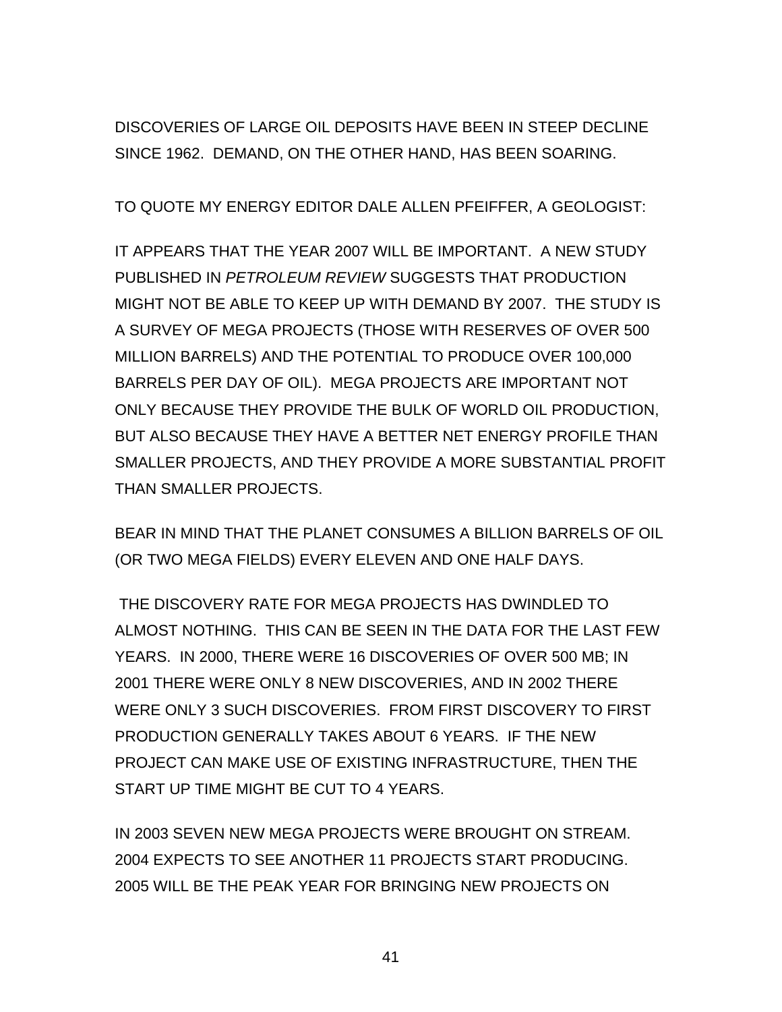DISCOVERIES OF LARGE OIL DEPOSITS HAVE BEEN IN STEEP DECLINE SINCE 1962. DEMAND, ON THE OTHER HAND, HAS BEEN SOARING.

TO QUOTE MY ENERGY EDITOR DALE ALLEN PFEIFFER, A GEOLOGIST:

IT APPEARS THAT THE YEAR 2007 WILL BE IMPORTANT. A NEW STUDY PUBLISHED IN *PETROLEUM REVIEW* SUGGESTS THAT PRODUCTION MIGHT NOT BE ABLE TO KEEP UP WITH DEMAND BY 2007. THE STUDY IS A SURVEY OF MEGA PROJECTS (THOSE WITH RESERVES OF OVER 500 MILLION BARRELS) AND THE POTENTIAL TO PRODUCE OVER 100,000 BARRELS PER DAY OF OIL). MEGA PROJECTS ARE IMPORTANT NOT ONLY BECAUSE THEY PROVIDE THE BULK OF WORLD OIL PRODUCTION, BUT ALSO BECAUSE THEY HAVE A BETTER NET ENERGY PROFILE THAN SMALLER PROJECTS, AND THEY PROVIDE A MORE SUBSTANTIAL PROFIT THAN SMALLER PROJECTS.

BEAR IN MIND THAT THE PLANET CONSUMES A BILLION BARRELS OF OIL (OR TWO MEGA FIELDS) EVERY ELEVEN AND ONE HALF DAYS.

 THE DISCOVERY RATE FOR MEGA PROJECTS HAS DWINDLED TO ALMOST NOTHING. THIS CAN BE SEEN IN THE DATA FOR THE LAST FEW YEARS. IN 2000, THERE WERE 16 DISCOVERIES OF OVER 500 MB; IN 2001 THERE WERE ONLY 8 NEW DISCOVERIES, AND IN 2002 THERE WERE ONLY 3 SUCH DISCOVERIES. FROM FIRST DISCOVERY TO FIRST PRODUCTION GENERALLY TAKES ABOUT 6 YEARS. IF THE NEW PROJECT CAN MAKE USE OF EXISTING INFRASTRUCTURE, THEN THE START UP TIME MIGHT BE CUT TO 4 YEARS.

IN 2003 SEVEN NEW MEGA PROJECTS WERE BROUGHT ON STREAM. 2004 EXPECTS TO SEE ANOTHER 11 PROJECTS START PRODUCING. 2005 WILL BE THE PEAK YEAR FOR BRINGING NEW PROJECTS ON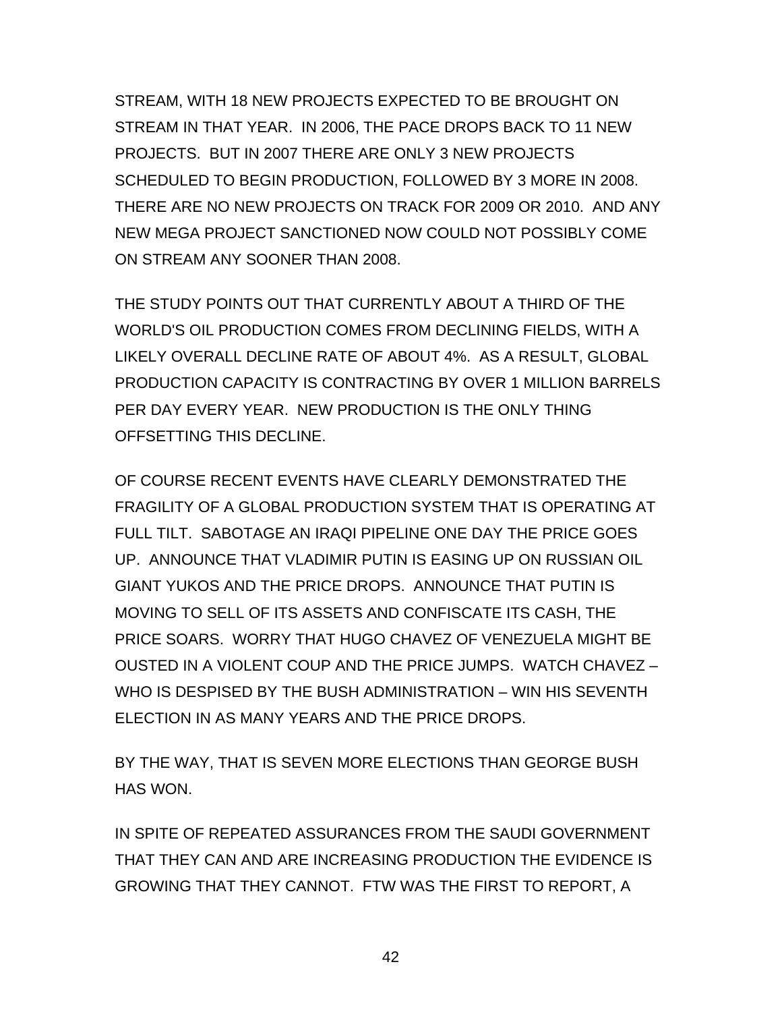STREAM, WITH 18 NEW PROJECTS EXPECTED TO BE BROUGHT ON STREAM IN THAT YEAR. IN 2006, THE PACE DROPS BACK TO 11 NEW PROJECTS. BUT IN 2007 THERE ARE ONLY 3 NEW PROJECTS SCHEDULED TO BEGIN PRODUCTION, FOLLOWED BY 3 MORE IN 2008. THERE ARE NO NEW PROJECTS ON TRACK FOR 2009 OR 2010. AND ANY NEW MEGA PROJECT SANCTIONED NOW COULD NOT POSSIBLY COME ON STREAM ANY SOONER THAN 2008.

THE STUDY POINTS OUT THAT CURRENTLY ABOUT A THIRD OF THE WORLD'S OIL PRODUCTION COMES FROM DECLINING FIELDS, WITH A LIKELY OVERALL DECLINE RATE OF ABOUT 4%. AS A RESULT, GLOBAL PRODUCTION CAPACITY IS CONTRACTING BY OVER 1 MILLION BARRELS PER DAY EVERY YEAR. NEW PRODUCTION IS THE ONLY THING OFFSETTING THIS DECLINE.

OF COURSE RECENT EVENTS HAVE CLEARLY DEMONSTRATED THE FRAGILITY OF A GLOBAL PRODUCTION SYSTEM THAT IS OPERATING AT FULL TILT. SABOTAGE AN IRAQI PIPELINE ONE DAY THE PRICE GOES UP. ANNOUNCE THAT VLADIMIR PUTIN IS EASING UP ON RUSSIAN OIL GIANT YUKOS AND THE PRICE DROPS. ANNOUNCE THAT PUTIN IS MOVING TO SELL OF ITS ASSETS AND CONFISCATE ITS CASH, THE PRICE SOARS. WORRY THAT HUGO CHAVEZ OF VENEZUELA MIGHT BE OUSTED IN A VIOLENT COUP AND THE PRICE JUMPS. WATCH CHAVEZ – WHO IS DESPISED BY THE BUSH ADMINISTRATION – WIN HIS SEVENTH ELECTION IN AS MANY YEARS AND THE PRICE DROPS.

BY THE WAY, THAT IS SEVEN MORE ELECTIONS THAN GEORGE BUSH HAS WON.

IN SPITE OF REPEATED ASSURANCES FROM THE SAUDI GOVERNMENT THAT THEY CAN AND ARE INCREASING PRODUCTION THE EVIDENCE IS GROWING THAT THEY CANNOT. FTW WAS THE FIRST TO REPORT, A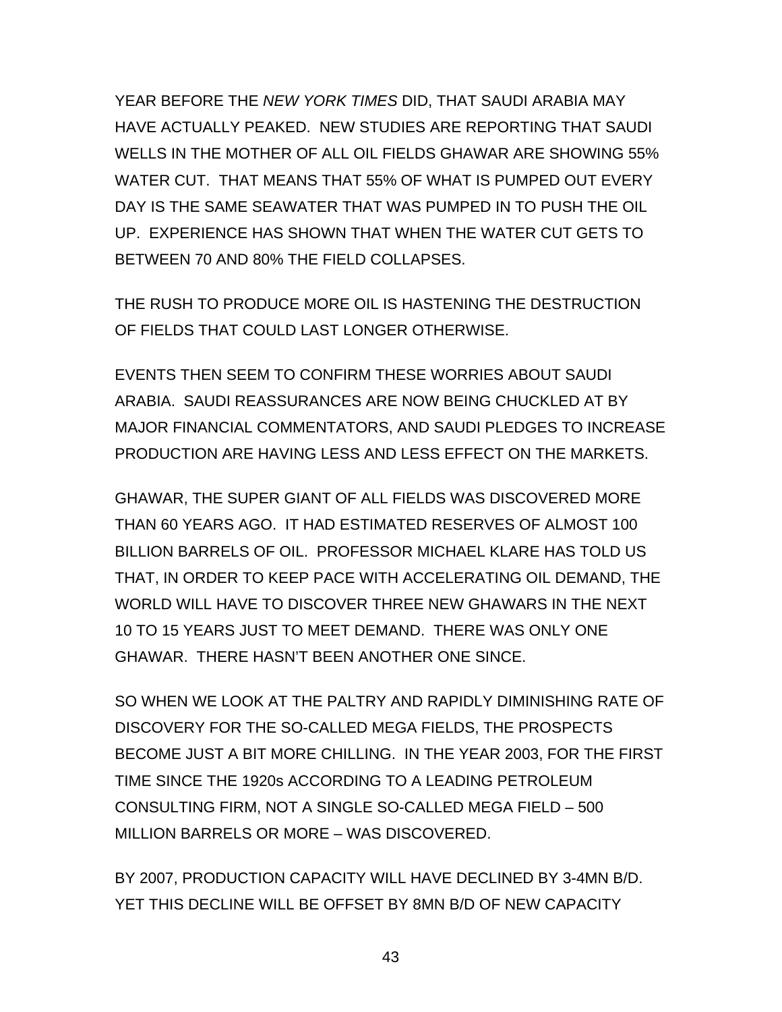YEAR BEFORE THE *NEW YORK TIMES* DID, THAT SAUDI ARABIA MAY HAVE ACTUALLY PEAKED. NEW STUDIES ARE REPORTING THAT SAUDI WELLS IN THE MOTHER OF ALL OIL FIELDS GHAWAR ARE SHOWING 55% WATER CUT. THAT MEANS THAT 55% OF WHAT IS PUMPED OUT EVERY DAY IS THE SAME SEAWATER THAT WAS PUMPED IN TO PUSH THE OIL UP. EXPERIENCE HAS SHOWN THAT WHEN THE WATER CUT GETS TO BETWEEN 70 AND 80% THE FIELD COLLAPSES.

THE RUSH TO PRODUCE MORE OIL IS HASTENING THE DESTRUCTION OF FIELDS THAT COULD LAST LONGER OTHERWISE.

EVENTS THEN SEEM TO CONFIRM THESE WORRIES ABOUT SAUDI ARABIA. SAUDI REASSURANCES ARE NOW BEING CHUCKLED AT BY MAJOR FINANCIAL COMMENTATORS, AND SAUDI PLEDGES TO INCREASE PRODUCTION ARE HAVING LESS AND LESS EFFECT ON THE MARKETS.

GHAWAR, THE SUPER GIANT OF ALL FIELDS WAS DISCOVERED MORE THAN 60 YEARS AGO. IT HAD ESTIMATED RESERVES OF ALMOST 100 BILLION BARRELS OF OIL. PROFESSOR MICHAEL KLARE HAS TOLD US THAT, IN ORDER TO KEEP PACE WITH ACCELERATING OIL DEMAND, THE WORLD WILL HAVE TO DISCOVER THREE NEW GHAWARS IN THE NEXT 10 TO 15 YEARS JUST TO MEET DEMAND. THERE WAS ONLY ONE GHAWAR. THERE HASN'T BEEN ANOTHER ONE SINCE.

SO WHEN WE LOOK AT THE PALTRY AND RAPIDLY DIMINISHING RATE OF DISCOVERY FOR THE SO-CALLED MEGA FIELDS, THE PROSPECTS BECOME JUST A BIT MORE CHILLING. IN THE YEAR 2003, FOR THE FIRST TIME SINCE THE 1920s ACCORDING TO A LEADING PETROLEUM CONSULTING FIRM, NOT A SINGLE SO-CALLED MEGA FIELD – 500 MILLION BARRELS OR MORE – WAS DISCOVERED.

BY 2007, PRODUCTION CAPACITY WILL HAVE DECLINED BY 3-4MN B/D. YET THIS DECLINE WILL BE OFFSET BY 8MN B/D OF NEW CAPACITY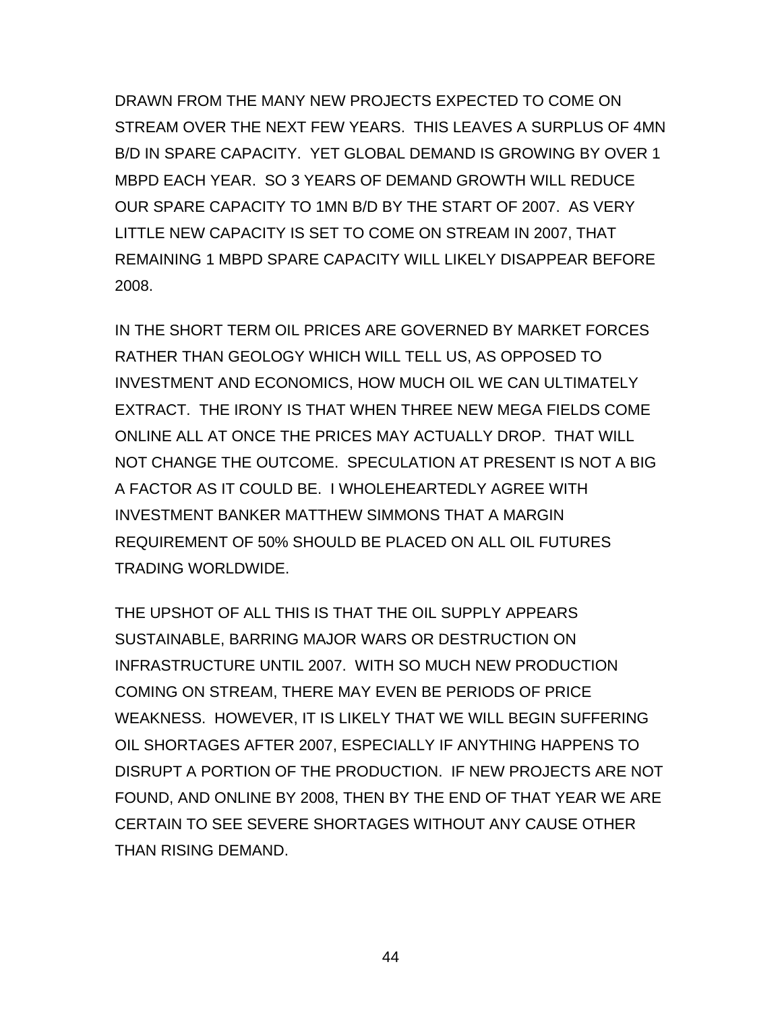DRAWN FROM THE MANY NEW PROJECTS EXPECTED TO COME ON STREAM OVER THE NEXT FEW YEARS. THIS LEAVES A SURPLUS OF 4MN B/D IN SPARE CAPACITY. YET GLOBAL DEMAND IS GROWING BY OVER 1 MBPD EACH YEAR. SO 3 YEARS OF DEMAND GROWTH WILL REDUCE OUR SPARE CAPACITY TO 1MN B/D BY THE START OF 2007. AS VERY LITTLE NEW CAPACITY IS SET TO COME ON STREAM IN 2007, THAT REMAINING 1 MBPD SPARE CAPACITY WILL LIKELY DISAPPEAR BEFORE 2008.

IN THE SHORT TERM OIL PRICES ARE GOVERNED BY MARKET FORCES RATHER THAN GEOLOGY WHICH WILL TELL US, AS OPPOSED TO INVESTMENT AND ECONOMICS, HOW MUCH OIL WE CAN ULTIMATELY EXTRACT. THE IRONY IS THAT WHEN THREE NEW MEGA FIELDS COME ONLINE ALL AT ONCE THE PRICES MAY ACTUALLY DROP. THAT WILL NOT CHANGE THE OUTCOME. SPECULATION AT PRESENT IS NOT A BIG A FACTOR AS IT COULD BE. I WHOLEHEARTEDLY AGREE WITH INVESTMENT BANKER MATTHEW SIMMONS THAT A MARGIN REQUIREMENT OF 50% SHOULD BE PLACED ON ALL OIL FUTURES TRADING WORLDWIDE.

THE UPSHOT OF ALL THIS IS THAT THE OIL SUPPLY APPEARS SUSTAINABLE, BARRING MAJOR WARS OR DESTRUCTION ON INFRASTRUCTURE UNTIL 2007. WITH SO MUCH NEW PRODUCTION COMING ON STREAM, THERE MAY EVEN BE PERIODS OF PRICE WEAKNESS. HOWEVER, IT IS LIKELY THAT WE WILL BEGIN SUFFERING OIL SHORTAGES AFTER 2007, ESPECIALLY IF ANYTHING HAPPENS TO DISRUPT A PORTION OF THE PRODUCTION. IF NEW PROJECTS ARE NOT FOUND, AND ONLINE BY 2008, THEN BY THE END OF THAT YEAR WE ARE CERTAIN TO SEE SEVERE SHORTAGES WITHOUT ANY CAUSE OTHER THAN RISING DEMAND.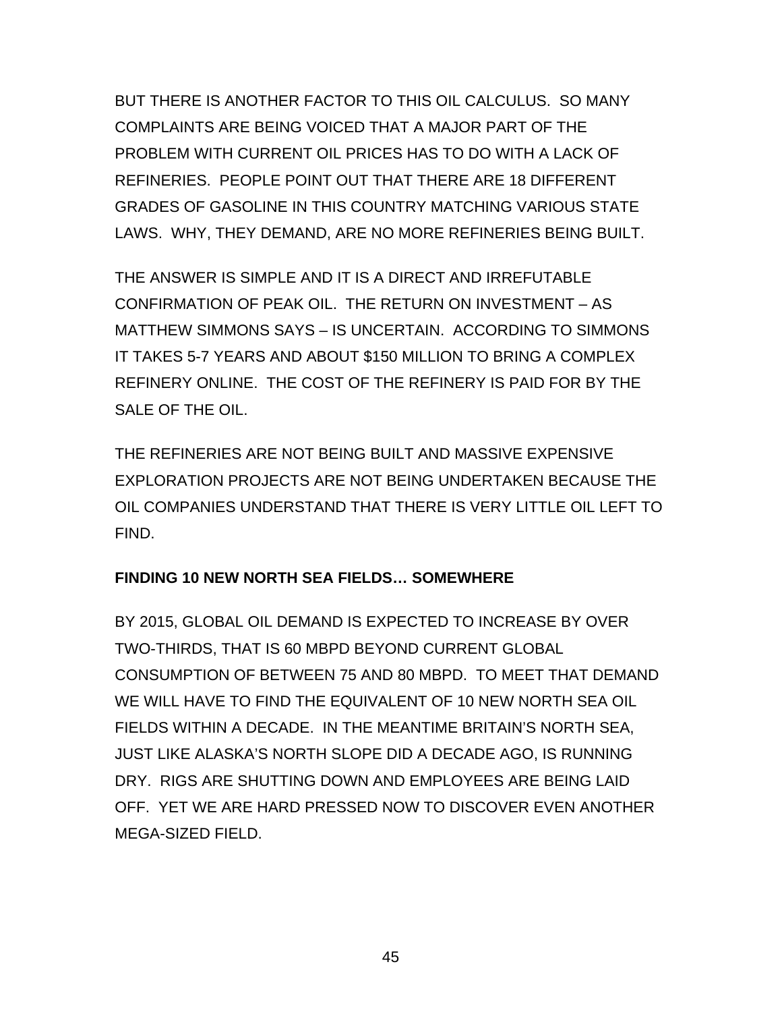BUT THERE IS ANOTHER FACTOR TO THIS OIL CALCULUS. SO MANY COMPLAINTS ARE BEING VOICED THAT A MAJOR PART OF THE PROBLEM WITH CURRENT OIL PRICES HAS TO DO WITH A LACK OF REFINERIES. PEOPLE POINT OUT THAT THERE ARE 18 DIFFERENT GRADES OF GASOLINE IN THIS COUNTRY MATCHING VARIOUS STATE LAWS. WHY, THEY DEMAND, ARE NO MORE REFINERIES BEING BUILT.

THE ANSWER IS SIMPLE AND IT IS A DIRECT AND IRREFUTABLE CONFIRMATION OF PEAK OIL. THE RETURN ON INVESTMENT – AS MATTHEW SIMMONS SAYS – IS UNCERTAIN. ACCORDING TO SIMMONS IT TAKES 5-7 YEARS AND ABOUT \$150 MILLION TO BRING A COMPLEX REFINERY ONLINE. THE COST OF THE REFINERY IS PAID FOR BY THE SALE OF THE OIL.

THE REFINERIES ARE NOT BEING BUILT AND MASSIVE EXPENSIVE EXPLORATION PROJECTS ARE NOT BEING UNDERTAKEN BECAUSE THE OIL COMPANIES UNDERSTAND THAT THERE IS VERY LITTLE OIL LEFT TO FIND.

# **FINDING 10 NEW NORTH SEA FIELDS… SOMEWHERE**

BY 2015, GLOBAL OIL DEMAND IS EXPECTED TO INCREASE BY OVER TWO-THIRDS, THAT IS 60 MBPD BEYOND CURRENT GLOBAL CONSUMPTION OF BETWEEN 75 AND 80 MBPD. TO MEET THAT DEMAND WE WILL HAVE TO FIND THE EQUIVALENT OF 10 NEW NORTH SEA OIL FIELDS WITHIN A DECADE. IN THE MEANTIME BRITAIN'S NORTH SEA, JUST LIKE ALASKA'S NORTH SLOPE DID A DECADE AGO, IS RUNNING DRY. RIGS ARE SHUTTING DOWN AND EMPLOYEES ARE BEING LAID OFF. YET WE ARE HARD PRESSED NOW TO DISCOVER EVEN ANOTHER MEGA-SIZED FIELD.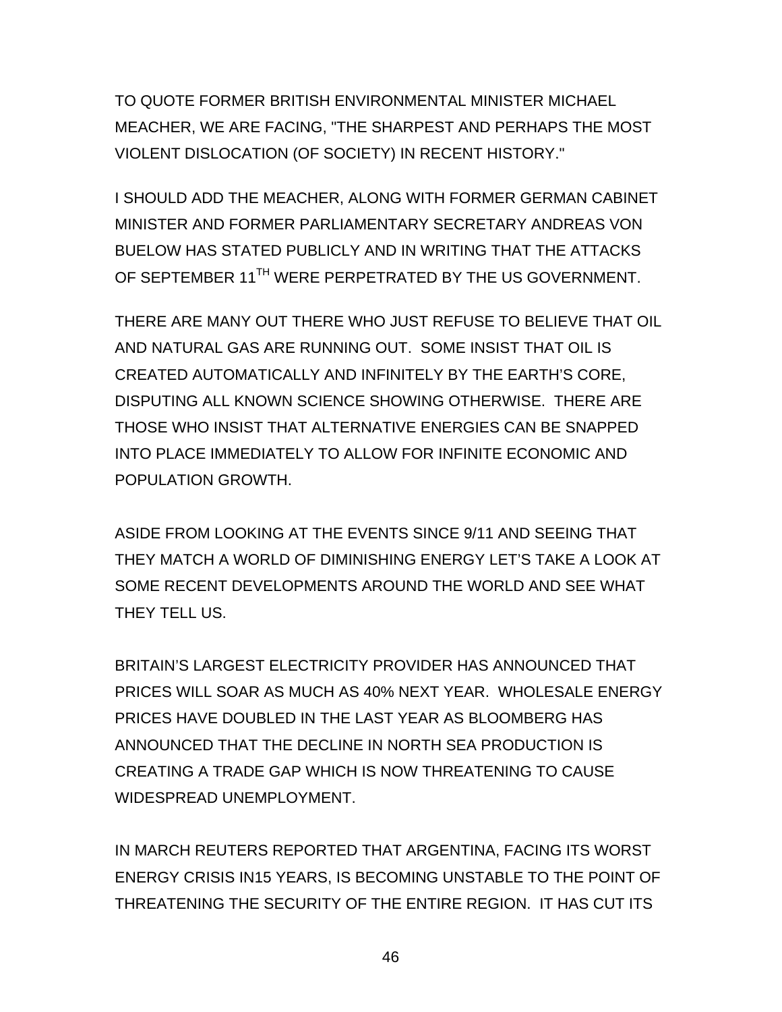TO QUOTE FORMER BRITISH ENVIRONMENTAL MINISTER MICHAEL MEACHER, WE ARE FACING, "THE SHARPEST AND PERHAPS THE MOST VIOLENT DISLOCATION (OF SOCIETY) IN RECENT HISTORY."

I SHOULD ADD THE MEACHER, ALONG WITH FORMER GERMAN CABINET MINISTER AND FORMER PARLIAMENTARY SECRETARY ANDREAS VON BUELOW HAS STATED PUBLICLY AND IN WRITING THAT THE ATTACKS OF SEPTEMBER 11<sup>TH</sup> WERE PERPETRATED BY THE US GOVERNMENT.

THERE ARE MANY OUT THERE WHO JUST REFUSE TO BELIEVE THAT OIL AND NATURAL GAS ARE RUNNING OUT. SOME INSIST THAT OIL IS CREATED AUTOMATICALLY AND INFINITELY BY THE EARTH'S CORE, DISPUTING ALL KNOWN SCIENCE SHOWING OTHERWISE. THERE ARE THOSE WHO INSIST THAT ALTERNATIVE ENERGIES CAN BE SNAPPED INTO PLACE IMMEDIATELY TO ALLOW FOR INFINITE ECONOMIC AND POPULATION GROWTH.

ASIDE FROM LOOKING AT THE EVENTS SINCE 9/11 AND SEEING THAT THEY MATCH A WORLD OF DIMINISHING ENERGY LET'S TAKE A LOOK AT SOME RECENT DEVELOPMENTS AROUND THE WORLD AND SEE WHAT THEY TELL US.

BRITAIN'S LARGEST ELECTRICITY PROVIDER HAS ANNOUNCED THAT PRICES WILL SOAR AS MUCH AS 40% NEXT YEAR. WHOLESALE ENERGY PRICES HAVE DOUBLED IN THE LAST YEAR AS BLOOMBERG HAS ANNOUNCED THAT THE DECLINE IN NORTH SEA PRODUCTION IS CREATING A TRADE GAP WHICH IS NOW THREATENING TO CAUSE WIDESPREAD UNEMPLOYMENT.

IN MARCH REUTERS REPORTED THAT ARGENTINA, FACING ITS WORST ENERGY CRISIS IN15 YEARS, IS BECOMING UNSTABLE TO THE POINT OF THREATENING THE SECURITY OF THE ENTIRE REGION. IT HAS CUT ITS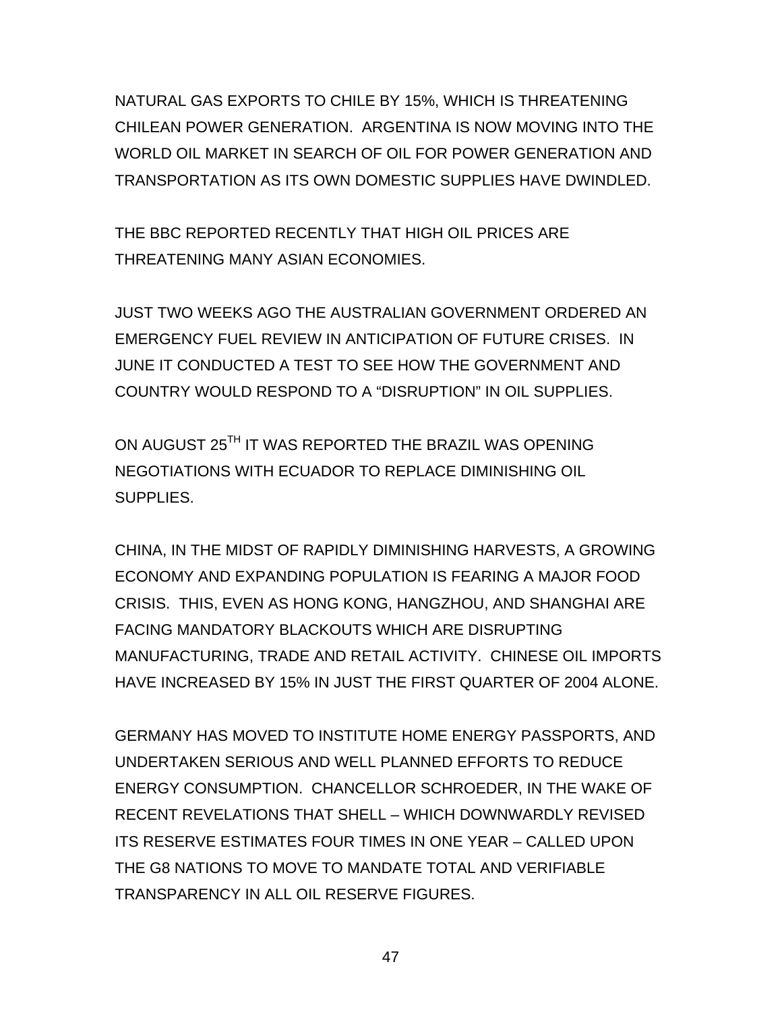NATURAL GAS EXPORTS TO CHILE BY 15%, WHICH IS THREATENING CHILEAN POWER GENERATION. ARGENTINA IS NOW MOVING INTO THE WORLD OIL MARKET IN SEARCH OF OIL FOR POWER GENERATION AND TRANSPORTATION AS ITS OWN DOMESTIC SUPPLIES HAVE DWINDLED.

THE BBC REPORTED RECENTLY THAT HIGH OIL PRICES ARE THREATENING MANY ASIAN ECONOMIES.

JUST TWO WEEKS AGO THE AUSTRALIAN GOVERNMENT ORDERED AN EMERGENCY FUEL REVIEW IN ANTICIPATION OF FUTURE CRISES. IN JUNE IT CONDUCTED A TEST TO SEE HOW THE GOVERNMENT AND COUNTRY WOULD RESPOND TO A "DISRUPTION" IN OIL SUPPLIES.

ON AUGUST 25TH IT WAS REPORTED THE BRAZIL WAS OPENING NEGOTIATIONS WITH ECUADOR TO REPLACE DIMINISHING OIL SUPPLIES.

CHINA, IN THE MIDST OF RAPIDLY DIMINISHING HARVESTS, A GROWING ECONOMY AND EXPANDING POPULATION IS FEARING A MAJOR FOOD CRISIS. THIS, EVEN AS HONG KONG, HANGZHOU, AND SHANGHAI ARE FACING MANDATORY BLACKOUTS WHICH ARE DISRUPTING MANUFACTURING, TRADE AND RETAIL ACTIVITY. CHINESE OIL IMPORTS HAVE INCREASED BY 15% IN JUST THE FIRST QUARTER OF 2004 ALONE.

GERMANY HAS MOVED TO INSTITUTE HOME ENERGY PASSPORTS, AND UNDERTAKEN SERIOUS AND WELL PLANNED EFFORTS TO REDUCE ENERGY CONSUMPTION. CHANCELLOR SCHROEDER, IN THE WAKE OF RECENT REVELATIONS THAT SHELL – WHICH DOWNWARDLY REVISED ITS RESERVE ESTIMATES FOUR TIMES IN ONE YEAR – CALLED UPON THE G8 NATIONS TO MOVE TO MANDATE TOTAL AND VERIFIABLE TRANSPARENCY IN ALL OIL RESERVE FIGURES.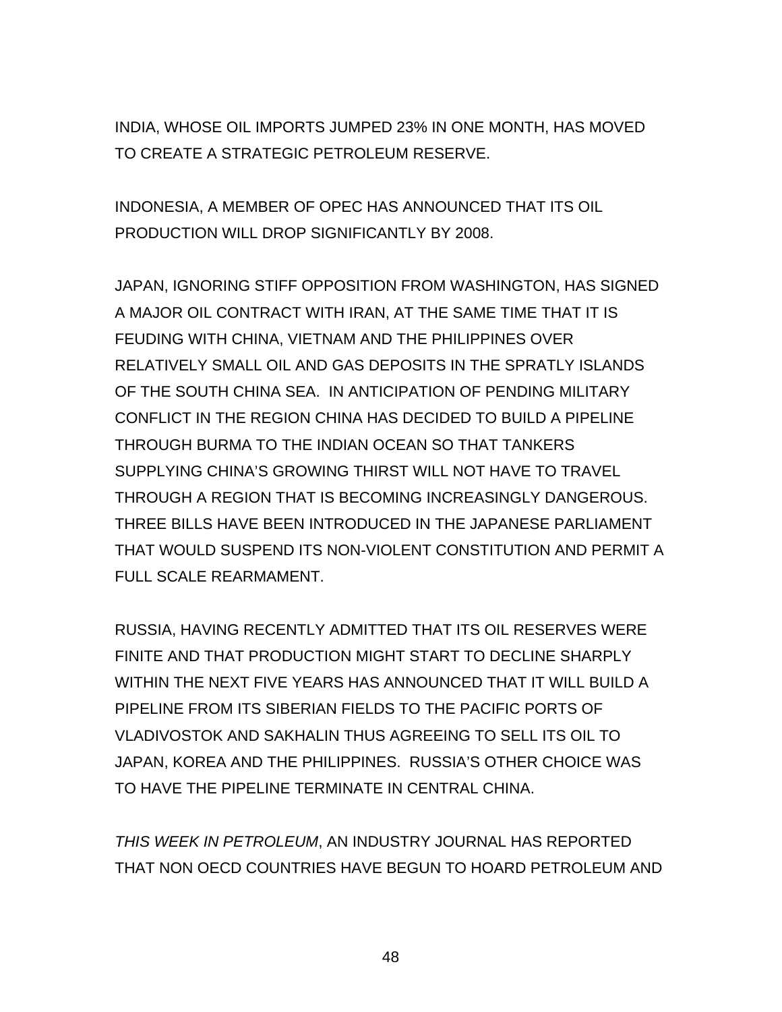INDIA, WHOSE OIL IMPORTS JUMPED 23% IN ONE MONTH, HAS MOVED TO CREATE A STRATEGIC PETROLEUM RESERVE.

INDONESIA, A MEMBER OF OPEC HAS ANNOUNCED THAT ITS OIL PRODUCTION WILL DROP SIGNIFICANTLY BY 2008.

JAPAN, IGNORING STIFF OPPOSITION FROM WASHINGTON, HAS SIGNED A MAJOR OIL CONTRACT WITH IRAN, AT THE SAME TIME THAT IT IS FEUDING WITH CHINA, VIETNAM AND THE PHILIPPINES OVER RELATIVELY SMALL OIL AND GAS DEPOSITS IN THE SPRATLY ISLANDS OF THE SOUTH CHINA SEA. IN ANTICIPATION OF PENDING MILITARY CONFLICT IN THE REGION CHINA HAS DECIDED TO BUILD A PIPELINE THROUGH BURMA TO THE INDIAN OCEAN SO THAT TANKERS SUPPLYING CHINA'S GROWING THIRST WILL NOT HAVE TO TRAVEL THROUGH A REGION THAT IS BECOMING INCREASINGLY DANGEROUS. THREE BILLS HAVE BEEN INTRODUCED IN THE JAPANESE PARLIAMENT THAT WOULD SUSPEND ITS NON-VIOLENT CONSTITUTION AND PERMIT A FULL SCALE REARMAMENT.

RUSSIA, HAVING RECENTLY ADMITTED THAT ITS OIL RESERVES WERE FINITE AND THAT PRODUCTION MIGHT START TO DECLINE SHARPLY WITHIN THE NEXT FIVE YEARS HAS ANNOUNCED THAT IT WILL BUILD A PIPELINE FROM ITS SIBERIAN FIELDS TO THE PACIFIC PORTS OF VLADIVOSTOK AND SAKHALIN THUS AGREEING TO SELL ITS OIL TO JAPAN, KOREA AND THE PHILIPPINES. RUSSIA'S OTHER CHOICE WAS TO HAVE THE PIPELINE TERMINATE IN CENTRAL CHINA.

*THIS WEEK IN PETROLEUM*, AN INDUSTRY JOURNAL HAS REPORTED THAT NON OECD COUNTRIES HAVE BEGUN TO HOARD PETROLEUM AND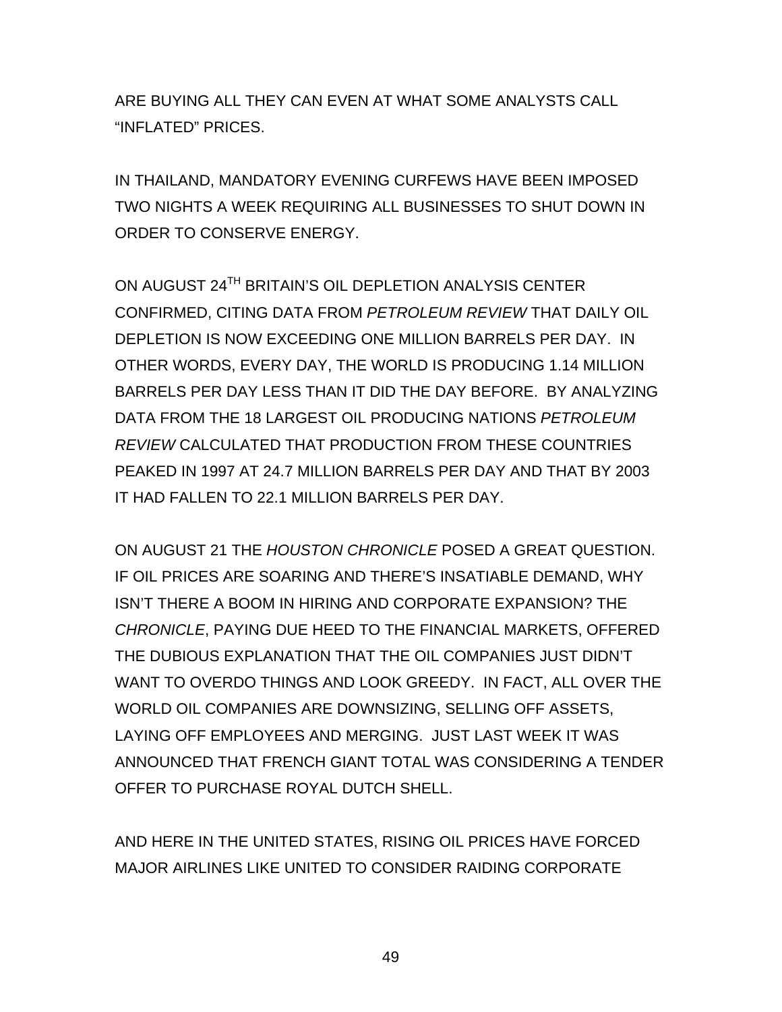ARE BUYING ALL THEY CAN EVEN AT WHAT SOME ANALYSTS CALL "INFLATED" PRICES.

IN THAILAND, MANDATORY EVENING CURFEWS HAVE BEEN IMPOSED TWO NIGHTS A WEEK REQUIRING ALL BUSINESSES TO SHUT DOWN IN ORDER TO CONSERVE ENERGY.

ON AUGUST 24<sup>TH</sup> BRITAIN'S OIL DEPLETION ANALYSIS CENTER CONFIRMED, CITING DATA FROM *PETROLEUM REVIEW* THAT DAILY OIL DEPLETION IS NOW EXCEEDING ONE MILLION BARRELS PER DAY. IN OTHER WORDS, EVERY DAY, THE WORLD IS PRODUCING 1.14 MILLION BARRELS PER DAY LESS THAN IT DID THE DAY BEFORE. BY ANALYZING DATA FROM THE 18 LARGEST OIL PRODUCING NATIONS *PETROLEUM REVIEW* CALCULATED THAT PRODUCTION FROM THESE COUNTRIES PEAKED IN 1997 AT 24.7 MILLION BARRELS PER DAY AND THAT BY 2003 IT HAD FALLEN TO 22.1 MILLION BARRELS PER DAY.

ON AUGUST 21 THE *HOUSTON CHRONICLE* POSED A GREAT QUESTION. IF OIL PRICES ARE SOARING AND THERE'S INSATIABLE DEMAND, WHY ISN'T THERE A BOOM IN HIRING AND CORPORATE EXPANSION? THE *CHRONICLE*, PAYING DUE HEED TO THE FINANCIAL MARKETS, OFFERED THE DUBIOUS EXPLANATION THAT THE OIL COMPANIES JUST DIDN'T WANT TO OVERDO THINGS AND LOOK GREEDY. IN FACT, ALL OVER THE WORLD OIL COMPANIES ARE DOWNSIZING, SELLING OFF ASSETS, LAYING OFF EMPLOYEES AND MERGING. JUST LAST WEEK IT WAS ANNOUNCED THAT FRENCH GIANT TOTAL WAS CONSIDERING A TENDER OFFER TO PURCHASE ROYAL DUTCH SHELL.

AND HERE IN THE UNITED STATES, RISING OIL PRICES HAVE FORCED MAJOR AIRLINES LIKE UNITED TO CONSIDER RAIDING CORPORATE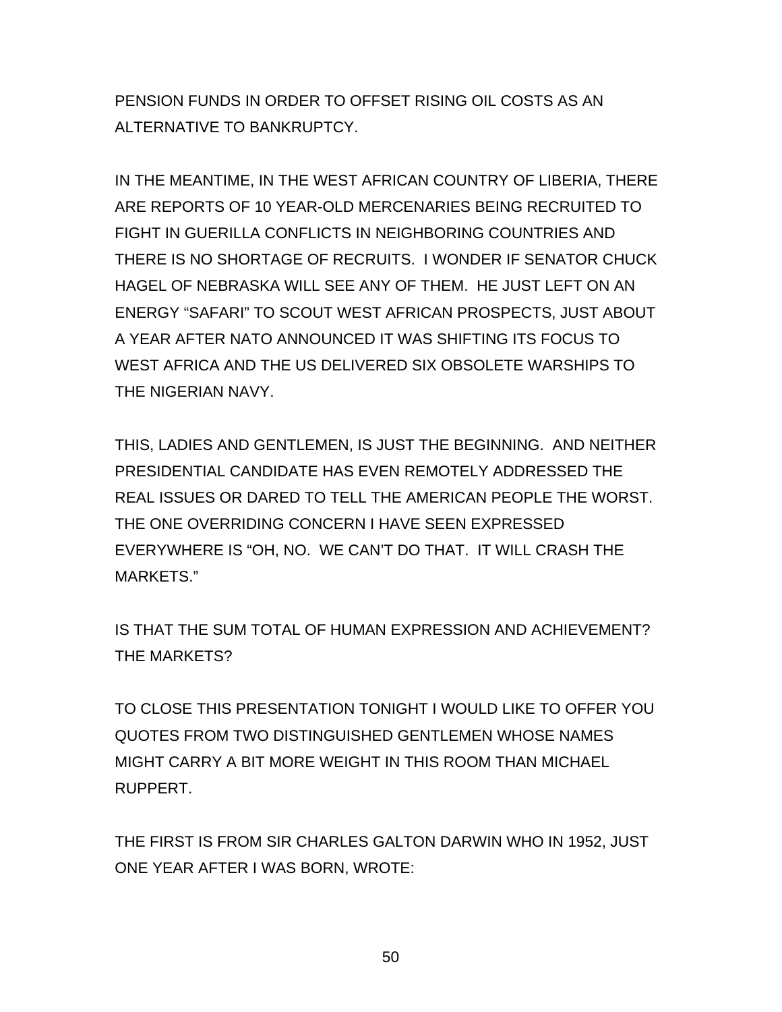PENSION FUNDS IN ORDER TO OFFSET RISING OIL COSTS AS AN ALTERNATIVE TO BANKRUPTCY.

IN THE MEANTIME, IN THE WEST AFRICAN COUNTRY OF LIBERIA, THERE ARE REPORTS OF 10 YEAR-OLD MERCENARIES BEING RECRUITED TO FIGHT IN GUERILLA CONFLICTS IN NEIGHBORING COUNTRIES AND THERE IS NO SHORTAGE OF RECRUITS. I WONDER IF SENATOR CHUCK HAGEL OF NEBRASKA WILL SEE ANY OF THEM. HE JUST LEFT ON AN ENERGY "SAFARI" TO SCOUT WEST AFRICAN PROSPECTS, JUST ABOUT A YEAR AFTER NATO ANNOUNCED IT WAS SHIFTING ITS FOCUS TO WEST AFRICA AND THE US DELIVERED SIX OBSOLETE WARSHIPS TO THE NIGERIAN NAVY.

THIS, LADIES AND GENTLEMEN, IS JUST THE BEGINNING. AND NEITHER PRESIDENTIAL CANDIDATE HAS EVEN REMOTELY ADDRESSED THE REAL ISSUES OR DARED TO TELL THE AMERICAN PEOPLE THE WORST. THE ONE OVERRIDING CONCERN I HAVE SEEN EXPRESSED EVERYWHERE IS "OH, NO. WE CAN'T DO THAT. IT WILL CRASH THE MARKETS."

IS THAT THE SUM TOTAL OF HUMAN EXPRESSION AND ACHIEVEMENT? THE MARKETS?

TO CLOSE THIS PRESENTATION TONIGHT I WOULD LIKE TO OFFER YOU QUOTES FROM TWO DISTINGUISHED GENTLEMEN WHOSE NAMES MIGHT CARRY A BIT MORE WEIGHT IN THIS ROOM THAN MICHAEL RUPPERT.

THE FIRST IS FROM SIR CHARLES GALTON DARWIN WHO IN 1952, JUST ONE YEAR AFTER I WAS BORN, WROTE: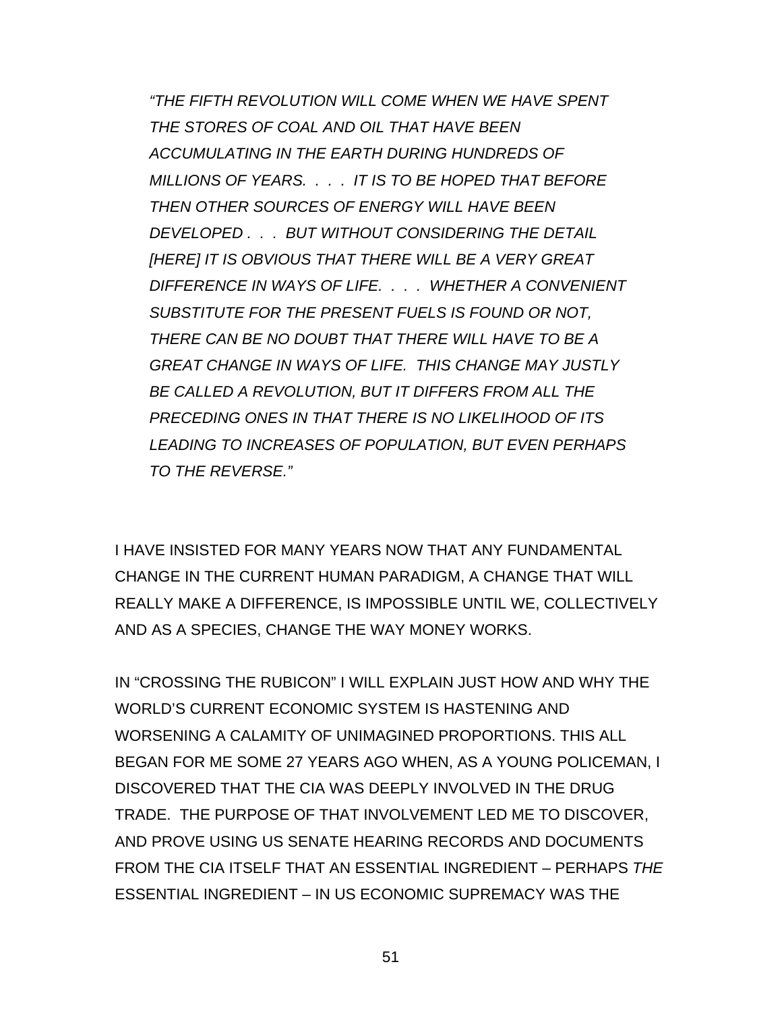*"THE FIFTH REVOLUTION WILL COME WHEN WE HAVE SPENT THE STORES OF COAL AND OIL THAT HAVE BEEN ACCUMULATING IN THE EARTH DURING HUNDREDS OF MILLIONS OF YEARS. . . . IT IS TO BE HOPED THAT BEFORE THEN OTHER SOURCES OF ENERGY WILL HAVE BEEN DEVELOPED . . . BUT WITHOUT CONSIDERING THE DETAIL [HERE] IT IS OBVIOUS THAT THERE WILL BE A VERY GREAT DIFFERENCE IN WAYS OF LIFE. . . . WHETHER A CONVENIENT SUBSTITUTE FOR THE PRESENT FUELS IS FOUND OR NOT, THERE CAN BE NO DOUBT THAT THERE WILL HAVE TO BE A GREAT CHANGE IN WAYS OF LIFE. THIS CHANGE MAY JUSTLY BE CALLED A REVOLUTION, BUT IT DIFFERS FROM ALL THE PRECEDING ONES IN THAT THERE IS NO LIKELIHOOD OF ITS LEADING TO INCREASES OF POPULATION, BUT EVEN PERHAPS TO THE REVERSE."* 

I HAVE INSISTED FOR MANY YEARS NOW THAT ANY FUNDAMENTAL CHANGE IN THE CURRENT HUMAN PARADIGM, A CHANGE THAT WILL REALLY MAKE A DIFFERENCE, IS IMPOSSIBLE UNTIL WE, COLLECTIVELY AND AS A SPECIES, CHANGE THE WAY MONEY WORKS.

IN "CROSSING THE RUBICON" I WILL EXPLAIN JUST HOW AND WHY THE WORLD'S CURRENT ECONOMIC SYSTEM IS HASTENING AND WORSENING A CALAMITY OF UNIMAGINED PROPORTIONS. THIS ALL BEGAN FOR ME SOME 27 YEARS AGO WHEN, AS A YOUNG POLICEMAN, I DISCOVERED THAT THE CIA WAS DEEPLY INVOLVED IN THE DRUG TRADE. THE PURPOSE OF THAT INVOLVEMENT LED ME TO DISCOVER, AND PROVE USING US SENATE HEARING RECORDS AND DOCUMENTS FROM THE CIA ITSELF THAT AN ESSENTIAL INGREDIENT – PERHAPS *THE* ESSENTIAL INGREDIENT – IN US ECONOMIC SUPREMACY WAS THE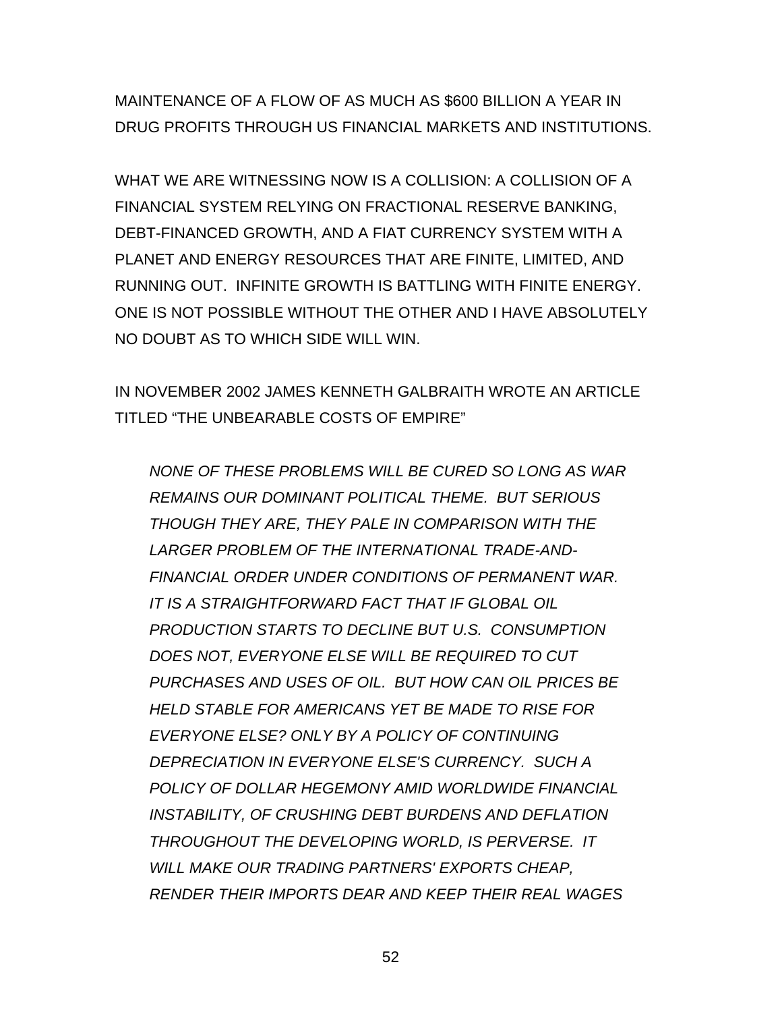MAINTENANCE OF A FLOW OF AS MUCH AS \$600 BILLION A YEAR IN DRUG PROFITS THROUGH US FINANCIAL MARKETS AND INSTITUTIONS.

WHAT WE ARE WITNESSING NOW IS A COLLISION: A COLLISION OF A FINANCIAL SYSTEM RELYING ON FRACTIONAL RESERVE BANKING, DEBT-FINANCED GROWTH, AND A FIAT CURRENCY SYSTEM WITH A PLANET AND ENERGY RESOURCES THAT ARE FINITE, LIMITED, AND RUNNING OUT. INFINITE GROWTH IS BATTLING WITH FINITE ENERGY. ONE IS NOT POSSIBLE WITHOUT THE OTHER AND I HAVE ABSOLUTELY NO DOUBT AS TO WHICH SIDE WILL WIN.

IN NOVEMBER 2002 JAMES KENNETH GALBRAITH WROTE AN ARTICLE TITLED "THE UNBEARABLE COSTS OF EMPIRE"

*NONE OF THESE PROBLEMS WILL BE CURED SO LONG AS WAR REMAINS OUR DOMINANT POLITICAL THEME. BUT SERIOUS THOUGH THEY ARE, THEY PALE IN COMPARISON WITH THE LARGER PROBLEM OF THE INTERNATIONAL TRADE-AND-FINANCIAL ORDER UNDER CONDITIONS OF PERMANENT WAR. IT IS A STRAIGHTFORWARD FACT THAT IF GLOBAL OIL PRODUCTION STARTS TO DECLINE BUT U.S. CONSUMPTION DOES NOT, EVERYONE ELSE WILL BE REQUIRED TO CUT PURCHASES AND USES OF OIL. BUT HOW CAN OIL PRICES BE HELD STABLE FOR AMERICANS YET BE MADE TO RISE FOR EVERYONE ELSE? ONLY BY A POLICY OF CONTINUING DEPRECIATION IN EVERYONE ELSE'S CURRENCY. SUCH A POLICY OF DOLLAR HEGEMONY AMID WORLDWIDE FINANCIAL INSTABILITY, OF CRUSHING DEBT BURDENS AND DEFLATION THROUGHOUT THE DEVELOPING WORLD, IS PERVERSE. IT WILL MAKE OUR TRADING PARTNERS' EXPORTS CHEAP, RENDER THEIR IMPORTS DEAR AND KEEP THEIR REAL WAGES*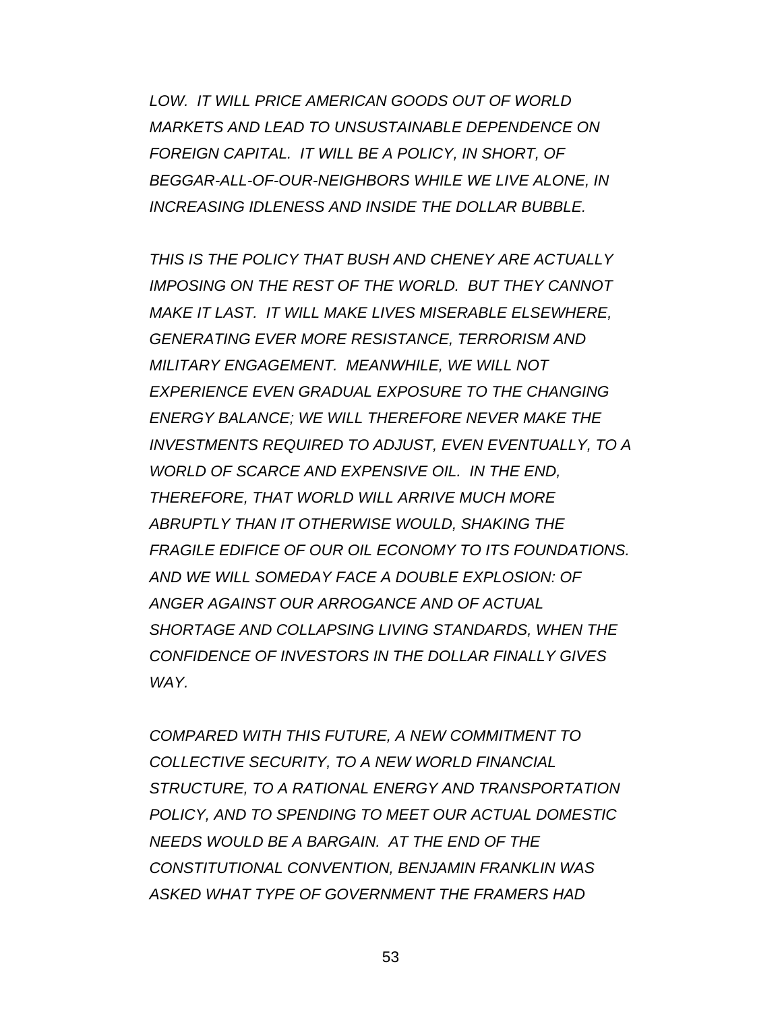*LOW. IT WILL PRICE AMERICAN GOODS OUT OF WORLD MARKETS AND LEAD TO UNSUSTAINABLE DEPENDENCE ON FOREIGN CAPITAL. IT WILL BE A POLICY, IN SHORT, OF BEGGAR-ALL-OF-OUR-NEIGHBORS WHILE WE LIVE ALONE, IN INCREASING IDLENESS AND INSIDE THE DOLLAR BUBBLE.* 

*THIS IS THE POLICY THAT BUSH AND CHENEY ARE ACTUALLY IMPOSING ON THE REST OF THE WORLD. BUT THEY CANNOT MAKE IT LAST. IT WILL MAKE LIVES MISERABLE ELSEWHERE, GENERATING EVER MORE RESISTANCE, TERRORISM AND MILITARY ENGAGEMENT. MEANWHILE, WE WILL NOT EXPERIENCE EVEN GRADUAL EXPOSURE TO THE CHANGING ENERGY BALANCE; WE WILL THEREFORE NEVER MAKE THE INVESTMENTS REQUIRED TO ADJUST, EVEN EVENTUALLY, TO A WORLD OF SCARCE AND EXPENSIVE OIL. IN THE END, THEREFORE, THAT WORLD WILL ARRIVE MUCH MORE ABRUPTLY THAN IT OTHERWISE WOULD, SHAKING THE FRAGILE EDIFICE OF OUR OIL ECONOMY TO ITS FOUNDATIONS. AND WE WILL SOMEDAY FACE A DOUBLE EXPLOSION: OF ANGER AGAINST OUR ARROGANCE AND OF ACTUAL SHORTAGE AND COLLAPSING LIVING STANDARDS, WHEN THE CONFIDENCE OF INVESTORS IN THE DOLLAR FINALLY GIVES WAY.* 

*COMPARED WITH THIS FUTURE, A NEW COMMITMENT TO COLLECTIVE SECURITY, TO A NEW WORLD FINANCIAL STRUCTURE, TO A RATIONAL ENERGY AND TRANSPORTATION POLICY, AND TO SPENDING TO MEET OUR ACTUAL DOMESTIC NEEDS WOULD BE A BARGAIN. AT THE END OF THE CONSTITUTIONAL CONVENTION, BENJAMIN FRANKLIN WAS ASKED WHAT TYPE OF GOVERNMENT THE FRAMERS HAD*